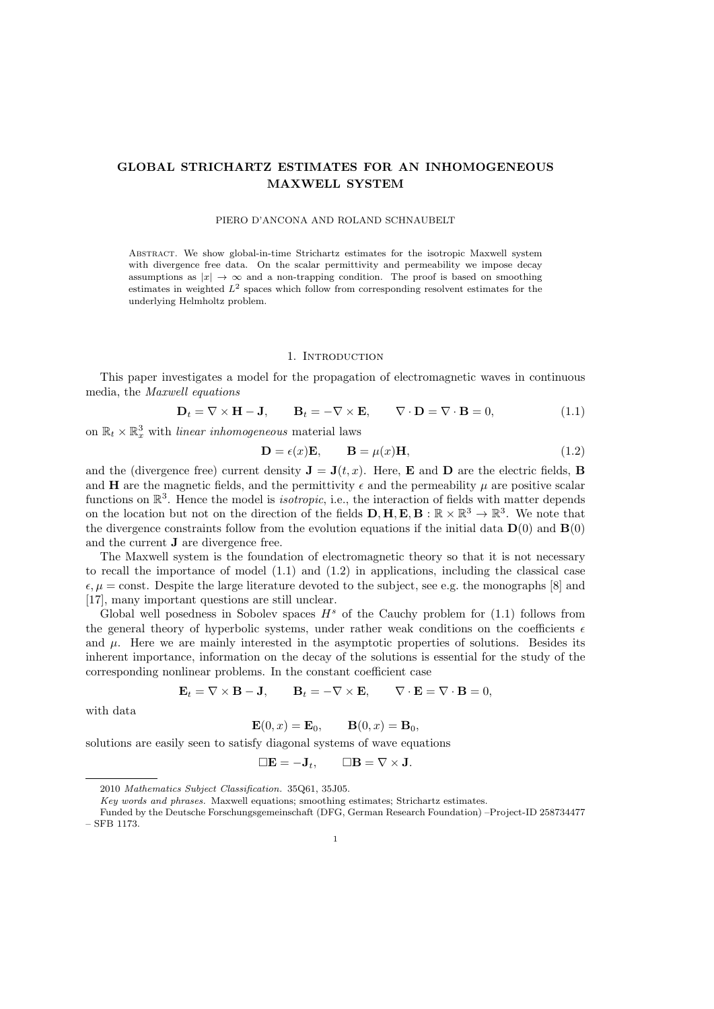# GLOBAL STRICHARTZ ESTIMATES FOR AN INHOMOGENEOUS MAXWELL SYSTEM

### PIERO D'ANCONA AND ROLAND SCHNAUBELT

Abstract. We show global-in-time Strichartz estimates for the isotropic Maxwell system with divergence free data. On the scalar permittivity and permeability we impose decay assumptions as  $|x| \to \infty$  and a non-trapping condition. The proof is based on smoothing estimates in weighted  $L^2$  spaces which follow from corresponding resolvent estimates for the underlying Helmholtz problem.

#### 1. Introduction

This paper investigates a model for the propagation of electromagnetic waves in continuous media, the Maxwell equations

$$
\mathbf{D}_t = \nabla \times \mathbf{H} - \mathbf{J}, \qquad \mathbf{B}_t = -\nabla \times \mathbf{E}, \qquad \nabla \cdot \mathbf{D} = \nabla \cdot \mathbf{B} = 0,
$$
\n(1.1)

on  $\mathbb{R}_t \times \mathbb{R}^3_x$  with *linear inhomogeneous* material laws

$$
\mathbf{D} = \epsilon(x)\mathbf{E}, \qquad \mathbf{B} = \mu(x)\mathbf{H}, \tag{1.2}
$$

and the (divergence free) current density  $\mathbf{J} = \mathbf{J}(t, x)$ . Here, **E** and **D** are the electric fields, **B** and **H** are the magnetic fields, and the permittivity  $\epsilon$  and the permeability  $\mu$  are positive scalar functions on  $\mathbb{R}^3$ . Hence the model is *isotropic*, i.e., the interaction of fields with matter depends on the location but not on the direction of the fields  $D, H, E, B : \mathbb{R} \times \mathbb{R}^3 \to \mathbb{R}^3$ . We note that the divergence constraints follow from the evolution equations if the initial data  $\mathbf{D}(0)$  and  $\mathbf{B}(0)$ and the current J are divergence free.

The Maxwell system is the foundation of electromagnetic theory so that it is not necessary to recall the importance of model  $(1.1)$  and  $(1.2)$  in applications, including the classical case  $\epsilon, \mu = \text{const.}$  Despite the large literature devoted to the subject, see e.g. the monographs [8] and [17], many important questions are still unclear.

Global well posedness in Sobolev spaces  $H<sup>s</sup>$  of the Cauchy problem for (1.1) follows from the general theory of hyperbolic systems, under rather weak conditions on the coefficients  $\epsilon$ and  $\mu$ . Here we are mainly interested in the asymptotic properties of solutions. Besides its inherent importance, information on the decay of the solutions is essential for the study of the corresponding nonlinear problems. In the constant coefficient case

$$
\mathbf{E}_t = \nabla \times \mathbf{B} - \mathbf{J}, \qquad \mathbf{B}_t = -\nabla \times \mathbf{E}, \qquad \nabla \cdot \mathbf{E} = \nabla \cdot \mathbf{B} = 0,
$$

with data

$$
\mathbf{E}(0,x) = \mathbf{E}_0, \qquad \mathbf{B}(0,x) = \mathbf{B}_0,
$$

solutions are easily seen to satisfy diagonal systems of wave equations

$$
\Box \mathbf{E} = -\mathbf{J}_t, \qquad \Box \mathbf{B} = \nabla \times \mathbf{J}.
$$

<sup>2010</sup> Mathematics Subject Classification. 35Q61, 35J05.

Key words and phrases. Maxwell equations; smoothing estimates; Strichartz estimates.

Funded by the Deutsche Forschungsgemeinschaft (DFG, German Research Foundation) –Project-ID 258734477 – SFB 1173.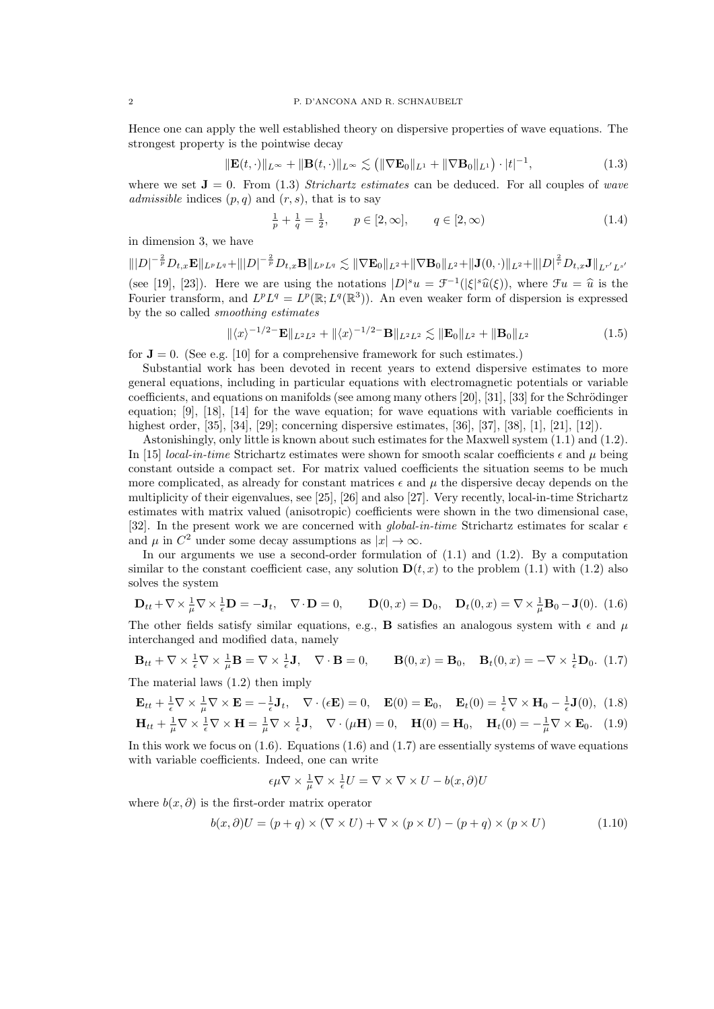Hence one can apply the well established theory on dispersive properties of wave equations. The strongest property is the pointwise decay

$$
\|\mathbf{E}(t,\cdot)\|_{L^{\infty}} + \|\mathbf{B}(t,\cdot)\|_{L^{\infty}} \lesssim \left( \|\nabla \mathbf{E}_0\|_{L^1} + \|\nabla \mathbf{B}_0\|_{L^1} \right) \cdot |t|^{-1},\tag{1.3}
$$

where we set  $J = 0$ . From (1.3) Strichartz estimates can be deduced. For all couples of wave admissible indices  $(p, q)$  and  $(r, s)$ , that is to say

$$
\frac{1}{p} + \frac{1}{q} = \frac{1}{2}, \qquad p \in [2, \infty], \qquad q \in [2, \infty)
$$
\n(1.4)

in dimension 3, we have

 $\| |D|^{-\frac{2}{p}} D_{t,x} \mathbf{E} \|_{L^p L^q} + \| |D|^{-\frac{2}{p}} D_{t,x} \mathbf{B} \|_{L^p L^q} \lesssim \| \nabla \mathbf{E}_0 \|_{L^2} + \| \nabla \mathbf{B}_0 \|_{L^2} + \| \mathbf{J}(0,\cdot) \|_{L^2} + \| |D|^{\frac{2}{r}} D_{t,x} \mathbf{J} \|_{L^{r'} L^{s'}}$ (see [19], [23]). Here we are using the notations  $|D|^s u = \mathcal{F}^{-1}(|\xi|^s \hat{u}(\xi))$ , where  $\mathcal{F}u = \hat{u}$  is the Eurier transform and  $L^p L^q = L^p(\mathbb{R} \cdot L^q(\mathbb{R}^3))$ . An even weaker form of dispersion is expressed Fourier transform, and  $L^p L^q = L^p(\mathbb{R}; L^q(\mathbb{R}^3))$ . An even weaker form of dispersion is expressed by the so called smoothing estimates

$$
\|\langle x\rangle^{-1/2} - \mathbf{E}\|_{L^2 L^2} + \|\langle x\rangle^{-1/2} - \mathbf{B}\|_{L^2 L^2} \lesssim \|\mathbf{E}_0\|_{L^2} + \|\mathbf{B}_0\|_{L^2}
$$
(1.5)

for  $J = 0$ . (See e.g. [10] for a comprehensive framework for such estimates.)

Substantial work has been devoted in recent years to extend dispersive estimates to more general equations, including in particular equations with electromagnetic potentials or variable coefficients, and equations on manifolds (see among many others  $[20]$ ,  $[31]$ ,  $[33]$  for the Schrödinger equation; [9], [18], [14] for the wave equation; for wave equations with variable coefficients in highest order, [35], [34], [29]; concerning dispersive estimates, [36], [37], [38], [1], [21], [12]).

Astonishingly, only little is known about such estimates for the Maxwell system (1.1) and (1.2). In [15] *local-in-time* Strichartz estimates were shown for smooth scalar coefficients  $\epsilon$  and  $\mu$  being constant outside a compact set. For matrix valued coefficients the situation seems to be much more complicated, as already for constant matrices  $\epsilon$  and  $\mu$  the dispersive decay depends on the multiplicity of their eigenvalues, see [25], [26] and also [27]. Very recently, local-in-time Strichartz estimates with matrix valued (anisotropic) coefficients were shown in the two dimensional case, [32]. In the present work we are concerned with *global-in-time* Strichartz estimates for scalar  $\epsilon$ and  $\mu$  in  $C^2$  under some decay assumptions as  $|x| \to \infty$ .

In our arguments we use a second-order formulation of (1.1) and (1.2). By a computation similar to the constant coefficient case, any solution  $\mathbf{D}(t, x)$  to the problem (1.1) with (1.2) also solves the system

$$
\mathbf{D}_{tt} + \nabla \times \frac{1}{\mu} \nabla \times \frac{1}{\epsilon} \mathbf{D} = -\mathbf{J}_t, \quad \nabla \cdot \mathbf{D} = 0, \qquad \mathbf{D}(0, x) = \mathbf{D}_0, \quad \mathbf{D}_t(0, x) = \nabla \times \frac{1}{\mu} \mathbf{B}_0 - \mathbf{J}(0). \tag{1.6}
$$

The other fields satisfy similar equations, e.g., **B** satisfies an analogous system with  $\epsilon$  and  $\mu$ interchanged and modified data, namely

$$
\mathbf{B}_{tt} + \nabla \times \frac{1}{\epsilon} \nabla \times \frac{1}{\mu} \mathbf{B} = \nabla \times \frac{1}{\epsilon} \mathbf{J}, \quad \nabla \cdot \mathbf{B} = 0, \qquad \mathbf{B}(0, x) = \mathbf{B}_0, \quad \mathbf{B}_t(0, x) = -\nabla \times \frac{1}{\epsilon} \mathbf{D}_0. \tag{1.7}
$$

The material laws (1.2) then imply

$$
\mathbf{E}_{tt} + \frac{1}{\epsilon} \nabla \times \frac{1}{\mu} \nabla \times \mathbf{E} = -\frac{1}{\epsilon} \mathbf{J}_t, \quad \nabla \cdot (\epsilon \mathbf{E}) = 0, \quad \mathbf{E}(0) = \mathbf{E}_0, \quad \mathbf{E}_t(0) = \frac{1}{\epsilon} \nabla \times \mathbf{H}_0 - \frac{1}{\epsilon} \mathbf{J}(0), \tag{1.8}
$$
\n
$$
\mathbf{H}_{tt} + \frac{1}{\mu} \nabla \times \frac{1}{\epsilon} \nabla \times \mathbf{H} = \frac{1}{\mu} \nabla \times \frac{1}{\epsilon} \mathbf{J}, \quad \nabla \cdot (\mu \mathbf{H}) = 0, \quad \mathbf{H}(0) = \mathbf{H}_0, \quad \mathbf{H}_t(0) = -\frac{1}{\mu} \nabla \times \mathbf{E}_0. \tag{1.9}
$$

In this work we focus on  $(1.6)$ . Equations  $(1.6)$  and  $(1.7)$  are essentially systems of wave equations with variable coefficients. Indeed, one can write

$$
\epsilon \mu \nabla \times \frac{1}{\mu} \nabla \times \frac{1}{\epsilon} U = \nabla \times \nabla \times U - b(x, \partial) U
$$

where  $b(x, \partial)$  is the first-order matrix operator

$$
b(x, \partial)U = (p + q) \times (\nabla \times U) + \nabla \times (p \times U) - (p + q) \times (p \times U) \tag{1.10}
$$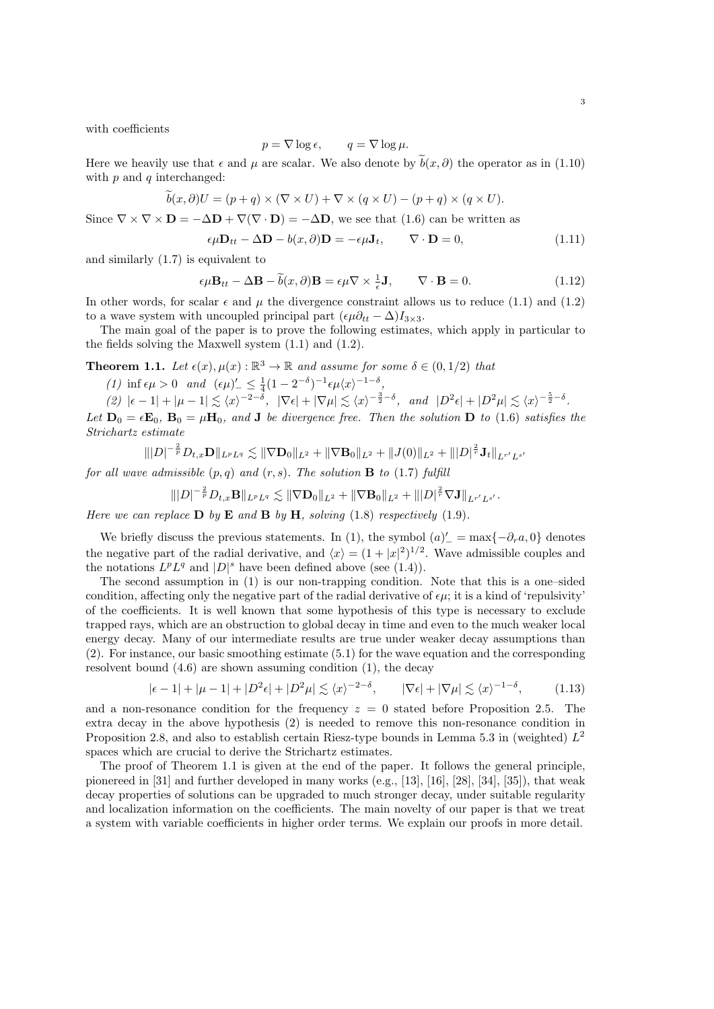with coefficients

$$
p = \nabla \log \epsilon, \qquad q = \nabla \log \mu.
$$

Here we heavily use that  $\epsilon$  and  $\mu$  are scalar. We also denote by  $\tilde{b}(x, \partial)$  the operator as in (1.10) with  $p$  and  $q$  interchanged:

$$
\tilde{b}(x,\partial)U = (p+q) \times (\nabla \times U) + \nabla \times (q \times U) - (p+q) \times (q \times U).
$$

Since  $\nabla \times \nabla \times \mathbf{D} = -\Delta \mathbf{D} + \nabla (\nabla \cdot \mathbf{D}) = -\Delta \mathbf{D}$ , we see that (1.6) can be written as

$$
\epsilon \mu \mathbf{D}_{tt} - \Delta \mathbf{D} - b(x, \partial) \mathbf{D} = -\epsilon \mu \mathbf{J}_t, \qquad \nabla \cdot \mathbf{D} = 0,
$$
\n(1.11)

and similarly (1.7) is equivalent to

$$
\epsilon \mu \mathbf{B}_{tt} - \Delta \mathbf{B} - \tilde{b}(x, \partial) \mathbf{B} = \epsilon \mu \nabla \times \frac{1}{\epsilon} \mathbf{J}, \qquad \nabla \cdot \mathbf{B} = 0.
$$
 (1.12)

In other words, for scalar  $\epsilon$  and  $\mu$  the divergence constraint allows us to reduce (1.1) and (1.2) to a wave system with uncoupled principal part  $(\epsilon \mu \partial_{tt} - \Delta) I_{3\times 3}$ .

The main goal of the paper is to prove the following estimates, which apply in particular to the fields solving the Maxwell system (1.1) and (1.2).

**Theorem 1.1.** Let  $\epsilon(x)$ ,  $\mu(x)$ :  $\mathbb{R}^3 \to \mathbb{R}$  and assume for some  $\delta \in (0, 1/2)$  that

- (1) inf  $\epsilon \mu > 0$  and  $(\epsilon \mu)'_{-} \leq \frac{1}{4} (1 2^{-\delta})^{-1} \epsilon \mu \langle x \rangle^{-1-\delta}$ ,
- $(2)$   $|\epsilon 1| + |\mu 1| \lesssim \langle x \rangle^{-2-\delta}, \quad |\nabla \epsilon| + |\nabla \mu| \lesssim \langle x \rangle^{-\frac{3}{2}-\delta}, \quad \text{and} \quad |D^2 \epsilon| + |D^2 \mu| \lesssim \langle x \rangle^{-\frac{5}{2}-\delta}.$

Let  $D_0 = \epsilon E_0$ ,  $B_0 = \mu H_0$ , and J be divergence free. Then the solution D to (1.6) satisfies the Strichartz estimate

$$
\||D|^{-\frac{2}{p}} D_{t,x} \mathbf{D}\|_{L^p L^q} \lesssim \|\nabla \mathbf{D}_0\|_{L^2} + \|\nabla \mathbf{B}_0\|_{L^2} + \|J(0)\|_{L^2} + \| |D|^{\frac{2}{r}} \mathbf{J}_t\|_{L^{r'} L^{s'}}
$$

for all wave admissible  $(p, q)$  and  $(r, s)$ . The solution **B** to (1.7) fulfill

$$
\||D|^{-\frac{2}{p}} D_{t,x} \mathbf{B}\|_{L^p L^q} \lesssim \|\nabla \mathbf{D}_0\|_{L^2} + \|\nabla \mathbf{B}_0\|_{L^2} + \| |D|^\frac{2}{r} \nabla \mathbf{J} \|_{L^{r'} L^{s'}}.
$$

Here we can replace  $\bf{D}$  by  $\bf{E}$  and  $\bf{B}$  by  $\bf{H}$ , solving (1.8) respectively (1.9).

We briefly discuss the previous statements. In (1), the symbol  $(a)'_- = \max\{-\partial_r a, 0\}$  denotes the negative part of the radial derivative, and  $\langle x \rangle = (1 + |x|^2)^{1/2}$ . Wave admissible couples and the notations  $L^p L^q$  and  $|D|^s$  have been defined above (see (1.4)).

The second assumption in (1) is our non-trapping condition. Note that this is a one–sided condition, affecting only the negative part of the radial derivative of  $\epsilon \mu$ ; it is a kind of 'repulsivity' of the coefficients. It is well known that some hypothesis of this type is necessary to exclude trapped rays, which are an obstruction to global decay in time and even to the much weaker local energy decay. Many of our intermediate results are true under weaker decay assumptions than (2). For instance, our basic smoothing estimate (5.1) for the wave equation and the corresponding resolvent bound (4.6) are shown assuming condition (1), the decay

$$
|\epsilon - 1| + |\mu - 1| + |D^2 \epsilon| + |D^2 \mu| \lesssim \langle x \rangle^{-2 - \delta}, \qquad |\nabla \epsilon| + |\nabla \mu| \lesssim \langle x \rangle^{-1 - \delta}, \tag{1.13}
$$

and a non-resonance condition for the frequency  $z = 0$  stated before Proposition 2.5. The extra decay in the above hypothesis (2) is needed to remove this non-resonance condition in Proposition 2.8, and also to establish certain Riesz-type bounds in Lemma 5.3 in (weighted)  $L^2$ spaces which are crucial to derive the Strichartz estimates.

The proof of Theorem 1.1 is given at the end of the paper. It follows the general principle, pionereed in  $[31]$  and further developed in many works (e.g.,  $[13]$ ,  $[16]$ ,  $[28]$ ,  $[34]$ ,  $[35]$ ), that weak decay properties of solutions can be upgraded to much stronger decay, under suitable regularity and localization information on the coefficients. The main novelty of our paper is that we treat a system with variable coefficients in higher order terms. We explain our proofs in more detail.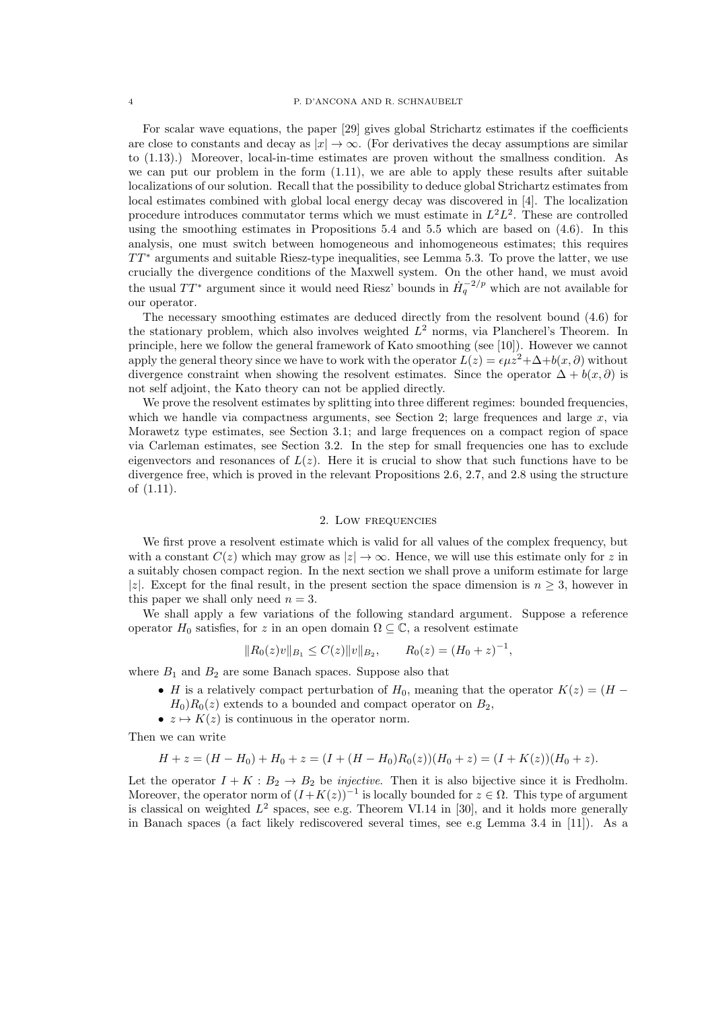For scalar wave equations, the paper [29] gives global Strichartz estimates if the coefficients are close to constants and decay as  $|x| \to \infty$ . (For derivatives the decay assumptions are similar to (1.13).) Moreover, local-in-time estimates are proven without the smallness condition. As we can put our problem in the form (1.11), we are able to apply these results after suitable localizations of our solution. Recall that the possibility to deduce global Strichartz estimates from local estimates combined with global local energy decay was discovered in [4]. The localization procedure introduces commutator terms which we must estimate in  $L^2L^2$ . These are controlled using the smoothing estimates in Propositions 5.4 and 5.5 which are based on (4.6). In this analysis, one must switch between homogeneous and inhomogeneous estimates; this requires  $TT^*$  arguments and suitable Riesz-type inequalities, see Lemma 5.3. To prove the latter, we use crucially the divergence conditions of the Maxwell system. On the other hand, we must avoid the usual  $TT^*$  argument since it would need Riesz' bounds in  $\dot{H}_q^{-2/p}$  which are not available for our operator.

The necessary smoothing estimates are deduced directly from the resolvent bound (4.6) for the stationary problem, which also involves weighted  $L^2$  norms, via Plancherel's Theorem. In principle, here we follow the general framework of Kato smoothing (see [10]). However we cannot apply the general theory since we have to work with the operator  $L(z) = \epsilon \mu z^2 + \Delta + b(x, \partial)$  without divergence constraint when showing the resolvent estimates. Since the operator  $\Delta + b(x, \partial)$  is not self adjoint, the Kato theory can not be applied directly.

We prove the resolvent estimates by splitting into three different regimes: bounded frequencies, which we handle via compactness arguments, see Section 2; large frequences and large  $x$ , via Morawetz type estimates, see Section 3.1; and large frequences on a compact region of space via Carleman estimates, see Section 3.2. In the step for small frequencies one has to exclude eigenvectors and resonances of  $L(z)$ . Here it is crucial to show that such functions have to be divergence free, which is proved in the relevant Propositions 2.6, 2.7, and 2.8 using the structure of (1.11).

### 2. Low frequencies

We first prove a resolvent estimate which is valid for all values of the complex frequency, but with a constant  $C(z)$  which may grow as  $|z| \to \infty$ . Hence, we will use this estimate only for z in a suitably chosen compact region. In the next section we shall prove a uniform estimate for large |z|. Except for the final result, in the present section the space dimension is  $n \geq 3$ , however in this paper we shall only need  $n = 3$ .

We shall apply a few variations of the following standard argument. Suppose a reference operator  $H_0$  satisfies, for z in an open domain  $\Omega \subseteq \mathbb{C}$ , a resolvent estimate

$$
||R_0(z)v||_{B_1} \le C(z)||v||_{B_2}, \qquad R_0(z) = (H_0 + z)^{-1},
$$

where  $B_1$  and  $B_2$  are some Banach spaces. Suppose also that

- H is a relatively compact perturbation of  $H_0$ , meaning that the operator  $K(z) = (H -$ 
	- $H_0$ ) $R_0(z)$  extends to a bounded and compact operator on  $B_2$ ,
- $z \mapsto K(z)$  is continuous in the operator norm.

Then we can write

$$
H + z = (H - H_0) + H_0 + z = (I + (H - H_0)R_0(z))(H_0 + z) = (I + K(z))(H_0 + z).
$$

Let the operator  $I + K : B_2 \to B_2$  be *injective*. Then it is also bijective since it is Fredholm. Moreover, the operator norm of  $(I+K(z))^{-1}$  is locally bounded for  $z \in \Omega$ . This type of argument is classical on weighted  $L^2$  spaces, see e.g. Theorem VI.14 in [30], and it holds more generally in Banach spaces (a fact likely rediscovered several times, see e.g Lemma 3.4 in [11]). As a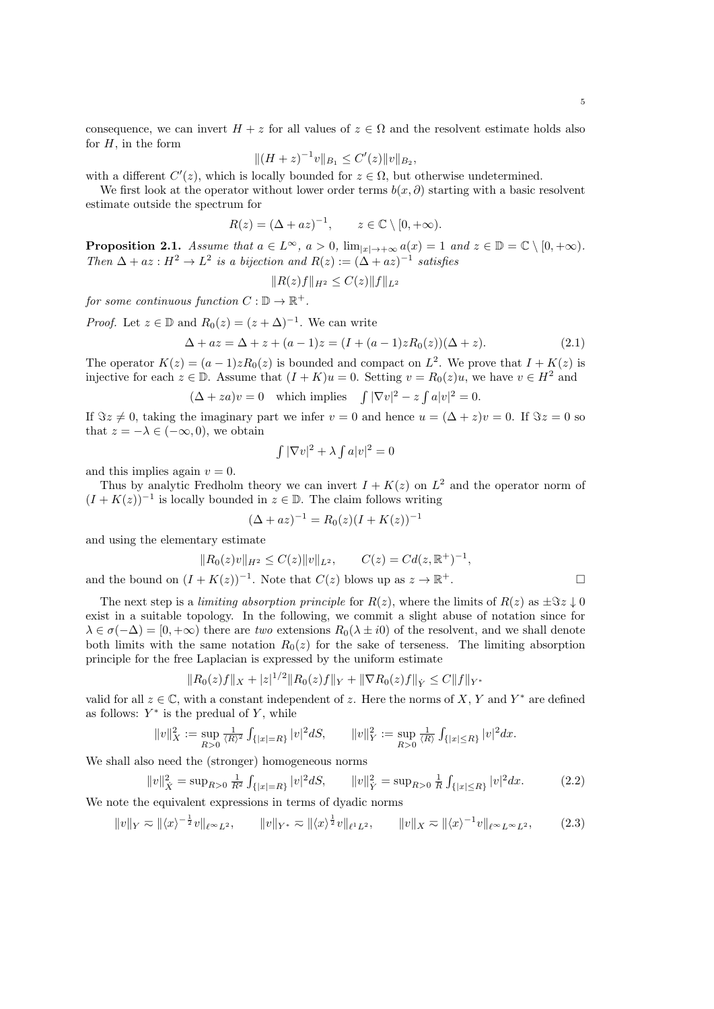consequence, we can invert  $H + z$  for all values of  $z \in \Omega$  and the resolvent estimate holds also for  $H$ , in the form

$$
||(H+z)^{-1}v||_{B_1} \leq C'(z)||v||_{B_2},
$$

with a different  $C'(z)$ , which is locally bounded for  $z \in \Omega$ , but otherwise undetermined.

We first look at the operator without lower order terms  $b(x, \partial)$  starting with a basic resolvent estimate outside the spectrum for

$$
R(z) = (\Delta + az)^{-1}, \qquad z \in \mathbb{C} \setminus [0, +\infty).
$$

**Proposition 2.1.** Assume that  $a \in L^{\infty}$ ,  $a > 0$ ,  $\lim_{|x| \to +\infty} a(x) = 1$  and  $z \in \mathbb{D} = \mathbb{C} \setminus [0, +\infty)$ . Then  $\Delta + az : H^2 \to L^2$  is a bijection and  $R(z) := (\Delta + az)^{-1}$  satisfies

$$
||R(z)f||_{H^2} \leq C(z)||f||_{L^2}
$$

for some continuous function  $C: \mathbb{D} \to \mathbb{R}^+$ .

*Proof.* Let  $z \in \mathbb{D}$  and  $R_0(z) = (z + \Delta)^{-1}$ . We can write

$$
\Delta + az = \Delta + z + (a - 1)z = (I + (a - 1)zR_0(z))(\Delta + z).
$$
\n(2.1)

The operator  $K(z) = (a-1)zR_0(z)$  is bounded and compact on  $L^2$ . We prove that  $I + K(z)$  is injective for each  $z \in \mathbb{D}$ . Assume that  $(I + K)u = 0$ . Setting  $v = R_0(z)u$ , we have  $v \in H^2$  and

$$
(\Delta + za)v = 0
$$
 which implies  $\int |\nabla v|^2 - z \int a|v|^2 = 0$ .

If  $\Im z \neq 0$ , taking the imaginary part we infer  $v = 0$  and hence  $u = (\Delta + z)v = 0$ . If  $\Im z = 0$  so that  $z = -\lambda \in (-\infty, 0)$ , we obtain

$$
\int |\nabla v|^2 + \lambda \int a|v|^2 = 0
$$

and this implies again  $v = 0$ .

Thus by analytic Fredholm theory we can invert  $I + K(z)$  on  $L^2$  and the operator norm of  $(I + K(z))^{-1}$  is locally bounded in  $z \in \mathbb{D}$ . The claim follows writing

$$
(\Delta + az)^{-1} = R_0(z)(I + K(z))^{-1}
$$

and using the elementary estimate

$$
||R_0(z)v||_{H^2} \le C(z)||v||_{L^2}, \qquad C(z) = Cd(z, \mathbb{R}^+)^{-1},
$$
  
and the bound on  $(I + K(z))^{-1}$ . Note that  $C(z)$  blows up as  $z \to \mathbb{R}^+$ .

The next step is a *limiting absorption principle* for  $R(z)$ , where the limits of  $R(z)$  as  $\pm \Im z \downarrow 0$ exist in a suitable topology. In the following, we commit a slight abuse of notation since for  $\lambda \in \sigma(-\Delta) = [0, +\infty)$  there are two extensions  $R_0(\lambda \pm i0)$  of the resolvent, and we shall denote both limits with the same notation  $R_0(z)$  for the sake of terseness. The limiting absorption principle for the free Laplacian is expressed by the uniform estimate

$$
||R_0(z)f||_X + |z|^{1/2}||R_0(z)f||_Y + ||\nabla R_0(z)f||_Y \leq C||f||_{Y^*}
$$

valid for all  $z \in \mathbb{C}$ , with a constant independent of z. Here the norms of X, Y and Y<sup>\*</sup> are defined as follows:  $Y^*$  is the predual of Y, while

$$
\|v\|_X^2:=\sup_{R>0} \tfrac{1}{\langle R\rangle^2} \textstyle \int_{\{|x|=R\}} |v|^2 dS, \qquad \|v\|_Y^2:=\sup_{R>0} \tfrac{1}{\langle R\rangle} \int_{\{|x|\leq R\}} |v|^2 d x.
$$

We shall also need the (stronger) homogeneous norms

$$
||v||_X^2 = \sup_{R>0} \frac{1}{R^2} \int_{\{|x|=R\}} |v|^2 dS, \qquad ||v||_Y^2 = \sup_{R>0} \frac{1}{R} \int_{\{|x| \le R\}} |v|^2 dx. \tag{2.2}
$$

We note the equivalent expressions in terms of dyadic norms

$$
||v||_Y \approx ||\langle x \rangle^{-\frac{1}{2}} v||_{\ell^{\infty} L^2}, \qquad ||v||_{Y^*} \approx ||\langle x \rangle^{\frac{1}{2}} v||_{\ell^1 L^2}, \qquad ||v||_X \approx ||\langle x \rangle^{-1} v||_{\ell^{\infty} L^{\infty} L^2}, \tag{2.3}
$$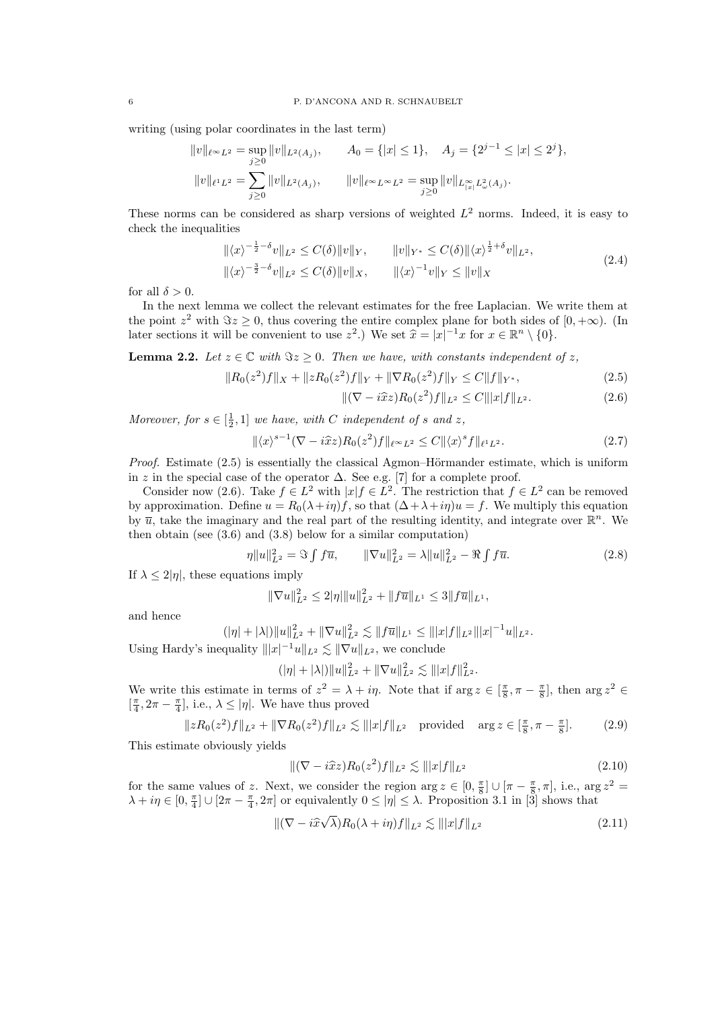writing (using polar coordinates in the last term)

$$
||v||_{\ell^{\infty}L^{2}} = \sup_{j\geq 0} ||v||_{L^{2}(A_{j})}, \qquad A_{0} = \{|x| \leq 1\}, \quad A_{j} = \{2^{j-1} \leq |x| \leq 2^{j}\},
$$
  

$$
||v||_{\ell^{1}L^{2}} = \sum_{j\geq 0} ||v||_{L^{2}(A_{j})}, \qquad ||v||_{\ell^{\infty}L^{\infty}L^{2}} = \sup_{j\geq 0} ||v||_{L^{\infty}_{|x|}L^{2}_{\omega}(A_{j})}.
$$

These norms can be considered as sharp versions of weighted  $L^2$  norms. Indeed, it is easy to check the inequalities

$$
\|\langle x\rangle^{-\frac{1}{2}-\delta}v\|_{L^{2}} \leq C(\delta)\|v\|_{Y}, \qquad \|v\|_{Y^{*}} \leq C(\delta)\|\langle x\rangle^{\frac{1}{2}+\delta}v\|_{L^{2}},
$$
  

$$
\|\langle x\rangle^{-\frac{3}{2}-\delta}v\|_{L^{2}} \leq C(\delta)\|v\|_{X}, \qquad \|\langle x\rangle^{-1}v\|_{Y} \leq \|v\|_{X}
$$
 (2.4)

for all  $\delta > 0$ .

In the next lemma we collect the relevant estimates for the free Laplacian. We write them at the point  $z^2$  with  $\Im z \geq 0$ , thus covering the entire complex plane for both sides of  $[0, +\infty)$ . (In later sections it will be convenient to use  $z^2$ .) We set  $\hat{x} = |x|^{-1}x$  for  $x \in \mathbb{R}^n \setminus \{0\}$ .

**Lemma 2.2.** Let  $z \in \mathbb{C}$  with  $\Im z \geq 0$ . Then we have, with constants independent of z,

$$
||R_0(z^2)f||_X + ||zR_0(z^2)f||_Y + ||\nabla R_0(z^2)f||_Y \le C||f||_{Y^*},\tag{2.5}
$$

$$
\|(\nabla - i\hat{x}z)R_0(z^2)f\|_{L^2} \le C\||x|f\|_{L^2}.
$$
\n(2.6)

Moreover, for  $s \in [\frac{1}{2}, 1]$  we have, with C independent of s and z,

$$
\|\langle x \rangle^{s-1} (\nabla - i\hat{x}z) R_0(z^2) f \|_{\ell^\infty L^2} \le C \|\langle x \rangle^s f \|_{\ell^1 L^2}.
$$
 (2.7)

*Proof.* Estimate  $(2.5)$  is essentially the classical Agmon–Hörmander estimate, which is uniform in z in the special case of the operator  $\Delta$ . See e.g. [7] for a complete proof.

Consider now (2.6). Take  $f \in L^2$  with  $|x| f \in L^2$ . The restriction that  $f \in L^2$  can be removed by approximation. Define  $u = R_0(\lambda + i\eta) f$ , so that  $(\Delta + \lambda + i\eta)u = f$ . We multiply this equation by  $\overline{u}$ , take the imaginary and the real part of the resulting identity, and integrate over  $\mathbb{R}^n$ . We then obtain (see  $(3.6)$  and  $(3.8)$  below for a similar computation)

$$
\eta \|u\|_{L^2}^2 = \Im \int f\overline{u}, \qquad \|\nabla u\|_{L^2}^2 = \lambda \|u\|_{L^2}^2 - \Re \int f\overline{u}.
$$
 (2.8)

If  $\lambda \leq 2|\eta|$ , these equations imply

$$
\|\nabla u\|_{L^2}^2 \le 2|\eta| \|u\|_{L^2}^2 + \|f\overline{u}\|_{L^1} \le 3\|f\overline{u}\|_{L^1},
$$

and hence

$$
(|\eta|+|\lambda|)\|u\|_{L^2}^2+\|\nabla u\|_{L^2}^2\lesssim \|f\overline{u}\|_{L^1}\leq \|x|f\|_{L^2}\|x|^{-1}u\|_{L^2}.
$$

Using Hardy's inequality  $|||x|^{-1}u||_{L^2} \lesssim ||\nabla u||_{L^2}$ , we conclude

$$
(|\eta|+|\lambda|)\|u\|_{L^2}^2+\|\nabla u\|_{L^2}^2\lesssim \||x|f\|_{L^2}^2.
$$

We write this estimate in terms of  $z^2 = \lambda + i\eta$ . Note that if  $\arg z \in \left[\frac{\pi}{8}, \pi - \frac{\pi}{8}\right]$ , then  $\arg z^2 \in$  $\left[\frac{\pi}{4}, 2\pi - \frac{\pi}{4}\right]$ , i.e.,  $\lambda \leq |\eta|$ . We have thus proved

$$
||zR_0(z^2)f||_{L^2} + ||\nabla R_0(z^2)f||_{L^2} \lesssim |||x|f||_{L^2} \quad \text{provided} \quad \arg z \in [\frac{\pi}{8}, \pi - \frac{\pi}{8}]. \tag{2.9}
$$

This estimate obviously yields

$$
\|(\nabla - i\hat{x}z)R_0(z^2)f\|_{L^2} \lesssim \| |x|f\|_{L^2}
$$
\n(2.10)

for the same values of z. Next, we consider the region  $\arg z \in [0, \frac{\pi}{8}] \cup [\pi - \frac{\pi}{8}, \pi]$ , i.e.,  $\arg z^2 =$  $\lambda + i\eta \in [0, \frac{\pi}{4}] \cup [2\pi - \frac{\pi}{4}, 2\pi]$  or equivalently  $0 \le |\eta| \le \lambda$ . Proposition 3.1 in [3] shows that

$$
\|(\nabla - i\widehat{x}\sqrt{\lambda})R_0(\lambda + i\eta)f\|_{L^2} \lesssim \| |x|f\|_{L^2}
$$
\n(2.11)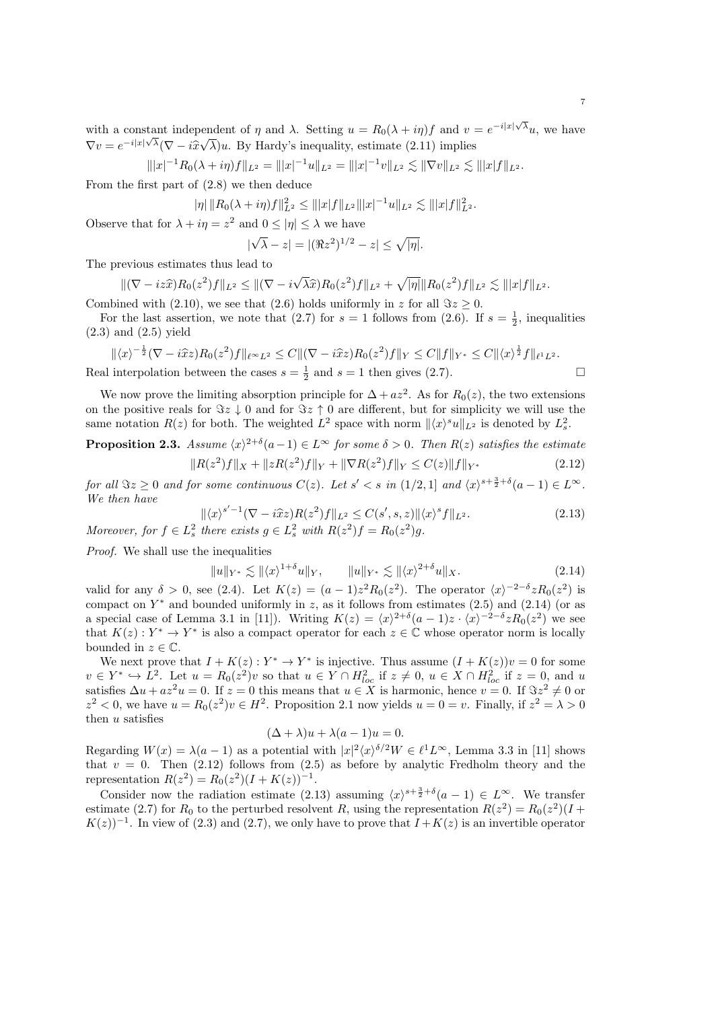with a constant independent of  $\eta$  and  $\lambda$ . Setting  $u = R_0(\lambda + i\eta)f$  and  $v = e^{-i|x|\sqrt{\lambda}}u$ , we have  $\nabla v = e^{-i|x|\sqrt{\lambda}}(\nabla - i\hat{x})$ √  $(\lambda)u$ . By Hardy's inequality, estimate  $(2.11)$  implies

 $|||x|^{-1}R_0(\lambda + i\eta)f||_{L^2} = |||x|^{-1}u||_{L^2} = |||x|^{-1}v||_{L^2} \lesssim ||\nabla v||_{L^2} \lesssim |||x|f||_{L^2}.$ 

From the first part of (2.8) we then deduce

$$
|\eta| \|R_0(\lambda + i\eta)f\|_{L^2}^2 \le \| |x|f\|_{L^2} \| |x|^{-1} u \|_{L^2} \lesssim \| |x|f\|_{L^2}^2.
$$

Observe that for  $\lambda + i\eta = z^2$  and  $0 \leq |\eta| \leq \lambda$  we have

$$
|\sqrt{\lambda} - z| = |(\Re z^2)^{1/2} - z| \le \sqrt{|\eta|}.
$$

The previous estimates thus lead to

$$
\|(\nabla - iz\hat{x})R_0(z^2)f\|_{L^2} \le \|(\nabla - i\sqrt{\lambda}\hat{x})R_0(z^2)f\|_{L^2} + \sqrt{|\eta|}\|R_0(z^2)f\|_{L^2} \lesssim \| |x|f\|_{L^2}.
$$

Combined with (2.10), we see that (2.6) holds uniformly in z for all  $\Im z \ge 0$ .

For the last assertion, we note that (2.7) for  $s = 1$  follows from (2.6). If  $s = \frac{1}{2}$ , inequalities (2.3) and (2.5) yield

$$
\|\langle x\rangle^{-\frac{1}{2}}(\nabla - i\hat{x}z)R_0(z^2)f\|_{\ell^{\infty}L^2} \leq C\|(\nabla - i\hat{x}z)R_0(z^2)f\|_Y \leq C\|f\|_{Y^*} \leq C\|\langle x\rangle^{\frac{1}{2}}f\|_{\ell^1L^2}.
$$

Real interpolation between the cases  $s = \frac{1}{2}$  and  $s = 1$  then gives (2.7).

We now prove the limiting absorption principle for  $\Delta + az^2$ . As for  $R_0(z)$ , the two extensions on the positive reals for  $\Im z \downarrow 0$  and for  $\Im z \uparrow 0$  are different, but for simplicity we will use the same notation  $R(z)$  for both. The weighted  $L^2$  space with norm  $\|\langle x \rangle^s u\|_{L^2}$  is denoted by  $L^2_s$ .

**Proposition 2.3.** Assume  $\langle x \rangle^{2+\delta}(a-1) \in L^{\infty}$  for some  $\delta > 0$ . Then  $R(z)$  satisfies the estimate 2

$$
||R(z^{2})f||_{X} + ||zR(z^{2})f||_{Y} + ||\nabla R(z^{2})f||_{Y} \le C(z)||f||_{Y^{*}}
$$
\n(2.12)

for all  $\Im z \geq 0$  and for some continuous  $C(z)$ . Let  $s' < s$  in  $(1/2, 1]$  and  $\langle x \rangle^{s+\frac{3}{2}+\delta}(a-1) \in L^{\infty}$ . We then have

$$
\|\langle x\rangle^{s'-1}(\nabla - i\hat{x}z)R(z^2)f\|_{L^2} \le C(s',s,z)\|\langle x\rangle^s f\|_{L^2}.
$$
\n
$$
\text{Moreover, for } f \in L^2_s \text{ there exists } g \in L^2_s \text{ with } R(z^2)f = R_0(z^2)g.
$$
\n
$$
(2.13)
$$

Proof. We shall use the inequalities

$$
||u||_{Y^*} \lesssim ||\langle x \rangle^{1+\delta} u||_Y, \qquad ||u||_{Y^*} \lesssim ||\langle x \rangle^{2+\delta} u||_X. \tag{2.14}
$$

valid for any  $\delta > 0$ , see (2.4). Let  $K(z) = (a-1)z^2 R_0(z^2)$ . The operator  $\langle x \rangle^{-2-\delta} z R_0(z^2)$  is compact on  $Y^*$  and bounded uniformly in z, as it follows from estimates  $(2.5)$  and  $(2.14)$  (or as a special case of Lemma 3.1 in [11]). Writing  $K(z) = \langle x \rangle^{2+\delta} (a-1)z \cdot \langle x \rangle^{-2-\delta} z R_0(z^2)$  we see that  $K(z): Y^* \to Y^*$  is also a compact operator for each  $z \in \mathbb{C}$  whose operator norm is locally bounded in  $z \in \mathbb{C}$ .

We next prove that  $I + K(z) : Y^* \to Y^*$  is injective. Thus assume  $(I + K(z))v = 0$  for some  $v \in Y^* \hookrightarrow L^2$ . Let  $u = R_0(z^2)v$  so that  $u \in Y \cap H_{loc}^2$  if  $z \neq 0$ ,  $u \in X \cap H_{loc}^2$  if  $z = 0$ , and u satisfies  $\Delta u + az^2u = 0$ . If  $z = 0$  this means that  $u \in X$  is harmonic, hence  $v = 0$ . If  $\Im z^2 \neq 0$  or  $z^2 < 0$ , we have  $u = R_0(z^2)v \in H^2$ . Proposition 2.1 now yields  $u = 0 = v$ . Finally, if  $z^2 = \lambda > 0$ then  $u$  satisfies

$$
(\Delta + \lambda)u + \lambda(a-1)u = 0.
$$

Regarding  $W(x) = \lambda(a-1)$  as a potential with  $|x|^2 \langle x \rangle^{\delta/2} W \in \ell^1 L^\infty$ , Lemma 3.3 in [11] shows that  $v = 0$ . Then (2.12) follows from (2.5) as before by analytic Fredholm theory and the representation  $R(z^2) = R_0(z^2)(I + K(z))^{-1}$ .

Consider now the radiation estimate (2.13) assuming  $\langle x \rangle^{s+\frac{3}{2}+\delta}(a-1) \in L^{\infty}$ . We transfer estimate (2.7) for  $R_0$  to the perturbed resolvent R, using the representation  $R(z^2) = R_0(z^2)(I +$  $K(z)$ <sup>-1</sup>. In view of (2.3) and (2.7), we only have to prove that  $I + K(z)$  is an invertible operator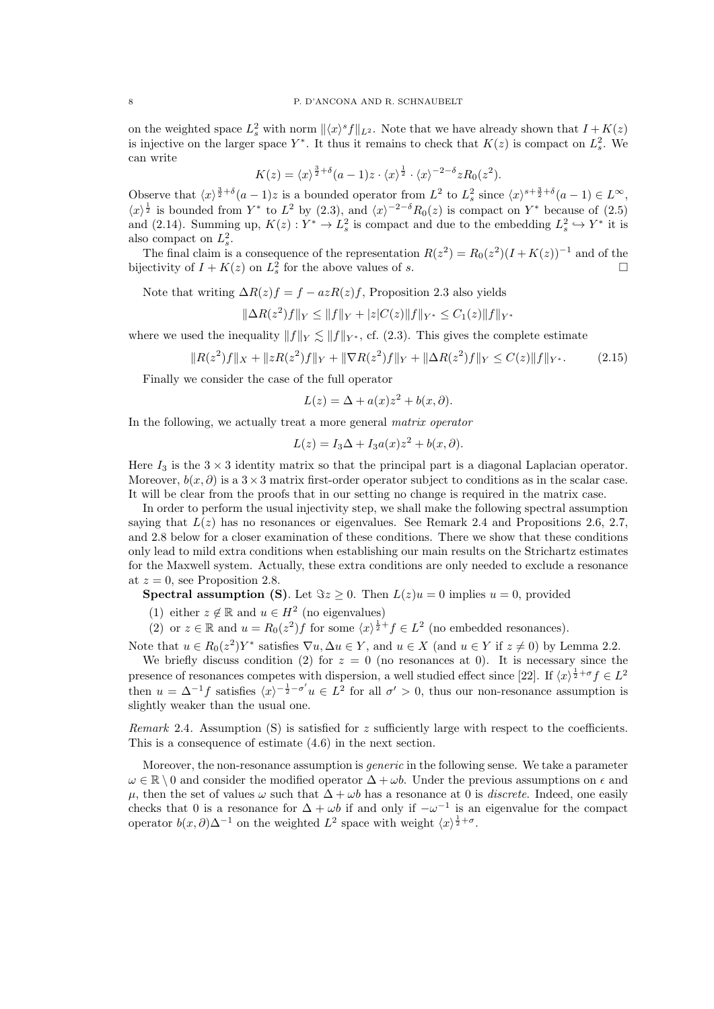on the weighted space  $L_s^2$  with norm  $\|\langle x \rangle^s f\|_{L^2}$ . Note that we have already shown that  $I + K(z)$ is injective on the larger space  $Y^*$ . It thus it remains to check that  $K(z)$  is compact on  $L_s^2$ . We can write

$$
K(z) = \langle x \rangle^{\frac{3}{2} + \delta} (a - 1) z \cdot \langle x \rangle^{\frac{1}{2}} \cdot \langle x \rangle^{-2 - \delta} z R_0(z^2).
$$

Observe that  $\langle x \rangle^{\frac{3}{2}+\delta}(a-1)z$  is a bounded operator from  $L^2$  to  $L_s^2$  since  $\langle x \rangle^{s+\frac{3}{2}+\delta}(a-1) \in L^\infty$ ,  $\langle x \rangle^{\frac{1}{2}}$  is bounded from Y<sup>\*</sup> to  $L^2$  by (2.3), and  $\langle x \rangle^{-2-\delta}R_0(z)$  is compact on Y<sup>\*</sup> because of (2.5) and (2.14). Summing up,  $K(z): Y^* \to L_s^2$  is compact and due to the embedding  $L_s^2 \hookrightarrow Y^*$  it is also compact on  $L_s^2$ .

The final claim is a consequence of the representation  $R(z^2) = R_0(z^2)(I + K(z))^{-1}$  and of the bijectivity of  $I + K(z)$  on  $L_s^2$  for the above values of s.

Note that writing  $\Delta R(z)f = f - azR(z)f$ , Proposition 2.3 also yields

 $\|\Delta R(z^2)f\|_Y \leq \|f\|_Y + |z|C(z)\|f\|_{Y^*} \leq C_1(z)\|f\|_{Y^*}$ 

where we used the inequality  $||f||_V \le ||f||_{V^*}$ , cf. (2.3). This gives the complete estimate

$$
||R(z^2)f||_X + ||zR(z^2)f||_Y + ||\nabla R(z^2)f||_Y + ||\Delta R(z^2)f||_Y \le C(z)||f||_{Y^*}.
$$
 (2.15)

Finally we consider the case of the full operator

$$
L(z) = \Delta + a(x)z^2 + b(x, \partial).
$$

In the following, we actually treat a more general matrix operator

$$
L(z) = I_3 \Delta + I_3 a(x) z^2 + b(x, \partial).
$$

Here  $I_3$  is the  $3 \times 3$  identity matrix so that the principal part is a diagonal Laplacian operator. Moreover,  $b(x, \partial)$  is a  $3 \times 3$  matrix first-order operator subject to conditions as in the scalar case. It will be clear from the proofs that in our setting no change is required in the matrix case.

In order to perform the usual injectivity step, we shall make the following spectral assumption saying that  $L(z)$  has no resonances or eigenvalues. See Remark 2.4 and Propositions 2.6, 2.7, and 2.8 below for a closer examination of these conditions. There we show that these conditions only lead to mild extra conditions when establishing our main results on the Strichartz estimates for the Maxwell system. Actually, these extra conditions are only needed to exclude a resonance at  $z = 0$ , see Proposition 2.8.

**Spectral assumption (S)**. Let  $\Im z \geq 0$ . Then  $L(z)u = 0$  implies  $u = 0$ , provided

- (1) either  $z \notin \mathbb{R}$  and  $u \in H^2$  (no eigenvalues)
- (2) or  $z \in \mathbb{R}$  and  $u = R_0(z^2)f$  for some  $\langle x \rangle^{\frac{1}{2}+} f \in L^2$  (no embedded resonances).

Note that  $u \in R_0(z^2)Y^*$  satisfies  $\nabla u, \Delta u \in Y$ , and  $u \in X$  (and  $u \in Y$  if  $z \neq 0$ ) by Lemma 2.2. We briefly discuss condition (2) for  $z = 0$  (no resonances at 0). It is necessary since the

presence of resonances competes with dispersion, a well studied effect since [22]. If  $\langle x \rangle^{\frac{1}{2}+\sigma} f \in L^2$ then  $u = \Delta^{-1} f$  satisfies  $\langle x \rangle^{-\frac{1}{2} - \sigma'} u \in L^2$  for all  $\sigma' > 0$ , thus our non-resonance assumption is slightly weaker than the usual one.

*Remark* 2.4. Assumption (S) is satisfied for z sufficiently large with respect to the coefficients. This is a consequence of estimate (4.6) in the next section.

Moreover, the non-resonance assumption is *generic* in the following sense. We take a parameter  $\omega \in \mathbb{R} \setminus 0$  and consider the modified operator  $\Delta + \omega b$ . Under the previous assumptions on  $\epsilon$  and u, then the set of values  $\omega$  such that  $\Delta + \omega b$  has a resonance at 0 is *discrete*. Indeed, one easily checks that 0 is a resonance for  $\Delta + \omega b$  if and only if  $-\omega^{-1}$  is an eigenvalue for the compact operator  $b(x, \partial) \Delta^{-1}$  on the weighted  $L^2$  space with weight  $\langle x \rangle^{\frac{1}{2} + \sigma}$ .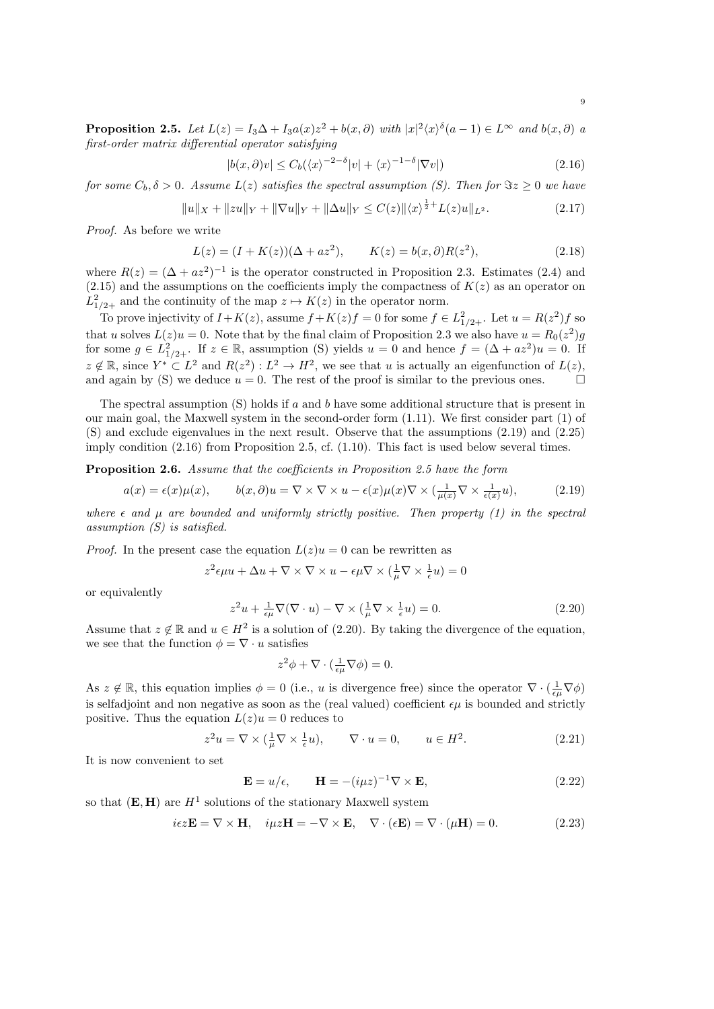**Proposition 2.5.** Let  $L(z) = I_3 \Delta + I_3 a(x) z^2 + b(x, \partial)$  with  $|x|^2 \langle x \rangle^{\delta} (a-1) \in L^{\infty}$  and  $b(x, \partial)$  a first-order matrix differential operator satisfying

$$
|b(x,\partial)v| \le C_b(\langle x \rangle^{-2-\delta}|v| + \langle x \rangle^{-1-\delta}|\nabla v|)
$$
\n(2.16)

for some  $C_b$ ,  $\delta > 0$ . Assume  $L(z)$  satisfies the spectral assumption (S). Then for  $\Im z \geq 0$  we have

$$
||u||_X + ||zu||_Y + ||\nabla u||_Y + ||\Delta u||_Y \le C(z) ||\langle x \rangle^{\frac{1}{2}+} L(z)u||_{L^2}.
$$
\n(2.17)

Proof. As before we write

$$
L(z) = (I + K(z))(\Delta + az^2), \qquad K(z) = b(x, \partial)R(z^2), \tag{2.18}
$$

where  $R(z) = (\Delta + az^2)^{-1}$  is the operator constructed in Proposition 2.3. Estimates (2.4) and  $(2.15)$  and the assumptions on the coefficients imply the compactness of  $K(z)$  as an operator on  $L_{1/2+}^2$  and the continuity of the map  $z \mapsto K(z)$  in the operator norm.

To prove injectivity of  $I + K(z)$ , assume  $f + K(z)f = 0$  for some  $f \in L^2_{1/2+}$ . Let  $u = R(z^2)f$  so that u solves  $L(z)u = 0$ . Note that by the final claim of Proposition 2.3 we also have  $u = R_0(z^2)g$ for some  $g \in L_{1/2+}^2$ . If  $z \in \mathbb{R}$ , assumption (S) yields  $u = 0$  and hence  $f = (\Delta + az^2)u = 0$ . If  $z \notin \mathbb{R}$ , since  $Y^* \subset L^2$  and  $R(z^2): L^2 \to H^2$ , we see that u is actually an eigenfunction of  $L(z)$ , and again by (S) we deduce  $u = 0$ . The rest of the proof is similar to the previous ones.

The spectral assumption  $(S)$  holds if a and b have some additional structure that is present in our main goal, the Maxwell system in the second-order form (1.11). We first consider part (1) of (S) and exclude eigenvalues in the next result. Observe that the assumptions (2.19) and (2.25) imply condition (2.16) from Proposition 2.5, cf. (1.10). This fact is used below several times.

Proposition 2.6. Assume that the coefficients in Proposition 2.5 have the form

$$
a(x) = \epsilon(x)\mu(x), \qquad b(x,\partial)u = \nabla \times \nabla \times u - \epsilon(x)\mu(x)\nabla \times \left(\frac{1}{\mu(x)}\nabla \times \frac{1}{\epsilon(x)}u\right),\tag{2.19}
$$

where  $\epsilon$  and  $\mu$  are bounded and uniformly strictly positive. Then property (1) in the spectral assumption (S) is satisfied.

*Proof.* In the present case the equation  $L(z)u = 0$  can be rewritten as

$$
z^2 \epsilon \mu u + \Delta u + \nabla \times \nabla \times u - \epsilon \mu \nabla \times (\frac{1}{\mu} \nabla \times \frac{1}{\epsilon} u) = 0
$$

or equivalently

$$
z^{2}u + \frac{1}{\epsilon\mu}\nabla(\nabla \cdot u) - \nabla \times (\frac{1}{\mu}\nabla \times \frac{1}{\epsilon}u) = 0.
$$
 (2.20)

Assume that  $z \notin \mathbb{R}$  and  $u \in H^2$  is a solution of (2.20). By taking the divergence of the equation, we see that the function  $\phi = \nabla \cdot u$  satisfies

$$
z^2 \phi + \nabla \cdot \left(\frac{1}{\epsilon \mu} \nabla \phi\right) = 0.
$$

As  $z \notin \mathbb{R}$ , this equation implies  $\phi = 0$  (i.e., u is divergence free) since the operator  $\nabla \cdot (\frac{1}{\epsilon \mu} \nabla \phi)$ is selfadjoint and non negative as soon as the (real valued) coefficient  $\epsilon \mu$  is bounded and strictly positive. Thus the equation  $L(z)u = 0$  reduces to

$$
z^2u = \nabla \times (\frac{1}{\mu} \nabla \times \frac{1}{\epsilon} u), \qquad \nabla \cdot u = 0, \qquad u \in H^2. \tag{2.21}
$$

It is now convenient to set

$$
\mathbf{E} = u/\epsilon, \qquad \mathbf{H} = -(\mathrm{i}\mu z)^{-1} \nabla \times \mathbf{E}, \tag{2.22}
$$

so that  $(E, H)$  are  $H<sup>1</sup>$  solutions of the stationary Maxwell system

$$
i\epsilon z \mathbf{E} = \nabla \times \mathbf{H}, \quad i\mu z \mathbf{H} = -\nabla \times \mathbf{E}, \quad \nabla \cdot (\epsilon \mathbf{E}) = \nabla \cdot (\mu \mathbf{H}) = 0.
$$
 (2.23)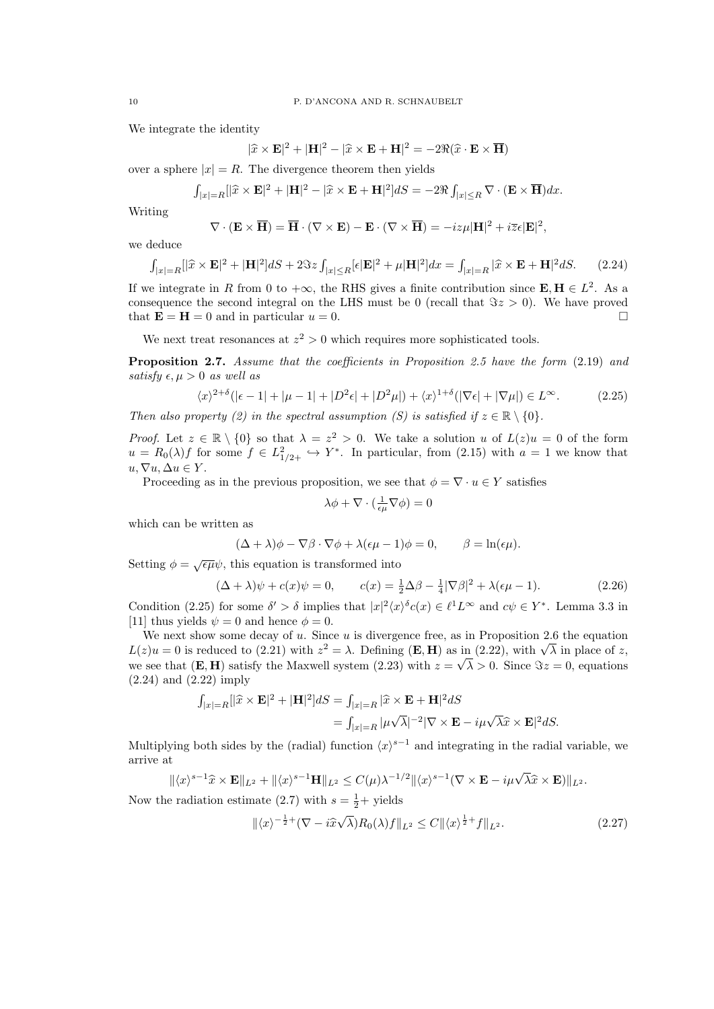We integrate the identity

$$
|\hat{x} \times \mathbf{E}|^2 + |\mathbf{H}|^2 - |\hat{x} \times \mathbf{E} + \mathbf{H}|^2 = -2\Re(\hat{x} \cdot \mathbf{E} \times \overline{\mathbf{H}})
$$

over a sphere  $|x| = R$ . The divergence theorem then yields

$$
\int_{|x|=R} [|\widehat{x} \times \mathbf{E}|^2 + |\mathbf{H}|^2 - |\widehat{x} \times \mathbf{E} + \mathbf{H}|^2] dS = -2\Re \int_{|x| \le R} \nabla \cdot (\mathbf{E} \times \overline{\mathbf{H}}) dx.
$$

Writing

$$
\nabla \cdot (\mathbf{E} \times \overline{\mathbf{H}}) = \overline{\mathbf{H}} \cdot (\nabla \times \mathbf{E}) - \mathbf{E} \cdot (\nabla \times \overline{\mathbf{H}}) = -iz\mu |\mathbf{H}|^2 + i\overline{z}\epsilon |\mathbf{E}|^2,
$$

we deduce

$$
\int_{|x|=R} [|\widehat{x} \times \mathbf{E}|^2 + |\mathbf{H}|^2] dS + 2\Im z \int_{|x| \le R} [\epsilon | \mathbf{E}|^2 + \mu |\mathbf{H}|^2] dx = \int_{|x|=R} |\widehat{x} \times \mathbf{E} + \mathbf{H}|^2 dS. \tag{2.24}
$$

If we integrate in R from 0 to  $+\infty$ , the RHS gives a finite contribution since  $\mathbf{E}, \mathbf{H} \in L^2$ . As a consequence the second integral on the LHS must be 0 (recall that  $\Im z > 0$ ). We have proved that  $\mathbf{E} = \mathbf{H} = 0$  and in particular  $u = 0$ .

We next treat resonances at  $z^2 > 0$  which requires more sophisticated tools.

**Proposition 2.7.** Assume that the coefficients in Proposition 2.5 have the form  $(2.19)$  and satisfy  $\epsilon, \mu > 0$  as well as

$$
\langle x \rangle^{2+\delta} (|\epsilon - 1| + |\mu - 1| + |D^2 \epsilon| + |D^2 \mu|) + \langle x \rangle^{1+\delta} (|\nabla \epsilon| + |\nabla \mu|) \in L^\infty.
$$
 (2.25)

Then also property (2) in the spectral assumption (S) is satisfied if  $z \in \mathbb{R} \setminus \{0\}$ .

*Proof.* Let  $z \in \mathbb{R} \setminus \{0\}$  so that  $\lambda = z^2 > 0$ . We take a solution u of  $L(z)u = 0$  of the form  $u = R_0(\lambda) f$  for some  $f \in L^2_{1/2+} \hookrightarrow Y^*$ . In particular, from (2.15) with  $a = 1$  we know that  $u, \nabla u, \Delta u \in Y.$ 

Proceeding as in the previous proposition, we see that  $\phi = \nabla \cdot u \in Y$  satisfies

$$
\lambda \phi + \nabla \cdot (\tfrac{1}{\epsilon \mu} \nabla \phi) = 0
$$

which can be written as

$$
(\Delta + \lambda)\phi - \nabla\beta \cdot \nabla\phi + \lambda(\epsilon\mu - 1)\phi = 0, \qquad \beta = \ln(\epsilon\mu).
$$

Setting  $\phi = \sqrt{\epsilon \mu} \psi$ , this equation is transformed into

$$
(\Delta + \lambda)\psi + c(x)\psi = 0, \qquad c(x) = \frac{1}{2}\Delta\beta - \frac{1}{4}|\nabla\beta|^2 + \lambda(\epsilon\mu - 1). \tag{2.26}
$$

Condition (2.25) for some  $\delta' > \delta$  implies that  $|x|^2 \langle x \rangle^{\delta} c(x) \in \ell^1 L^\infty$  and  $c \psi \in Y^*$ . Lemma 3.3 in [11] thus yields  $\psi = 0$  and hence  $\phi = 0$ .

We next show some decay of  $u$ . Since  $u$  is divergence free, as in Proposition 2.6 the equation We next show some decay of u. since u is divergence free, as in Proposition 2.6 the equation  $L(z)u = 0$  is reduced to (2.21) with  $z^2 = \lambda$ . Defining (**E**, **H**) as in (2.22), with  $\sqrt{\lambda}$  in place of z, we see that  $(E, H)$  satisfy the Maxwell system  $(2.23)$  with  $z = \sqrt{\lambda} > 0$ . Since  $\Im z = 0$ , equations (2.24) and (2.22) imply

$$
\int_{|x|=R} [|\hat{x} \times \mathbf{E}|^2 + |\mathbf{H}|^2] dS = \int_{|x|=R} |\hat{x} \times \mathbf{E} + \mathbf{H}|^2 dS
$$
  
= 
$$
\int_{|x|=R} |\mu \sqrt{\lambda}|^{-2} |\nabla \times \mathbf{E} - i\mu \sqrt{\lambda} \hat{x} \times \mathbf{E}|^2 dS.
$$

Multiplying both sides by the (radial) function  $\langle x \rangle^{s-1}$  and integrating in the radial variable, we arrive at

$$
\|\langle x\rangle^{s-1}\widehat{x}\times\mathbf{E}\|_{L^2}+\|\langle x\rangle^{s-1}\mathbf{H}\|_{L^2}\leq C(\mu)\lambda^{-1/2}\|\langle x\rangle^{s-1}(\nabla\times\mathbf{E}-i\mu\sqrt{\lambda}\widehat{x}\times\mathbf{E})\|_{L^2}.
$$

Now the radiation estimate (2.7) with  $s = \frac{1}{2} +$  yields

$$
\|\langle x\rangle^{-\frac{1}{2}+}(\nabla - i\widehat{x}\sqrt{\lambda})R_0(\lambda)f\|_{L^2} \le C\|\langle x\rangle^{\frac{1}{2}+}f\|_{L^2}.
$$
\n(2.27)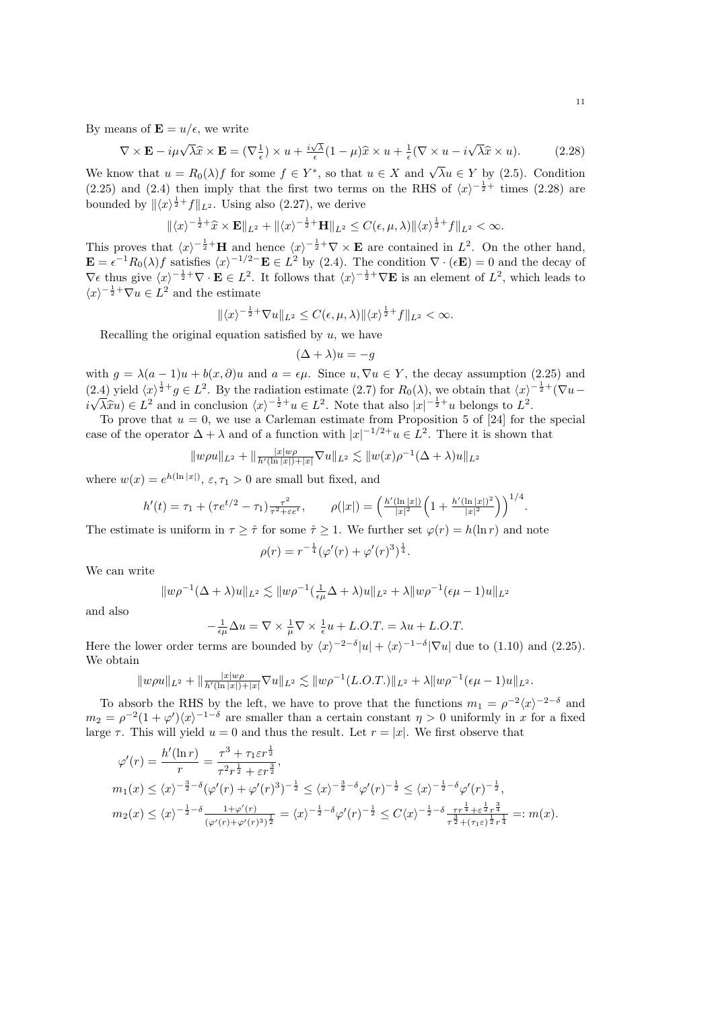By means of  $\mathbf{E} = u/\epsilon$ , we write

$$
\nabla \times \mathbf{E} - i\mu \sqrt{\lambda} \hat{x} \times \mathbf{E} = (\nabla \frac{1}{\epsilon}) \times u + \frac{i\sqrt{\lambda}}{\epsilon} (1 - \mu) \hat{x} \times u + \frac{1}{\epsilon} (\nabla \times u - i\sqrt{\lambda} \hat{x} \times u).
$$
 (2.28)

We know that  $u = R_0(\lambda) f$  for some  $f \in Y^*$ , so that  $u \in X$  and  $\sqrt{\lambda} u \in Y$  by (2.5). Condition (2.25) and (2.4) then imply that the first two terms on the RHS of  $\langle x \rangle^{-\frac{1}{2}+}$  times (2.28) are bounded by  $\|\langle x\rangle^{\frac{1}{2}+}f\|_{L^2}$ . Using also (2.27), we derive

$$
\|\langle x\rangle^{-\frac{1}{2}+}\widehat{x}\times\mathbf{E}\|_{L^2}+\|\langle x\rangle^{-\frac{1}{2}+}\mathbf{H}\|_{L^2}\leq C(\epsilon,\mu,\lambda)\|\langle x\rangle^{\frac{1}{2}+}f\|_{L^2}<\infty.
$$

This proves that  $\langle x \rangle^{-\frac{1}{2}+}H$  and hence  $\langle x \rangle^{-\frac{1}{2}+} \nabla \times \mathbf{E}$  are contained in  $L^2$ . On the other hand,  $\mathbf{E} = \epsilon^{-1} R_0(\lambda) f$  satisfies  $\langle x \rangle^{-1/2-} \mathbf{E} \in L^2$  by (2.4). The condition  $\nabla \cdot (\epsilon \mathbf{E}) = 0$  and the decay of  $\nabla \epsilon$  thus give  $\langle x \rangle^{-\frac{1}{2}+}\nabla \cdot \mathbf{E} \in L^2$ . It follows that  $\langle x \rangle^{-\frac{1}{2}+}\nabla \mathbf{E}$  is an element of  $L^2$ , which leads to  $\langle x \rangle^{-\frac{1}{2}+} \nabla u \in L^2$  and the estimate

$$
\|\langle x\rangle^{-\frac{1}{2}+}\nabla u\|_{L^2}\leq C(\epsilon,\mu,\lambda)\|\langle x\rangle^{\frac{1}{2}+}f\|_{L^2}<\infty.
$$

Recalling the original equation satisfied by  $u$ , we have

$$
(\Delta + \lambda)u = -g
$$

with  $g = \lambda(a-1)u + b(x, \partial)u$  and  $a = \epsilon\mu$ . Since  $u, \nabla u \in Y$ , the decay assumption (2.25) and (2.4) yield  $\langle x \rangle^{\frac{1}{2}+}g \in L^2$ . By the radiation estimate (2.7) for  $R_0(\lambda)$ , we obtain that  $\langle x \rangle^{-\frac{1}{2}+}(\nabla u$ i √  $\widehat{\lambda}xu) \in L^2$  and in conclusion  $\langle x \rangle^{-\frac{1}{2}+}u \in L^2$ . Note that also  $|x|^{-\frac{1}{2}+}u$  belongs to  $L^2$ .<br>To prove that  $u = 0$ , we use a Carloman estimate from Proposition 5 of [24] for t

To prove that  $u = 0$ , we use a Carleman estimate from Proposition 5 of [24] for the special case of the operator  $\Delta + \lambda$  and of a function with  $|x|^{-1/2}$ + $u \in L^2$ . There it is shown that

$$
||w\rho u||_{L^2} + ||\frac{|x|w\rho}{h'(\ln|x|) + |x|} \nabla u||_{L^2} \lesssim ||w(x)\rho^{-1}(\Delta + \lambda)u||_{L^2}
$$

where  $w(x) = e^{h(\ln|x|)}$ ,  $\varepsilon$ ,  $\tau_1 > 0$  are small but fixed, and

−

$$
h'(t) = \tau_1 + (\tau e^{t/2} - \tau_1) \frac{\tau^2}{\tau^2 + \varepsilon e^t}, \qquad \rho(|x|) = \left(\frac{h'(\ln|x|)}{|x|^2} \left(1 + \frac{h'(\ln|x|)^2}{|x|^2}\right)\right)^{1/4}.
$$

The estimate is uniform in  $\tau \geq \hat{\tau}$  for some  $\hat{\tau} \geq 1$ . We further set  $\varphi(r) = h(\ln r)$  and note

$$
\rho(r) = r^{-\frac{1}{4}} (\varphi'(r) + \varphi'(r)^3)^{\frac{1}{4}}.
$$

We can write

$$
||w\rho^{-1}(\Delta+\lambda)u||_{L^{2}} \lesssim ||w\rho^{-1}(\frac{1}{\epsilon\mu}\Delta+\lambda)u||_{L^{2}} + \lambda ||w\rho^{-1}(\epsilon\mu-1)u||_{L^{2}}
$$

and also

$$
\frac{1}{\epsilon\mu}\Delta u = \nabla \times \frac{1}{\mu}\nabla \times \frac{1}{\epsilon}u + L.O.T. = \lambda u + L.O.T.
$$

Here the lower order terms are bounded by  $\langle x \rangle^{-2-\delta} |u| + \langle x \rangle^{-1-\delta} |\nabla u|$  due to (1.10) and (2.25). We obtain

$$
||w\rho u||_{L^{2}} + ||\frac{|x|w\rho}{h'(\ln|x|) + |x|} \nabla u||_{L^{2}} \lesssim ||w\rho^{-1}(L.O.T.)||_{L^{2}} + \lambda ||w\rho^{-1}(\epsilon\mu - 1)u||_{L^{2}}.
$$

To absorb the RHS by the left, we have to prove that the functions  $m_1 = \rho^{-2} \langle x \rangle^{-2-\delta}$  and  $m_2 = \rho^{-2}(1+\varphi')\langle x\rangle^{-1-\delta}$  are smaller than a certain constant  $\eta > 0$  uniformly in x for a fixed large  $\tau$ . This will yield  $u = 0$  and thus the result. Let  $r = |x|$ . We first observe that

$$
\varphi'(r) = \frac{h'(\ln r)}{r} = \frac{\tau^3 + \tau_1 \varepsilon r^{\frac{1}{2}}}{\tau^2 r^{\frac{1}{2}} + \varepsilon r^{\frac{3}{2}}},
$$
  
\n
$$
m_1(x) \leq \langle x \rangle^{-\frac{3}{2} - \delta} (\varphi'(r) + \varphi'(r)^3)^{-\frac{1}{2}} \leq \langle x \rangle^{-\frac{3}{2} - \delta} \varphi'(r)^{-\frac{1}{2}} \leq \langle x \rangle^{-\frac{1}{2} - \delta} \varphi'(r)^{-\frac{1}{2}},
$$
  
\n
$$
m_2(x) \leq \langle x \rangle^{-\frac{1}{2} - \delta} \frac{1 + \varphi'(r)}{(\varphi'(r) + \varphi'(r)^3)^{\frac{1}{2}}} = \langle x \rangle^{-\frac{1}{2} - \delta} \varphi'(r)^{-\frac{1}{2}} \leq C \langle x \rangle^{-\frac{1}{2} - \delta} \frac{\tau r^{\frac{1}{4}} + \varepsilon^{\frac{1}{2}} r^{\frac{3}{4}}}{\tau^{\frac{3}{2}} + (\tau_1 \varepsilon)^{\frac{1}{2}} r^{\frac{1}{4}}} =: m(x).
$$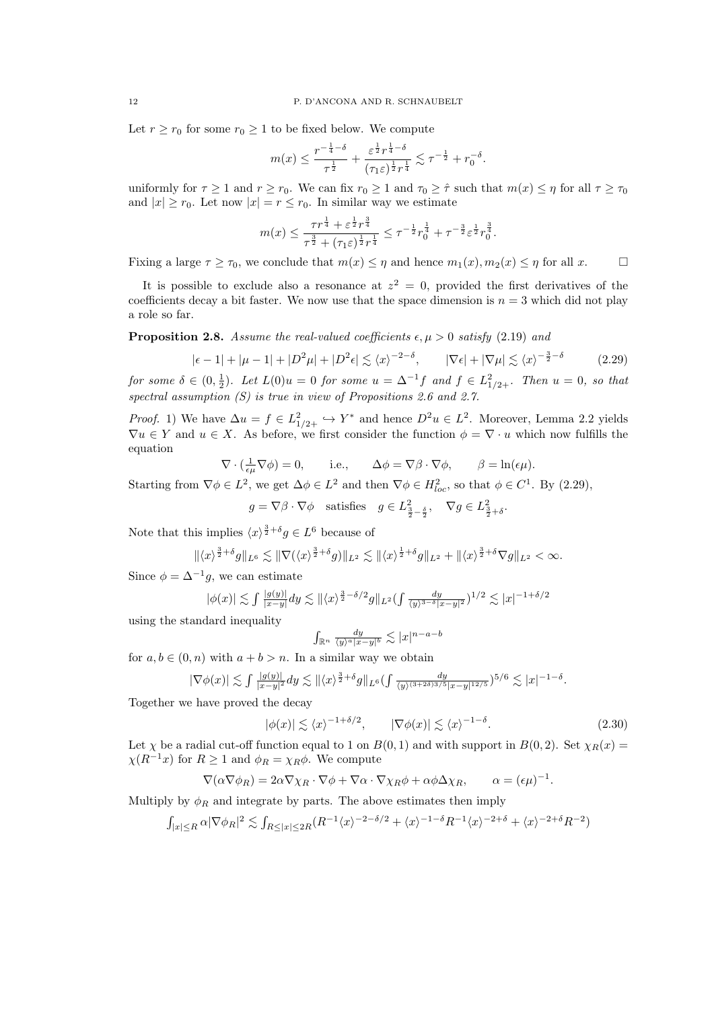Let  $r \ge r_0$  for some  $r_0 \ge 1$  to be fixed below. We compute

$$
m(x) \le \frac{r^{-\frac{1}{4}-\delta}}{\tau^{\frac{1}{2}}} + \frac{\varepsilon^{\frac{1}{2}} r^{\frac{1}{4}-\delta}}{(\tau_1 \varepsilon)^{\frac{1}{2}} r^{\frac{1}{4}}} \lesssim \tau^{-\frac{1}{2}} + r_0^{-\delta}
$$

.

uniformly for  $\tau \ge 1$  and  $r \ge r_0$ . We can fix  $r_0 \ge 1$  and  $\tau_0 \ge \hat{\tau}$  such that  $m(x) \le \eta$  for all  $\tau \ge \tau_0$ and  $|x| \ge r_0$ . Let now  $|x| = r \le r_0$ . In similar way we estimate

$$
m(x) \leq \frac{\tau r^{\frac{1}{4}} + \varepsilon^{\frac{1}{2}} r^{\frac{3}{4}}}{\tau^{\frac{3}{2}} + (\tau_1 \varepsilon)^{\frac{1}{2}} r^{\frac{1}{4}}} \leq \tau^{-\frac{1}{2}} r_0^{\frac{1}{4}} + \tau^{-\frac{3}{2}} \varepsilon^{\frac{1}{2}} r_0^{\frac{3}{4}}.
$$

Fixing a large  $\tau \geq \tau_0$ , we conclude that  $m(x) \leq \eta$  and hence  $m_1(x), m_2(x) \leq \eta$  for all x.

It is possible to exclude also a resonance at  $z^2 = 0$ , provided the first derivatives of the coefficients decay a bit faster. We now use that the space dimension is  $n = 3$  which did not play a role so far.

**Proposition 2.8.** Assume the real-valued coefficients  $\epsilon, \mu > 0$  satisfy (2.19) and

$$
|\epsilon - 1| + |\mu - 1| + |D^2\mu| + |D^2\epsilon| \lesssim \langle x \rangle^{-2 - \delta}, \qquad |\nabla \epsilon| + |\nabla \mu| \lesssim \langle x \rangle^{-\frac{3}{2} - \delta} \tag{2.29}
$$

for some  $\delta \in (0, \frac{1}{2})$ . Let  $L(0)u = 0$  for some  $u = \Delta^{-1}f$  and  $f \in L^2_{1/2+}$ . Then  $u = 0$ , so that spectral assumption  $(S)$  is true in view of Propositions 2.6 and 2.7.

*Proof.* 1) We have  $\Delta u = f \in L^2_{1/2+} \hookrightarrow Y^*$  and hence  $D^2u \in L^2$ . Moreover, Lemma 2.2 yields  $\nabla u \in Y$  and  $u \in X$ . As before, we first consider the function  $\phi = \nabla \cdot u$  which now fulfills the equation

$$
\nabla \cdot (\frac{1}{\epsilon \mu} \nabla \phi) = 0, \quad \text{i.e.,} \quad \Delta \phi = \nabla \beta \cdot \nabla \phi, \quad \beta = \ln(\epsilon \mu).
$$

Starting from  $\nabla \phi \in L^2$ , we get  $\Delta \phi \in L^2$  and then  $\nabla \phi \in H^2_{loc}$ , so that  $\phi \in C^1$ . By  $(2.29)$ ,

$$
g = \nabla \beta \cdot \nabla \phi
$$
 satisfies  $g \in L^2_{\frac{3}{2} - \frac{\delta}{2}}$ ,  $\nabla g \in L^2_{\frac{3}{2} + \delta}$ .

Note that this implies  $\langle x \rangle^{\frac{3}{2}+\delta} g \in L^6$  because of

$$
\|\langle x\rangle^{\frac{3}{2}+\delta}g\|_{L^6}\lesssim \|\nabla(\langle x\rangle^{\frac{3}{2}+\delta}g)\|_{L^2}\lesssim \|\langle x\rangle^{\frac{1}{2}+\delta}g\|_{L^2}+\|\langle x\rangle^{\frac{3}{2}+\delta}\nabla g\|_{L^2}<\infty.
$$

Since  $\phi = \Delta^{-1}g$ , we can estimate

$$
|\phi(x)| \lesssim \int \frac{|g(y)|}{|x-y|} dy \lesssim \| \langle x \rangle^{\frac{3}{2} - \delta/2} g \|_{L^2} \int \frac{dy}{\langle y \rangle^{3-\delta} |x-y|^2} \Big)^{1/2} \lesssim |x|^{-1+\delta/2}
$$

using the standard inequality

$$
\int_{\mathbb{R}^n} \frac{dy}{\langle y \rangle^a |x - y|^b} \lesssim |x|^{n - a - b}
$$

for  $a, b \in (0, n)$  with  $a + b > n$ . In a similar way we obtain

$$
|\nabla \phi(x)| \lesssim \int \frac{|g(y)|}{|x-y|^2} dy \lesssim \| \langle x \rangle^{\frac{3}{2}+\delta} g \|_{L^6} \int \frac{dy}{\langle y \rangle^{(3+2\delta)3/5} |x-y|^{12/5}})^{5/6} \lesssim |x|^{-1-\delta}.
$$

Together we have proved the decay

$$
|\phi(x)| \lesssim \langle x \rangle^{-1 + \delta/2}, \qquad |\nabla \phi(x)| \lesssim \langle x \rangle^{-1 - \delta}.
$$
 (2.30)

Let  $\chi$  be a radial cut-off function equal to 1 on  $B(0, 1)$  and with support in  $B(0, 2)$ . Set  $\chi_R(x) =$  $\chi(R^{-1}x)$  for  $R \geq 1$  and  $\phi_R = \chi_R \phi$ . We compute

$$
\nabla(\alpha \nabla \phi_R) = 2\alpha \nabla \chi_R \cdot \nabla \phi + \nabla \alpha \cdot \nabla \chi_R \phi + \alpha \phi \Delta \chi_R, \qquad \alpha = (\epsilon \mu)^{-1}.
$$

Multiply by  $\phi_R$  and integrate by parts. The above estimates then imply

$$
\textstyle \int_{|x|\leq R} \alpha |\nabla \phi_R|^2 \lesssim \int_{R \leq |x|\leq 2R} (R^{-1} \langle x \rangle^{-2-\delta/2} + \langle x \rangle^{-1-\delta} R^{-1} \langle x \rangle^{-2+\delta} + \langle x \rangle^{-2+\delta} R^{-2})
$$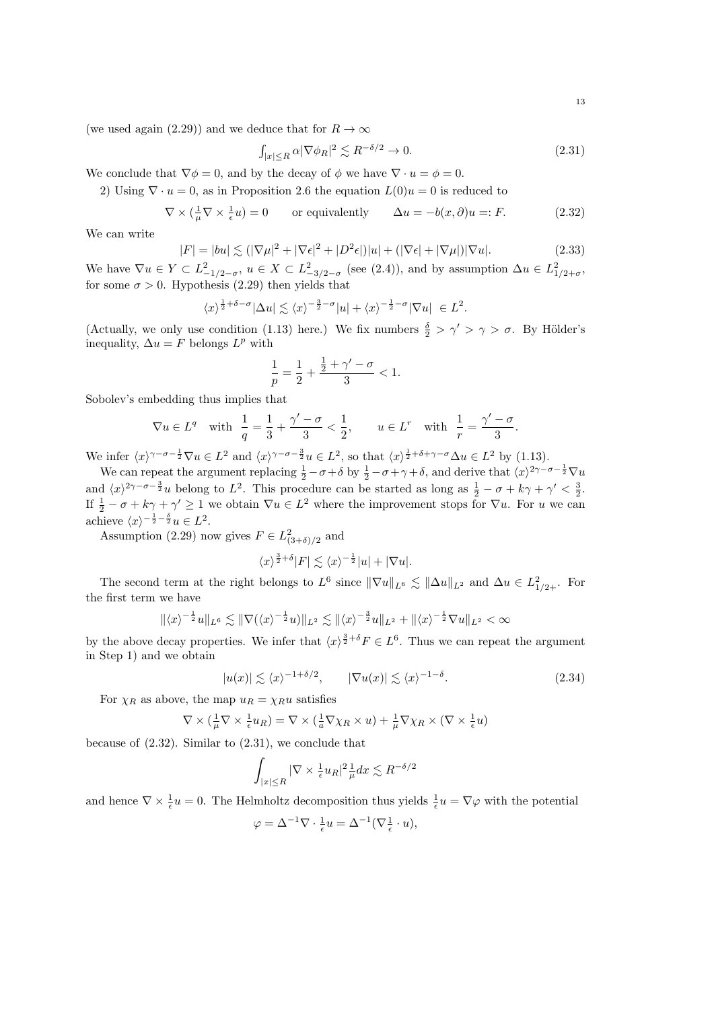(we used again (2.29)) and we deduce that for  $R \to \infty$ 

$$
\int_{|x| \le R} \alpha |\nabla \phi_R|^2 \lesssim R^{-\delta/2} \to 0. \tag{2.31}
$$

We conclude that  $\nabla \phi = 0$ , and by the decay of  $\phi$  we have  $\nabla \cdot u = \phi = 0$ .

2) Using  $\nabla \cdot u = 0$ , as in Proposition 2.6 the equation  $L(0)u = 0$  is reduced to

$$
\nabla \times (\frac{1}{\mu} \nabla \times \frac{1}{\epsilon} u) = 0 \qquad \text{or equivalently} \qquad \Delta u = -b(x, \partial) u =: F. \tag{2.32}
$$

We can write

$$
|F| = |bu| \lesssim (|\nabla \mu|^2 + |\nabla \epsilon|^2 + |D^2 \epsilon|)|u| + (|\nabla \epsilon| + |\nabla \mu|)|\nabla u|.
$$
 (2.33)

We have  $\nabla u \in Y \subset L^2_{-1/2-\sigma}$ ,  $u \in X \subset L^2_{-3/2-\sigma}$  (see (2.4)), and by assumption  $\Delta u \in L^2_{1/2+\sigma}$ , for some  $\sigma > 0$ . Hypothesis (2.29) then yields that

$$
\langle x \rangle^{\frac{1}{2} + \delta - \sigma} |\Delta u| \lesssim \langle x \rangle^{-\frac{3}{2} - \sigma} |u| + \langle x \rangle^{-\frac{1}{2} - \sigma} |\nabla u| \in L^2.
$$

(Actually, we only use condition (1.13) here.) We fix numbers  $\frac{\delta}{2} > \gamma' > \gamma > \sigma$ . By Hölder's inequality,  $\Delta u = F$  belongs  $L^p$  with

$$
\frac{1}{p} = \frac{1}{2} + \frac{\frac{1}{2} + \gamma' - \sigma}{3} < 1.
$$

Sobolev's embedding thus implies that

$$
\nabla u \in L^{q} \quad \text{with} \quad \frac{1}{q} = \frac{1}{3} + \frac{\gamma' - \sigma}{3} < \frac{1}{2}, \qquad u \in L^{r} \quad \text{with} \quad \frac{1}{r} = \frac{\gamma' - \sigma}{3}.
$$

We infer  $\langle x \rangle^{\gamma-\sigma-\frac{1}{2}} \nabla u \in L^2$  and  $\langle x \rangle^{\gamma-\sigma-\frac{3}{2}} u \in L^2$ , so that  $\langle x \rangle^{\frac{1}{2}+\delta+\gamma-\sigma} \Delta u \in L^2$  by (1.13).

We can repeat the argument replacing  $\frac{1}{2} - \sigma + \delta$  by  $\frac{1}{2} - \sigma + \gamma + \delta$ , and derive that  $\langle x \rangle^{2\gamma - \sigma - \frac{1}{2}} \nabla u$ and  $\langle x \rangle^{2\gamma-\sigma-\frac{3}{2}}u$  belong to  $L^2$ . This procedure can be started as long as  $\frac{1}{2} - \sigma + k\gamma + \gamma' < \frac{3}{2}$ . If  $\frac{1}{2} - \sigma + k\gamma + \gamma' \ge 1$  we obtain  $\nabla u \in L^2$  where the improvement stops for  $\nabla u$ . For u we can achieve  $\langle x \rangle^{-\frac{1}{2} - \frac{\delta}{2}} u \in L^2$ .

Assumption (2.29) now gives  $F \in L^2_{(3+\delta)/2}$  and

$$
\langle x \rangle^{\frac{3}{2}+\delta} |F| \lesssim \langle x \rangle^{-\frac{1}{2}} |u| + |\nabla u|.
$$

The second term at the right belongs to  $L^6$  since  $\|\nabla u\|_{L^6} \lesssim \|\Delta u\|_{L^2}$  and  $\Delta u \in L^2_{1/2+}$ . For the first term we have

$$
\|\langle x\rangle^{-\frac{1}{2}}u\|_{L^6} \lesssim \|\nabla(\langle x\rangle^{-\frac{1}{2}}u)\|_{L^2} \lesssim \|\langle x\rangle^{-\frac{3}{2}}u\|_{L^2} + \|\langle x\rangle^{-\frac{1}{2}}\nabla u\|_{L^2} < \infty
$$

by the above decay properties. We infer that  $\langle x \rangle^{\frac{3}{2}+\delta} F \in L^6$ . Thus we can repeat the argument in Step 1) and we obtain

$$
|u(x)| \lesssim \langle x \rangle^{-1+\delta/2}, \qquad |\nabla u(x)| \lesssim \langle x \rangle^{-1-\delta}.
$$
 (2.34)

For  $\chi_R$  as above, the map  $u_R = \chi_R u$  satisfies

$$
\nabla \times (\frac{1}{\mu} \nabla \times \frac{1}{\epsilon} u_R) = \nabla \times (\frac{1}{a} \nabla \chi_R \times u) + \frac{1}{\mu} \nabla \chi_R \times (\nabla \times \frac{1}{\epsilon} u)
$$

because of  $(2.32)$ . Similar to  $(2.31)$ , we conclude that

$$
\int_{|x| \le R} |\nabla \times \frac{1}{\epsilon} u_R|^2 \frac{1}{\mu} dx \lesssim R^{-\delta/2}
$$

and hence  $\nabla \times \frac{1}{\epsilon}u = 0$ . The Helmholtz decomposition thus yields  $\frac{1}{\epsilon}u = \nabla \varphi$  with the potential

$$
\varphi = \Delta^{-1} \nabla \cdot \frac{1}{\epsilon} u = \Delta^{-1} (\nabla \frac{1}{\epsilon} \cdot u),
$$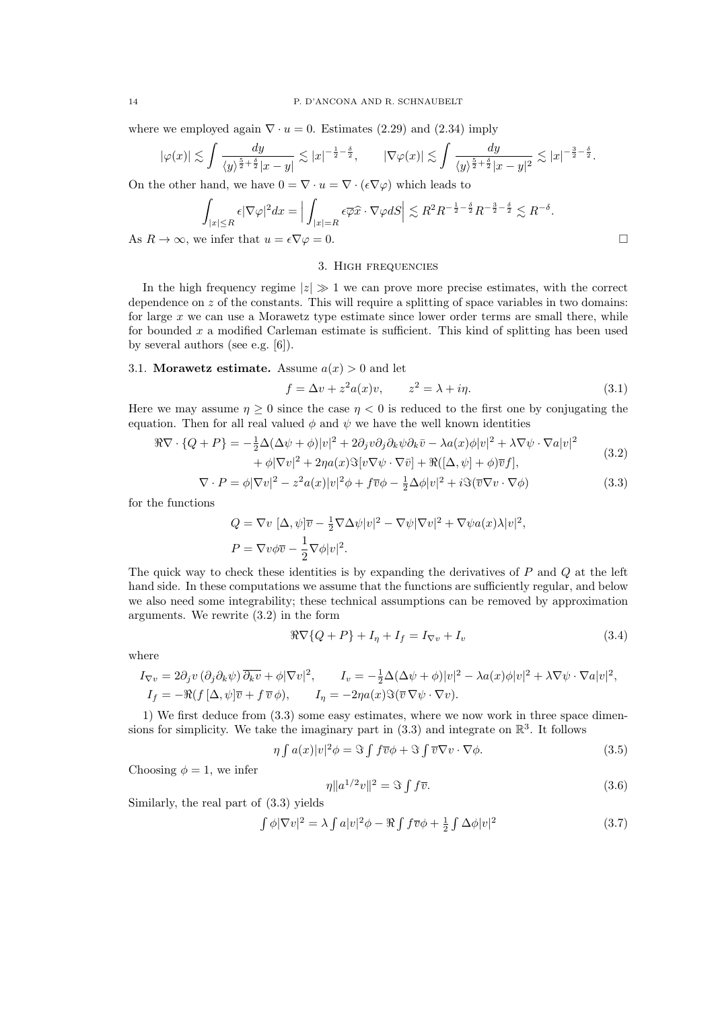where we employed again  $\nabla \cdot u = 0$ . Estimates (2.29) and (2.34) imply

$$
|\varphi(x)| \lesssim \int \frac{dy}{\langle y \rangle^{\frac{5}{2} + \frac{\delta}{2}} |x - y|} \lesssim |x|^{-\frac{1}{2} - \frac{\delta}{2}}, \qquad |\nabla \varphi(x)| \lesssim \int \frac{dy}{\langle y \rangle^{\frac{5}{2} + \frac{\delta}{2}} |x - y|^2} \lesssim |x|^{-\frac{3}{2} - \frac{\delta}{2}}.
$$

On the other hand, we have  $0 = \nabla \cdot u = \nabla \cdot (\epsilon \nabla \varphi)$  which leads to

$$
\int_{|x| \le R} \epsilon |\nabla \varphi|^2 dx = \Big| \int_{|x| = R} \epsilon \overline{\varphi} \widehat{x} \cdot \nabla \varphi dS \Big| \lesssim R^2 R^{-\frac{1}{2} - \frac{\delta}{2}} R^{-\frac{3}{2} - \frac{\delta}{2}} \lesssim R^{-\delta}.
$$
  
we infer that  $u = \epsilon \nabla \varphi = 0$ .

As  $R \to \infty$ , w

## 3. High frequencies

In the high frequency regime  $|z| \gg 1$  we can prove more precise estimates, with the correct dependence on  $z$  of the constants. This will require a splitting of space variables in two domains: for large  $x$  we can use a Morawetz type estimate since lower order terms are small there, while for bounded x a modified Carleman estimate is sufficient. This kind of splitting has been used by several authors (see e.g. [6]).

## 3.1. Morawetz estimate. Assume  $a(x) > 0$  and let

$$
f = \Delta v + z^2 a(x)v, \qquad z^2 = \lambda + i\eta. \tag{3.1}
$$

Here we may assume  $\eta \geq 0$  since the case  $\eta < 0$  is reduced to the first one by conjugating the equation. Then for all real valued  $\phi$  and  $\psi$  we have the well known identities

$$
\Re \nabla \cdot \{Q + P\} = -\frac{1}{2} \Delta (\Delta \psi + \phi) |v|^2 + 2 \partial_j v \partial_j \partial_k \psi \partial_k \bar{v} - \lambda a(x) \phi |v|^2 + \lambda \nabla \psi \cdot \nabla a |v|^2
$$
  
+  $\phi |\nabla v|^2 + 2\eta a(x) \Im [v \nabla \psi \cdot \nabla \bar{v}] + \Re([\Delta, \psi] + \phi) \bar{v} f],$  (3.2)

$$
\nabla \cdot P = \phi |\nabla v|^2 - z^2 a(x) |v|^2 \phi + f \overline{v} \phi - \frac{1}{2} \Delta \phi |v|^2 + i \Im(\overline{v} \nabla v \cdot \nabla \phi)
$$
(3.3)

for the functions

$$
Q = \nabla v \, [\Delta, \psi] \overline{v} - \frac{1}{2} \nabla \Delta \psi |v|^2 - \nabla \psi |\nabla v|^2 + \nabla \psi a(x) \lambda |v|^2,
$$
  

$$
P = \nabla v \phi \overline{v} - \frac{1}{2} \nabla \phi |v|^2.
$$

The quick way to check these identities is by expanding the derivatives of  $P$  and  $Q$  at the left hand side. In these computations we assume that the functions are sufficiently regular, and below we also need some integrability; these technical assumptions can be removed by approximation arguments. We rewrite (3.2) in the form

$$
\Re \nabla \{Q + P\} + I_{\eta} + I_{f} = I_{\nabla v} + I_{v}
$$
\n(3.4)

where

$$
I_{\nabla v} = 2\partial_j v \left( \partial_j \partial_k \psi \right) \overline{\partial_k v} + \phi |\nabla v|^2, \qquad I_v = -\frac{1}{2} \Delta (\Delta \psi + \phi) |v|^2 - \lambda a(x) \phi |v|^2 + \lambda \nabla \psi \cdot \nabla a |v|^2,
$$
  
\n
$$
I_f = -\Re \left( f[\Delta, \psi] \overline{v} + f \overline{v} \phi \right), \qquad I_\eta = -2\eta a(x) \Im (\overline{v} \nabla \psi \cdot \nabla v).
$$

1) We first deduce from (3.3) some easy estimates, where we now work in three space dimensions for simplicity. We take the imaginary part in  $(3.3)$  and integrate on  $\mathbb{R}^3$ . It follows

$$
\eta \int a(x)|v|^2 \phi = \Im \int f \overline{v} \phi + \Im \int \overline{v} \nabla v \cdot \nabla \phi. \tag{3.5}
$$

Choosing  $\phi = 1$ , we infer

$$
\eta \|a^{1/2}v\|^2 = \Im \int f\overline{v}.\tag{3.6}
$$

Similarly, the real part of (3.3) yields

$$
\int \phi |\nabla v|^2 = \lambda \int a|v|^2 \phi - \Re \int f \overline{v} \phi + \frac{1}{2} \int \Delta \phi |v|^2 \tag{3.7}
$$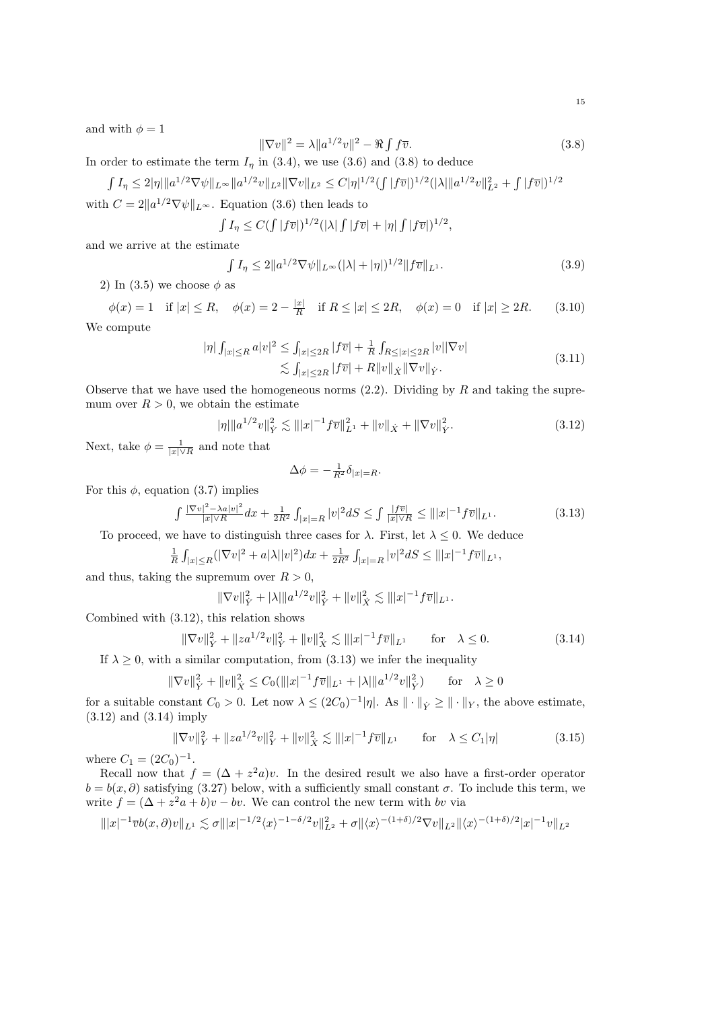and with  $\phi = 1$ 

$$
\|\nabla v\|^2 = \lambda \|a^{1/2}v\|^2 - \Re \int f\overline{v}.\tag{3.8}
$$

In order to estimate the term  $I_{\eta}$  in (3.4), we use (3.6) and (3.8) to deduce

 $\int I_{\eta} \leq 2|\eta| \|a^{1/2}\nabla \psi\|_{L^{\infty}} \|a^{1/2}v\|_{L^2} \|\nabla v\|_{L^2} \leq C|\eta|^{1/2} (\int |f\overline{v}|)^{1/2} (|\lambda| \|a^{1/2}v\|_{L^2}^2 + \int |f\overline{v}|)^{1/2}$ 

with  $C = 2||a^{1/2}\nabla \psi||_{L^{\infty}}$ . Equation (3.6) then leads to

$$
\int I_{\eta} \leq C (\int |f\overline{v}|)^{1/2} (|\lambda| \int |f\overline{v}| + |\eta| \int |f\overline{v}|)^{1/2},
$$

and we arrive at the estimate

$$
\int I_{\eta} \le 2 \|a^{1/2} \nabla \psi\|_{L^{\infty}} (|\lambda| + |\eta|)^{1/2} \|f\overline{v}\|_{L^{1}}.
$$
 (3.9)

2) In (3.5) we choose  $\phi$  as

$$
\phi(x) = 1 \quad \text{if } |x| \le R, \quad \phi(x) = 2 - \frac{|x|}{R} \quad \text{if } R \le |x| \le 2R, \quad \phi(x) = 0 \quad \text{if } |x| \ge 2R. \tag{3.10}
$$

We compute

$$
|\eta| \int_{|x| \le R} a|v|^2 \le \int_{|x| \le 2R} |f\overline{v}| + \frac{1}{R} \int_{R \le |x| \le 2R} |v||\nabla v|
$$
  
\$\lesssim \int\_{|x| \le 2R} |f\overline{v}| + R||v||\_{\dot{X}} ||\nabla v||\_{\dot{Y}}. \tag{3.11}

Observe that we have used the homogeneous norms  $(2.2)$ . Dividing by R and taking the supremum over  $R > 0$ , we obtain the estimate

$$
|\eta| \|a^{1/2}v\|_{\dot{Y}}^2 \lesssim |||x|^{-1}f\overline{v}||_{L^1}^2 + ||v||_{\dot{X}} + ||\nabla v||_{\dot{Y}}^2.
$$
\n(3.12)

Next, take  $\phi = \frac{1}{|x| \vee R}$  and note that

$$
\Delta \phi = -\frac{1}{R^2} \delta_{|x|=R}.
$$

For this  $\phi$ , equation (3.7) implies

$$
\int \frac{|\nabla v|^2 - \lambda a|v|^2}{|x|\sqrt{R}} dx + \frac{1}{2R^2} \int_{|x|=R} |v|^2 dS \le \int \frac{|f\overline{v}|}{|x|\sqrt{R}} \le |||x|^{-1} f\overline{v}||_{L^1}.
$$
 (3.13)

To proceed, we have to distinguish three cases for  $\lambda$ . First, let  $\lambda \leq 0$ . We deduce

$$
\frac{1}{R} \int_{|x| \le R} (|\nabla v|^2 + a|\lambda||v|^2) dx + \frac{1}{2R^2} \int_{|x| = R} |v|^2 dS \le |||x|^{-1} f \overline{v}||_{L^1},
$$

and thus, taking the supremum over  $R > 0$ ,

$$
\|\nabla v\|_{\dot{Y}}^2 + |\lambda| \|a^{1/2}v\|_{\dot{Y}}^2 + \|v\|_{\dot{X}}^2 \lesssim |||x|^{-1} f\overline{v}||_{L^1}.
$$

Combined with (3.12), this relation shows

$$
\|\nabla v\|_{\dot{Y}}^2 + \|z a^{1/2} v\|_{\dot{Y}}^2 + \|v\|_{\dot{X}}^2 \lesssim \| |x|^{-1} f \overline{v} \|_{L^1} \quad \text{for} \quad \lambda \le 0. \tag{3.14}
$$

If  $\lambda \geq 0$ , with a similar computation, from (3.13) we infer the inequality

$$
\|\nabla v\|_{\dot{Y}}^2 + \|v\|_{\dot{X}}^2 \le C_0 (\||x|^{-1} f \overline{v}\|_{L^1} + |\lambda| \|a^{1/2} v\|_{\dot{Y}}^2) \quad \text{for} \quad \lambda \ge 0
$$

for a suitable constant  $C_0 > 0$ . Let now  $\lambda \leq (2C_0)^{-1} |\eta|$ . As  $\|\cdot\|_Y \geq \|\cdot\|_Y$ , the above estimate, (3.12) and (3.14) imply

$$
\|\nabla v\|_{Y}^{2} + \|z a^{1/2} v\|_{Y}^{2} + \|v\|_{X}^{2} \lesssim \| |x|^{-1} f\overline{v} \|_{L^{1}} \quad \text{for} \quad \lambda \le C_{1} |\eta| \tag{3.15}
$$

where  $C_1 = (2C_0)^{-1}$ .

Recall now that  $f = (\Delta + z^2 a)v$ . In the desired result we also have a first-order operator  $b = b(x, \partial)$  satisfying (3.27) below, with a sufficiently small constant  $\sigma$ . To include this term, we write  $f = (\Delta + z^2 a + b)v - bv$ . We can control the new term with by via

$$
\| |x|^{-1} \overline{v} b(x, \partial) v \|_{L^1} \lesssim \sigma \| |x|^{-1/2} \langle x \rangle^{-1-\delta/2} v \|_{L^2}^2 + \sigma \| \langle x \rangle^{-(1+\delta)/2} \nabla v \|_{L^2} \| \langle x \rangle^{-(1+\delta)/2} |x|^{-1} v \|_{L^2}
$$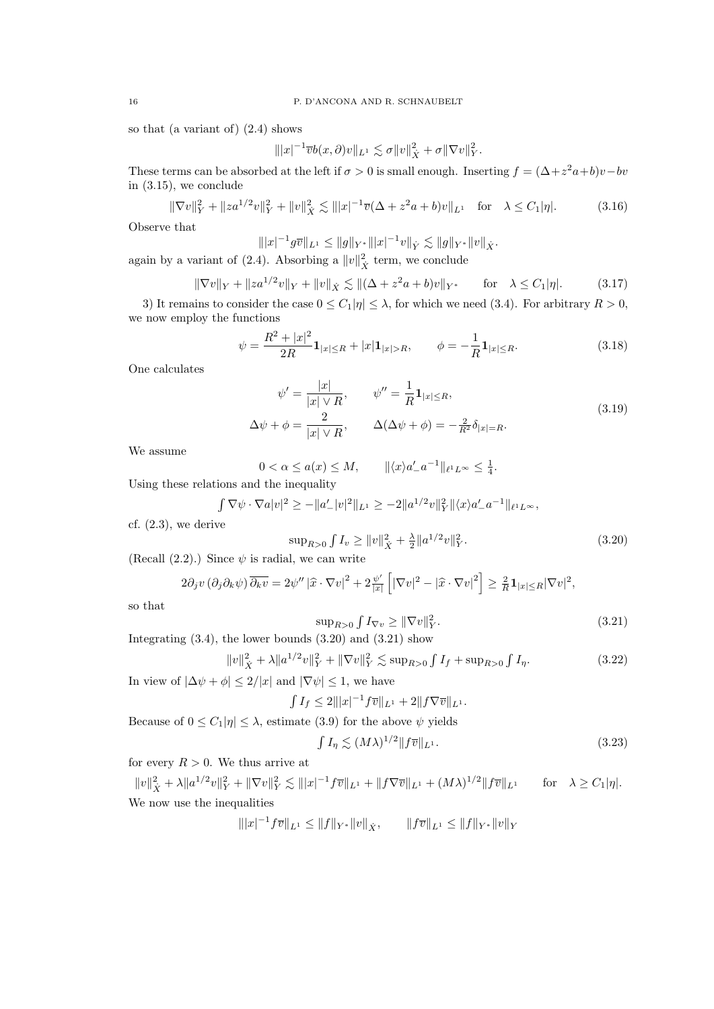so that (a variant of) (2.4) shows

$$
\||x|^{-1}\overline{v}b(x,\partial)v\|_{L^1}\lesssim \sigma||v\|_{\dot{X}}^2+\sigma||\nabla v||_Y^2.
$$

These terms can be absorbed at the left if  $\sigma > 0$  is small enough. Inserting  $f = (\Delta + z^2 a + b)v - bv$ in (3.15), we conclude

$$
\|\nabla v\|_{Y}^{2} + \|z a^{1/2} v\|_{Y}^{2} + \|v\|_{X}^{2} \lesssim \||x|^{-1} \overline{v} (\Delta + z^{2} a + b) v\|_{L^{1}} \quad \text{for} \quad \lambda \le C_{1} |\eta|.
$$
 (3.16)

Observe that

$$
\| |x|^{-1} g \overline{v} \|_{L^1} \leq \| g \|_{Y^*} \| |x|^{-1} v \|_{Y} \lesssim \| g \|_{Y^*} \| v \|_{X}.
$$

again by a variant of (2.4). Absorbing a  $||v||^2_{\dot{X}}$  term, we conclude

$$
\|\nabla v\|_{Y} + \|za^{1/2}v\|_{Y} + \|v\|_{X} \lesssim \|(\Delta + z^2a + b)v\|_{Y^*} \quad \text{for} \quad \lambda \le C_1|\eta|. \tag{3.17}
$$

3) It remains to consider the case  $0 \le C_1|\eta| \le \lambda$ , for which we need (3.4). For arbitrary  $R > 0$ , we now employ the functions

$$
\psi = \frac{R^2 + |x|^2}{2R} \mathbf{1}_{|x| \le R} + |x| \mathbf{1}_{|x| > R}, \qquad \phi = -\frac{1}{R} \mathbf{1}_{|x| \le R}.
$$
\n(3.18)

One calculates

$$
\psi' = \frac{|x|}{|x| \vee R}, \qquad \psi'' = \frac{1}{R} \mathbf{1}_{|x| \le R},
$$
  
\n
$$
\Delta \psi + \phi = \frac{2}{|x| \vee R}, \qquad \Delta(\Delta \psi + \phi) = -\frac{2}{R^2} \delta_{|x| = R}.
$$
\n(3.19)

We assume

 $0 < \alpha \le a(x) \le M$ ,  $\|\langle x \rangle a'_{-} a^{-1} \|_{\ell^1 L^\infty} \le \frac{1}{4}$ .

Using these relations and the inequality

$$
\int \nabla \psi \cdot \nabla a|v|^2 \ge -\|a'_{-}|v|^2\|_{L^1} \ge -2\|a^{1/2}v\|_{Y}^2 \|\langle x\rangle a'_{-}a^{-1}\|_{\ell^1 L^\infty},
$$

cf.  $(2.3)$ , we derive

$$
\sup_{R>0} \int I_v \ge ||v||_X^2 + \frac{\lambda}{2} ||a^{1/2}v||_Y^2. \tag{3.20}
$$

(Recall  $(2.2)$ .) Since  $\psi$  is radial, we can write

$$
2\partial_j v \left(\partial_j \partial_k \psi\right) \overline{\partial_k v} = 2\psi'' \left| \widehat{x} \cdot \nabla v \right|^2 + 2\frac{\psi'}{|x|} \left[ |\nabla v|^2 - \left| \widehat{x} \cdot \nabla v \right|^2 \right] \ge \frac{2}{R} \mathbf{1}_{|x| \le R} |\nabla v|^2,
$$

so that

$$
\sup_{R>0} \int I_{\nabla v} \ge \|\nabla v\|_Y^2. \tag{3.21}
$$

Integrating  $(3.4)$ , the lower bounds  $(3.20)$  and  $(3.21)$  show

$$
||v||_{\dot{X}}^2 + \lambda ||a^{1/2}v||_Y^2 + ||\nabla v||_Y^2 \lesssim \sup_{R>0} \int I_f + \sup_{R>0} \int I_\eta. \tag{3.22}
$$

In view of  $|\Delta \psi + \phi| \leq 2/|x|$  and  $|\nabla \psi| \leq 1$ , we have

$$
\int I_f \le 2|||x|^{-1}f\overline{v}||_{L^1} + 2||f\nabla \overline{v}||_{L^1}.
$$

Because of  $0 \le C_1 |\eta| \le \lambda$ , estimate (3.9) for the above  $\psi$  yields

$$
\int I_{\eta} \lesssim (M\lambda)^{1/2} \|f\overline{v}\|_{L^{1}}.
$$
\n(3.23)

for every  $R > 0$ . We thus arrive at

 $||v||_X^2 + \lambda ||a^{1/2}v||_Y^2 + ||\nabla v||_Y^2 \lesssim |||x|^{-1}f\overline{v}||_{L^1} + ||f\nabla \overline{v}||_{L^1} + (M\lambda)^{1/2}||f\overline{v}||_{L^1}$  for  $\lambda \ge C_1|\eta|.$ We now use the inequalities

$$
\| |x|^{-1} f \overline{v} \|_{L^1} \le \| f \|_{Y^*} \| v \|_{X}, \qquad \| f \overline{v} \|_{L^1} \le \| f \|_{Y^*} \| v \|_{Y^*}
$$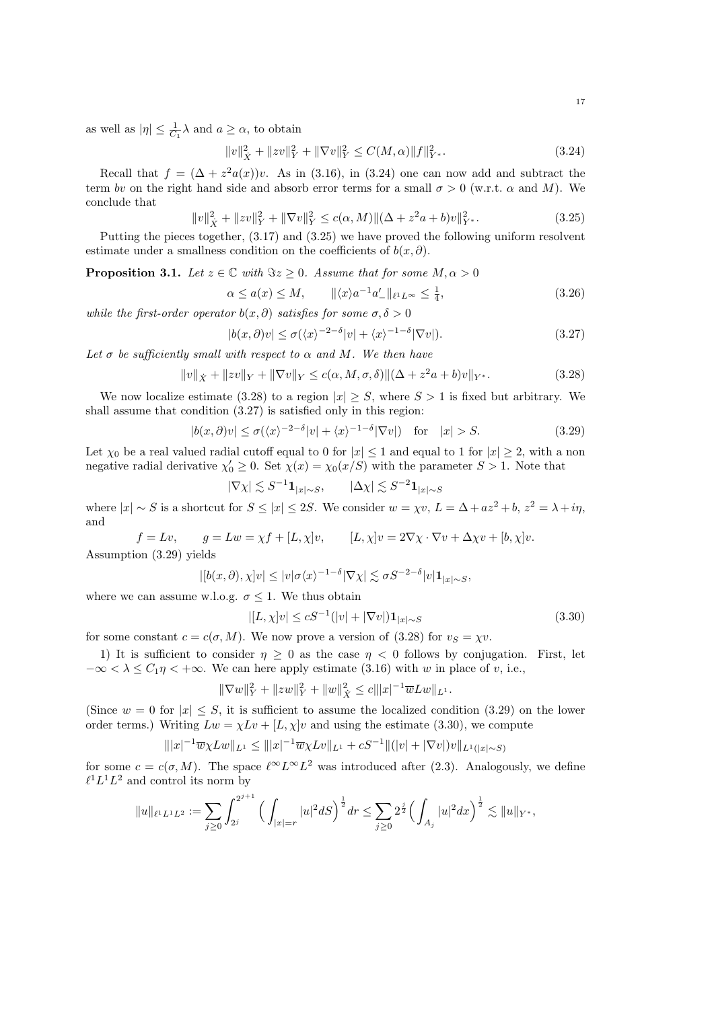as well as  $|\eta| \leq \frac{1}{C_1} \lambda$  and  $a \geq \alpha$ , to obtain

$$
||v||_{\dot{X}}^2 + ||zv||_Y^2 + ||\nabla v||_Y^2 \le C(M, \alpha) ||f||_{Y^*}^2.
$$
\n(3.24)

Recall that  $f = (\Delta + z^2 a(x))v$ . As in (3.16), in (3.24) one can now add and subtract the term by on the right hand side and absorb error terms for a small  $\sigma > 0$  (w.r.t.  $\alpha$  and M). We conclude that

$$
||v||_{\dot{X}}^2 + ||zv||_Y^2 + ||\nabla v||_Y^2 \le c(\alpha, M) ||(\Delta + z^2 a + b)v||_{Y^*}^2.
$$
\n(3.25)

Putting the pieces together, (3.17) and (3.25) we have proved the following uniform resolvent estimate under a smallness condition on the coefficients of  $b(x, \partial)$ .

**Proposition 3.1.** Let  $z \in \mathbb{C}$  with  $\Im z \geq 0$ . Assume that for some  $M, \alpha > 0$ 

$$
\alpha \le a(x) \le M, \qquad \|\langle x \rangle a^{-1} a'_{-} \|_{\ell^1 L^\infty} \le \frac{1}{4}, \tag{3.26}
$$

while the first-order operator  $b(x, \partial)$  satisfies for some  $\sigma, \delta > 0$ 

$$
|b(x,\partial)v| \le \sigma(\langle x \rangle^{-2-\delta}|v| + \langle x \rangle^{-1-\delta}|\nabla v|). \tag{3.27}
$$

Let  $\sigma$  be sufficiently small with respect to  $\alpha$  and M. We then have

 $||v||_{\dot{X}} + ||zv||_{Y} + ||\nabla v||_{Y} \leq c(\alpha, M, \sigma, \delta) ||(\Delta + z^2 a + b)v||_{Y^*}.$  (3.28)

We now localize estimate (3.28) to a region  $|x| \geq S$ , where  $S > 1$  is fixed but arbitrary. We shall assume that condition (3.27) is satisfied only in this region:

$$
|b(x,\partial)v| \le \sigma(\langle x\rangle^{-2-\delta}|v| + \langle x\rangle^{-1-\delta}|\nabla v|) \quad \text{for} \quad |x| > S. \tag{3.29}
$$

Let  $\chi_0$  be a real valued radial cutoff equal to 0 for  $|x| \le 1$  and equal to 1 for  $|x| \ge 2$ , with a non negative radial derivative  $\chi'_0 \geq 0$ . Set  $\chi(x) = \chi_0(x/S)$  with the parameter  $S > 1$ . Note that

$$
|\nabla \chi| \lesssim S^{-1} \mathbf{1}_{|x| \sim S}, \qquad |\Delta \chi| \lesssim S^{-2} \mathbf{1}_{|x| \sim S}
$$

where  $|x| \sim S$  is a shortcut for  $S \le |x| \le 2S$ . We consider  $w = \chi v$ ,  $L = \Delta + az^2 + b$ ,  $z^2 = \lambda + i\eta$ , and

$$
f = Lv, \qquad g = Lw = \chi f + [L, \chi]v, \qquad [L, \chi]v = 2\nabla\chi \cdot \nabla v + \Delta\chi v + [b, \chi]v.
$$

Assumption (3.29) yields

$$
|[b(x,\partial),\chi]v| \le |v|\sigma\langle x\rangle^{-1-\delta}|\nabla\chi| \lesssim \sigma S^{-2-\delta}|v|\mathbf{1}_{|x|\sim S},
$$

where we can assume w.l.o.g.  $\sigma \leq 1$ . We thus obtain

$$
|[L, \chi]v| \le cS^{-1}(|v| + |\nabla v|) \mathbf{1}_{|x| \sim S}
$$
\n(3.30)

for some constant  $c = c(\sigma, M)$ . We now prove a version of (3.28) for  $v_s = \chi v$ .

1) It is sufficient to consider  $\eta \geq 0$  as the case  $\eta < 0$  follows by conjugation. First, let  $-\infty < \lambda \leq C_1 \eta < +\infty$ . We can here apply estimate (3.16) with w in place of v, i.e.,

$$
\|\nabla w\|_Y^2 + \|zw\|_Y^2 + \|w\|_X^2 \le c \||x|^{-1} \overline{w}Lw\|_{L^1}.
$$

(Since  $w = 0$  for  $|x| \leq S$ , it is sufficient to assume the localized condition (3.29) on the lower order terms.) Writing  $Lw = \chi Lv + [L, \chi]v$  and using the estimate (3.30), we compute

$$
\| |x|^{-1} \overline{w} \chi Lw \|_{L^1} \le \| |x|^{-1} \overline{w} \chi Lv \|_{L^1} + cS^{-1} \| (|v| + |\nabla v|) v \|_{L^1(|x| \sim S)}
$$

for some  $c = c(\sigma, M)$ . The space  $\ell^{\infty} L^{\infty} L^2$  was introduced after (2.3). Analogously, we define  $\ell^1 L^1 L^2$  and control its norm by

$$
||u||_{\ell^1 L^1 L^2} := \sum_{j\geq 0} \int_{2^j}^{2^{j+1}} \Big( \int_{|x|=r} |u|^2 dS \Big)^{\frac{1}{2}} dr \leq \sum_{j\geq 0} 2^{\frac{j}{2}} \Big( \int_{A_j} |u|^2 dx \Big)^{\frac{1}{2}} \lesssim ||u||_{Y^*},
$$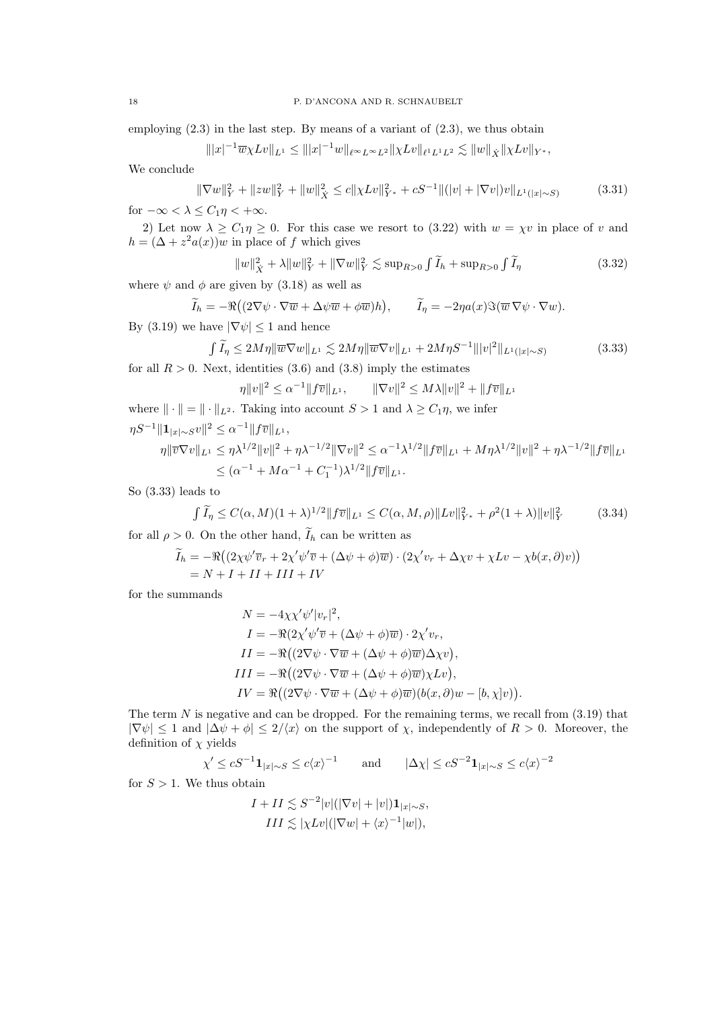employing  $(2.3)$  in the last step. By means of a variant of  $(2.3)$ , we thus obtain

$$
\| |x|^{-1} \overline{w} \chi L v \|_{L^1} \le \| |x|^{-1} w \|_{\ell^{\infty} L^{\infty} L^2} \| \chi L v \|_{\ell^1 L^1 L^2} \lesssim \| w \|_{\dot{X}} \| \chi L v \|_{Y^*},
$$

We conclude

$$
\|\nabla w\|_{Y}^{2} + \|zw\|_{Y}^{2} + \|w\|_{X}^{2} \le c\|\chi Lv\|_{Y^{*}}^{2} + cS^{-1}\|(|v| + |\nabla v|)v\|_{L^{1}(|x|\sim S)}
$$
(3.31)

for  $-\infty < \lambda \leq C_1 \eta < +\infty$ .

2) Let now  $\lambda \ge C_1 \eta \ge 0$ . For this case we resort to (3.22) with  $w = \chi v$  in place of v and  $h = (\Delta + z^2 a(x))w$  in place of f which gives

$$
||w||_{\dot{X}}^2 + \lambda ||w||_Y^2 + ||\nabla w||_Y^2 \lesssim \sup_{R>0} \int \widetilde{I}_h + \sup_{R>0} \int \widetilde{I}_\eta
$$
\n(3.32)

where  $\psi$  and  $\phi$  are given by (3.18) as well as

$$
\widetilde{I}_h = -\Re\big((2\nabla\psi \cdot \nabla \overline{w} + \Delta \psi \overline{w} + \phi \overline{w})h\big), \qquad \widetilde{I}_\eta = -2\eta a(x)\Im(\overline{w}\,\nabla\psi \cdot \nabla w).
$$

By (3.19) we have  $|\nabla \psi| \leq 1$  and hence

$$
\int \widetilde{I}_{\eta} \le 2M\eta \|\overline{w}\nabla w\|_{L^{1}} \lesssim 2M\eta \|\overline{w}\nabla v\|_{L^{1}} + 2M\eta S^{-1} \| |v|^{2} \|_{L^{1}(|x|\sim S)}
$$
\n(3.33)

for all 
$$
R > 0
$$
. Next, identities (3.6) and (3.8) imply the estimates

$$
\eta \|v\|^2 \le \alpha^{-1} \|f\overline{v}\|_{L^1}, \qquad \|\nabla v\|^2 \le M\lambda \|v\|^2 + \|f\overline{v}\|_{L^1}
$$

where  $\|\cdot\| = \|\cdot\|_{L^2}$ . Taking into account  $S > 1$  and  $\lambda \ge C_1 \eta$ , we infer  $\eta S^{-1} \|{\mathbf 1}_{|x|\sim S} v\|^2 \leq \alpha^{-1} \|f\overline{v}\|_{L^1},$  $\eta \|\overline{v}\nabla v\|_{L^1} \leq \eta \lambda^{1/2} \|v\|^2 + \eta \lambda^{-1/2} \|\nabla v\|^2 \leq \alpha^{-1} \lambda^{1/2} \|f\overline{v}\|_{L^1} + M\eta \lambda^{1/2} \|v\|^2 + \eta \lambda^{-1/2} \|f\overline{v}\|_{L^1}$ 

$$
\leq (\alpha^{-1} + M\alpha^{-1} + C_1^{-1})\lambda^{1/2} ||f\overline{v}||_{L^1}.
$$

So (3.33) leads to

$$
\int \widetilde{I}_{\eta} \le C(\alpha, M)(1 + \lambda)^{1/2} \|f\overline{v}\|_{L^{1}} \le C(\alpha, M, \rho) \|Lv\|_{Y^{*}}^{2} + \rho^{2}(1 + \lambda) \|v\|_{Y}^{2}
$$
(3.34)

for all  $\rho > 0$ . On the other hand,  $\widetilde{I}_h$  can be written as

$$
\widetilde{I}_h = -\Re((2\chi\psi'\overline{v}_r + 2\chi'\psi'\overline{v} + (\Delta\psi + \phi)\overline{w}) \cdot (2\chi'v_r + \Delta\chi v + \chi Lv - \chi b(x,\partial)v))
$$
  
= N + I + II + III + IV

for the summands

$$
N = -4\chi \chi' \psi' |v_r|^2,
$$
  
\n
$$
I = -\Re(2\chi' \psi' \overline{v} + (\Delta \psi + \phi)\overline{w}) \cdot 2\chi' v_r,
$$
  
\n
$$
II = -\Re((2\nabla \psi \cdot \nabla \overline{w} + (\Delta \psi + \phi)\overline{w})\Delta \chi v),
$$
  
\n
$$
III = -\Re((2\nabla \psi \cdot \nabla \overline{w} + (\Delta \psi + \phi)\overline{w})\chi Lv),
$$
  
\n
$$
IV = \Re((2\nabla \psi \cdot \nabla \overline{w} + (\Delta \psi + \phi)\overline{w})(b(x, \partial)w - [b, \chi]v)).
$$

The term  $N$  is negative and can be dropped. For the remaining terms, we recall from  $(3.19)$  that  $|\nabla \psi| \leq 1$  and  $|\Delta \psi + \phi| \leq 2/\langle x \rangle$  on the support of  $\chi$ , independently of  $R > 0$ . Moreover, the definition of  $\chi$  yields

$$
\chi' \leq cS^{-1} \mathbf{1}_{|x| \sim S} \leq c \langle x \rangle^{-1}
$$
 and  $|\Delta \chi| \leq cS^{-2} \mathbf{1}_{|x| \sim S} \leq c \langle x \rangle^{-2}$ 

for  $S > 1$ . We thus obtain

$$
I + II \lesssim S^{-2}|v|(|\nabla v| + |v|)\mathbf{1}_{|x|\sim S},
$$
  
\n
$$
III \lesssim |\chi Lv|(|\nabla w| + \langle x \rangle^{-1}|w|),
$$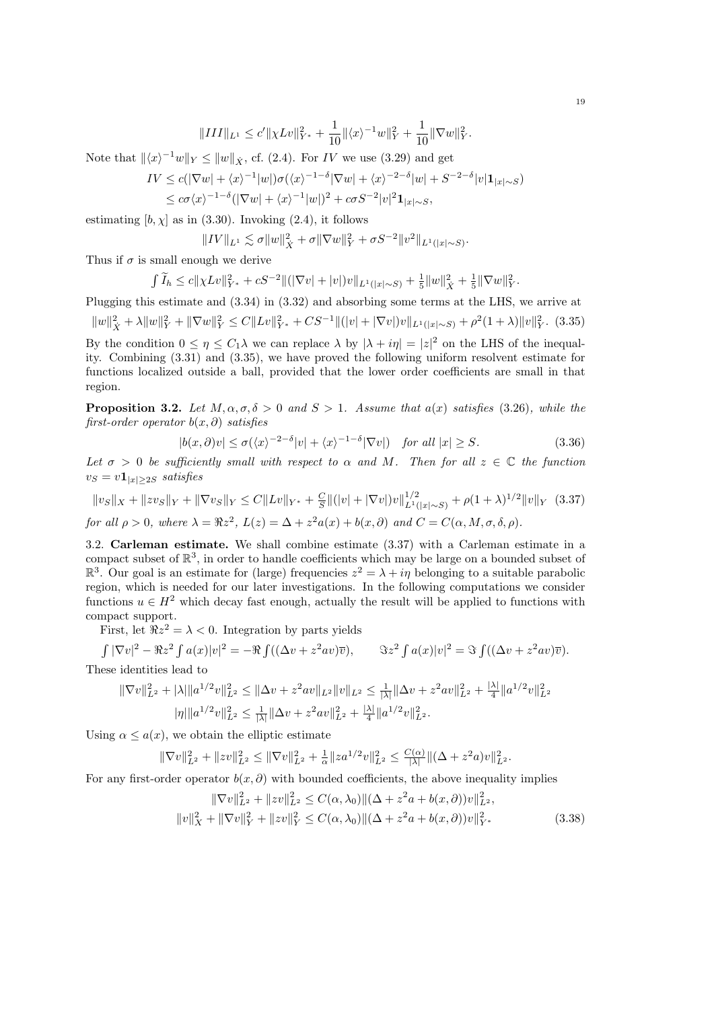$$
\|III\|_{L^1}\leq c'\|\chi Lv\|_{Y^*}^2+\frac{1}{10}\|\langle x\rangle^{-1}w\|_Y^2+\frac{1}{10}\|\nabla w\|_Y^2.
$$

Note that  $\|\langle x\rangle^{-1}w\|_Y \le \|w\|_{\dot{X}}$ , cf. (2.4). For IV we use (3.29) and get

$$
IV \le c(|\nabla w| + \langle x \rangle^{-1}|w|) \sigma(\langle x \rangle^{-1-\delta} |\nabla w| + \langle x \rangle^{-2-\delta} |w| + S^{-2-\delta} |v| \mathbf{1}_{|x| \sim S})
$$
  

$$
\le c\sigma \langle x \rangle^{-1-\delta} (|\nabla w| + \langle x \rangle^{-1}|w|)^2 + c\sigma S^{-2} |v|^2 \mathbf{1}_{|x| \sim S},
$$

estimating  $[b, \chi]$  as in (3.30). Invoking (2.4), it follows

 $||IV||_{L^{1}} \lesssim \sigma ||w||_{\dot{X}}^{2} + \sigma ||\nabla w||_{Y}^{2} + \sigma S^{-2} ||v^{2}||_{L^{1}(|x| \sim S)}.$ 

Thus if  $\sigma$  is small enough we derive

$$
\int \widetilde{I}_h \leq c \| \chi Lv \|_{Y^*}^2 + cS^{-2} \| (|\nabla v| + |v|) v \|_{L^1(|x| \sim S)} + \frac{1}{5} \|w\|_X^2 + \frac{1}{5} \|\nabla w\|_Y^2.
$$

Plugging this estimate and (3.34) in (3.32) and absorbing some terms at the LHS, we arrive at

 $||w||_X^2 + \lambda ||w||_Y^2 + ||\nabla w||_Y^2 \leq C||Lv||_{Y^*}^2 + CS^{-1}||(|v| + |\nabla v|)v||_{L^1(|x|\sim S)} + \rho^2(1+\lambda) ||v||_Y^2.$  (3.35) By the condition  $0 \le \eta \le C_1 \lambda$  we can replace  $\lambda$  by  $|\lambda + i\eta| = |z|^2$  on the LHS of the inequality. Combining (3.31) and (3.35), we have proved the following uniform resolvent estimate for functions localized outside a ball, provided that the lower order coefficients are small in that region.

**Proposition 3.2.** Let  $M, \alpha, \sigma, \delta > 0$  and  $S > 1$ . Assume that  $a(x)$  satisfies (3.26), while the first-order operator  $b(x, \partial)$  satisfies

$$
|b(x,\partial)v| \le \sigma(\langle x \rangle^{-2-\delta}|v| + \langle x \rangle^{-1-\delta}|\nabla v|) \quad \text{for all } |x| \ge S. \tag{3.36}
$$

Let  $\sigma > 0$  be sufficiently small with respect to  $\alpha$  and M. Then for all  $z \in \mathbb{C}$  the function  $v_S = v \mathbf{1}_{|x|>2S}$  satisfies

$$
||v_S||_X + ||z v_S||_Y + ||\nabla v_S||_Y \le C||Lv||_{Y^*} + \frac{C}{S}||(|v| + |\nabla v|)v||_{L^1(|x|\sim S)}^{1/2} + \rho(1+\lambda)^{1/2}||v||_Y \tag{3.37}
$$
  
for all  $\rho > 0$ , where  $\lambda = \Re z^2$ ,  $L(z) = \Delta + z^2 a(x) + b(x, \partial)$  and  $C = C(\alpha, M, \sigma, \delta, \rho)$ .

3.2. Carleman estimate. We shall combine estimate (3.37) with a Carleman estimate in a compact subset of  $\mathbb{R}^3$ , in order to handle coefficients which may be large on a bounded subset of  $\mathbb{R}^3$ . Our goal is an estimate for (large) frequencies  $z^2 = \lambda + i\eta$  belonging to a suitable parabolic region, which is needed for our later investigations. In the following computations we consider functions  $u \in H^2$  which decay fast enough, actually the result will be applied to functions with compact support.

First, let  $\Re z^2 = \lambda < 0$ . Integration by parts yields

$$
\int |\nabla v|^2 - \Re z^2 \int a(x)|v|^2 = -\Re \int ((\Delta v + z^2 a v)\overline{v}), \qquad \Im z^2 \int a(x)|v|^2 = \Im \int ((\Delta v + z^2 a v)\overline{v}).
$$
  
These identities lead to

These identities lead to

$$
\begin{aligned} \|\nabla v\|_{L^2}^2 + |\lambda| \|a^{1/2}v\|_{L^2}^2 &\leq \|\Delta v + z^2 av\|_{L^2} \|v\|_{L^2} \leq \frac{1}{|\lambda|} \|\Delta v + z^2 av\|_{L^2}^2 + \frac{|\lambda|}{4} \|a^{1/2}v\|_{L^2}^2 \\ |\eta| \|a^{1/2}v\|_{L^2}^2 &\leq \frac{1}{|\lambda|} \|\Delta v + z^2 av\|_{L^2}^2 + \frac{|\lambda|}{4} \|a^{1/2}v\|_{L^2}^2. \end{aligned}
$$

Using  $\alpha \leq a(x)$ , we obtain the elliptic estimate

$$
\|\nabla v\|_{L^2}^2 + \|zv\|_{L^2}^2 \le \|\nabla v\|_{L^2}^2 + \frac{1}{\alpha}\|z a^{1/2}v\|_{L^2}^2 \le \frac{C(\alpha)}{|\lambda|}\|(\Delta + z^2 a)v\|_{L^2}^2.
$$

For any first-order operator  $b(x, \partial)$  with bounded coefficients, the above inequality implies

$$
\|\nabla v\|_{L^2}^2 + \|zv\|_{L^2}^2 \le C(\alpha, \lambda_0) \|(\Delta + z^2 a + b(x, \partial))v\|_{L^2}^2,
$$
  

$$
\|v\|_X^2 + \|\nabla v\|_Y^2 + \|zv\|_Y^2 \le C(\alpha, \lambda_0) \|(\Delta + z^2 a + b(x, \partial))v\|_{Y^*}^2
$$
(3.38)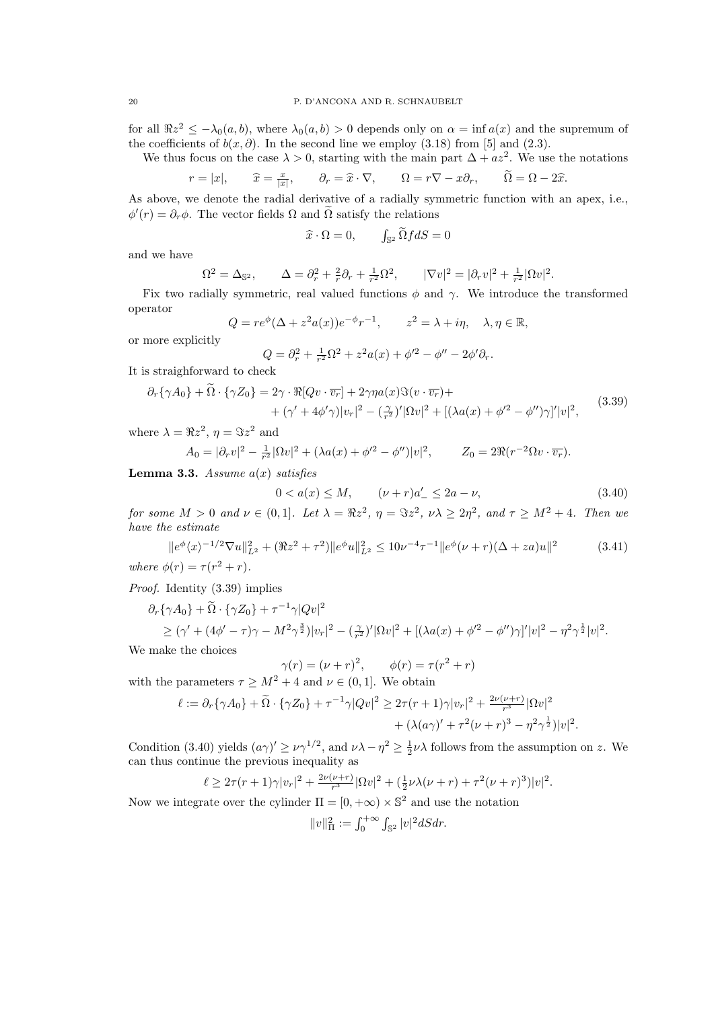for all  $\Re z^2 \leq -\lambda_0(a, b)$ , where  $\lambda_0(a, b) > 0$  depends only on  $\alpha = \inf a(x)$  and the supremum of the coefficients of  $b(x, \partial)$ . In the second line we employ (3.18) from [5] and (2.3).

We thus focus on the case  $\lambda > 0$ , starting with the main part  $\Delta + az^2$ . We use the notations

$$
r = |x|,
$$
  $\hat{x} = \frac{x}{|x|},$   $\partial_r = \hat{x} \cdot \nabla,$   $\Omega = r\nabla - x\partial_r,$   $\tilde{\Omega} = \Omega - 2\hat{x}.$ 

As above, we denote the radial derivative of a radially symmetric function with an apex, i.e.,  $\phi'(r) = \partial_r \phi$ . The vector fields  $\Omega$  and  $\tilde{\Omega}$  satisfy the relations

$$
\widehat{x} \cdot \Omega = 0, \qquad \int_{\mathbb{S}^2} \widetilde{\Omega} f dS = 0
$$

and we have

$$
\Omega^2 = \Delta_{\mathbb{S}^2}, \qquad \Delta = \partial_r^2 + \frac{2}{r}\partial_r + \frac{1}{r^2}\Omega^2, \qquad |\nabla v|^2 = |\partial_r v|^2 + \frac{1}{r^2}|\Omega v|^2.
$$

Fix two radially symmetric, real valued functions  $\phi$  and  $\gamma$ . We introduce the transformed operator

$$
Q = re^{\phi}(\Delta + z^2 a(x))e^{-\phi}r^{-1}, \qquad z^2 = \lambda + i\eta, \quad \lambda, \eta \in \mathbb{R},
$$

or more explicitly

$$
Q = \partial_r^2 + \frac{1}{r^2} \Omega^2 + z^2 a(x) + \phi'^2 - \phi'' - 2\phi' \partial_r.
$$

It is straighforward to check

$$
\partial_r \{\gamma A_0\} + \tilde{\Omega} \cdot \{\gamma Z_0\} = 2\gamma \cdot \Re[Qv \cdot \overline{v_r}] + 2\gamma \eta a(x) \Im(v \cdot \overline{v_r}) + + (\gamma' + 4\phi'\gamma)|v_r|^2 - (\frac{\gamma}{r^2})' |\Omega v|^2 + [(\lambda a(x) + \phi'^2 - \phi'')\gamma]'|v|^2,
$$
(3.39)

where  $\lambda = \Re z^2$ ,  $\eta = \Im z^2$  and

$$
A_0 = |\partial_r v|^2 - \frac{1}{r^2} |\Omega v|^2 + (\lambda a(x) + \phi'^2 - \phi'') |v|^2, \qquad Z_0 = 2\Re(r^{-2} \Omega v \cdot \overline{v_r}).
$$

**Lemma 3.3.** Assume  $a(x)$  satisfies

$$
0 < a(x) \le M, \qquad (\nu + r)a'_{-} \le 2a - \nu,\tag{3.40}
$$

for some  $M > 0$  and  $\nu \in (0,1]$ . Let  $\lambda = \Re z^2$ ,  $\eta = \Im z^2$ ,  $\nu\lambda \geq 2\eta^2$ , and  $\tau \geq M^2 + 4$ . Then we have the estimate

$$
||e^{\phi}\langle x\rangle^{-1/2}\nabla u||_{L^{2}}^{2} + (\Re z^{2} + \tau^{2})||e^{\phi}u||_{L^{2}}^{2} \le 10\nu^{-4}\tau^{-1}||e^{\phi}(\nu+r)(\Delta + za)u||^{2}
$$
 (3.41)  
where  $\phi(r) = \tau(r^{2} + r)$ .

Proof. Identity (3.39) implies

$$
\partial_r \{\gamma A_0\} + \tilde{\Omega} \cdot \{\gamma Z_0\} + \tau^{-1} \gamma |Qv|^2
$$
  
\n
$$
\geq (\gamma' + (4\phi' - \tau)\gamma - M^2 \gamma^{\frac{3}{2}})|v_r|^2 - (\frac{\gamma}{r^2})' |\Omega v|^2 + [(\lambda a(x) + \phi'^2 - \phi'')\gamma]' |v|^2 - \eta^2 \gamma^{\frac{1}{2}} |v|^2.
$$
  
\nmals the choices

We make the choices

$$
\gamma(r) = (\nu + r)^2, \qquad \phi(r) = \tau(r^2 + r)
$$

with the parameters  $\tau \geq M^2 + 4$  and  $\nu \in (0, 1]$ . We obtain

$$
\ell := \partial_r \{ \gamma A_0 \} + \tilde{\Omega} \cdot \{ \gamma Z_0 \} + \tau^{-1} \gamma |Qv|^2 \geq 2\tau (r+1) \gamma |v_r|^2 + \frac{2\nu(\nu+r)}{r^3} |\Omega v|^2 + (\lambda(a\gamma)'+\tau^2(\nu+r)^3 - \eta^2 \gamma^{\frac{1}{2}}) |v|^2.
$$

Condition (3.40) yields  $(a\gamma)' \ge \nu \gamma^{1/2}$ , and  $\nu \lambda - \eta^2 \ge \frac{1}{2} \nu \lambda$  follows from the assumption on z. We can thus continue the previous inequality as

$$
\ell \geq 2\tau (r+1)\gamma |v_r|^2 + \frac{2\nu(\nu+r)}{r^3} |\Omega v|^2 + (\frac{1}{2}\nu\lambda(\nu+r) + \tau^2(\nu+r)^3)|v|^2.
$$

Now we integrate over the cylinder  $\Pi = [0, +\infty) \times \mathbb{S}^2$  and use the notation

$$
||v||_{\Pi}^{2} := \int_{0}^{+\infty} \int_{\mathbb{S}^{2}} |v|^{2} dS dr.
$$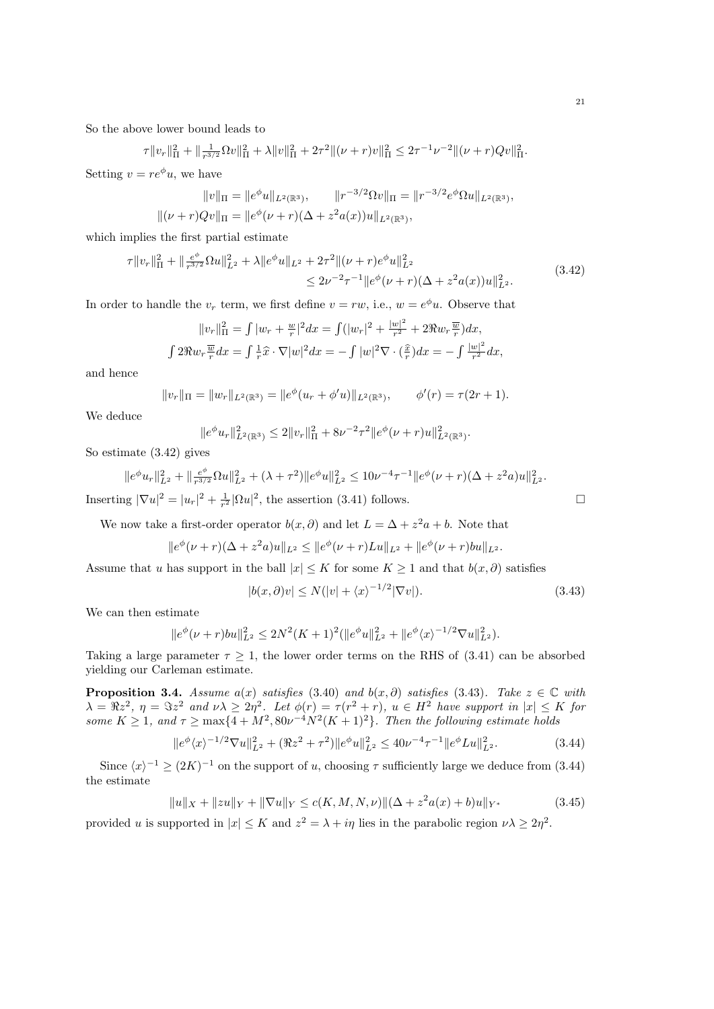So the above lower bound leads to

$$
\tau \|v_r\|_{\Pi}^2 + \|\frac{1}{r^{3/2}}\Omega v\|_{\Pi}^2 + \lambda \|v\|_{\Pi}^2 + 2\tau^2 \| (\nu + r)v\|_{\Pi}^2 \leq 2\tau^{-1}\nu^{-2} \| (\nu + r)Qv\|_{\Pi}^2.
$$

Setting  $v = re^{\phi}u$ , we have

$$
||v||_{\Pi} = ||e^{\phi}u||_{L^{2}(\mathbb{R}^{3})}, \qquad ||r^{-3/2}\Omega v||_{\Pi} = ||r^{-3/2}e^{\phi}\Omega u||_{L^{2}(\mathbb{R}^{3})},
$$
  

$$
||(\nu + r)Qv||_{\Pi} = ||e^{\phi}(\nu + r)(\Delta + z^{2}a(x))u||_{L^{2}(\mathbb{R}^{3})},
$$

which implies the first partial estimate

$$
\tau \|v_r\|_{\Pi}^2 + \|\frac{e^{\phi}}{r^{3/2}}\Omega u\|_{L^2}^2 + \lambda \|e^{\phi}u\|_{L^2} + 2\tau^2 \| (\nu + r)e^{\phi}u\|_{L^2}^2
$$
  

$$
\leq 2\nu^{-2}\tau^{-1} \|e^{\phi}(\nu + r)(\Delta + z^2 a(x))u\|_{L^2}^2.
$$
 (3.42)

In order to handle the  $v_r$  term, we first define  $v = rw$ , i.e.,  $w = e^{\phi}u$ . Observe that

$$
||v_r||_{\Pi}^2 = \int |w_r + \frac{w}{r}|^2 dx = \int (|w_r|^2 + \frac{|w|^2}{r^2} + 2\Re w_r \frac{\overline{w}}{r}) dx,
$$
  

$$
\int 2\Re w_r \frac{\overline{w}}{r} dx = \int \frac{1}{r} \hat{x} \cdot \nabla |w|^2 dx = -\int |w|^2 \nabla \cdot (\frac{\hat{x}}{r}) dx = -\int \frac{|w|^2}{r^2} dx,
$$

and hence

$$
||v_r||_{\Pi} = ||w_r||_{L^2(\mathbb{R}^3)} = ||e^{\phi}(u_r + \phi'u)||_{L^2(\mathbb{R}^3)}, \quad \phi'(r) = \tau(2r+1).
$$

We deduce

$$
||e^{\phi}u_r||_{L^2(\mathbb{R}^3)}^2 \le 2||v_r||_{\Pi}^2 + 8\nu^{-2}\tau^2||e^{\phi}(\nu+r)u||_{L^2(\mathbb{R}^3)}^2.
$$

So estimate (3.42) gives

$$
||e^{\phi}u_r||_{L^2}^2 + ||\frac{e^{\phi}}{r^{3/2}}\Omega u||_{L^2}^2 + (\lambda + \tau^2)||e^{\phi}u||_{L^2}^2 \le 10\nu^{-4}\tau^{-1}||e^{\phi}(\nu + r)(\Delta + z^2 a)u||_{L^2}^2.
$$

Inserting  $|\nabla u|^2 = |u_r|^2 + \frac{1}{r^2} |\Omega u|^2$ , the assertion (3.41) follows.

We now take a first-order operator  $b(x, \partial)$  and let  $L = \Delta + z^2 a + b$ . Note that

$$
||e^{\phi}(\nu+r)(\Delta+z^2a)u||_{L^2} \leq ||e^{\phi}(\nu+r)Lu||_{L^2} + ||e^{\phi}(\nu+r)bu||_{L^2}.
$$

Assume that u has support in the ball  $|x| \leq K$  for some  $K \geq 1$  and that  $b(x, \partial)$  satisfies

$$
|b(x,\partial)v| \le N(|v| + \langle x \rangle^{-1/2} |\nabla v|). \tag{3.43}
$$

We can then estimate

$$
||e^{\phi}(\nu+r)bu||_{L^2}^2 \le 2N^2(K+1)^2(||e^{\phi}u||_{L^2}^2 + ||e^{\phi}\langle x\rangle^{-1/2}\nabla u||_{L^2}^2).
$$

Taking a large parameter  $\tau \geq 1$ , the lower order terms on the RHS of (3.41) can be absorbed yielding our Carleman estimate.

**Proposition 3.4.** Assume a(x) satisfies (3.40) and  $b(x, \partial)$  satisfies (3.43). Take  $z \in \mathbb{C}$  with  $\lambda = \Re z^2$ ,  $\eta = \Im z^2$  and  $\nu \lambda \geq 2\eta^2$ . Let  $\phi(r) = \tau(r^2 + r)$ ,  $u \in H^2$  have support in  $|x| \leq K$  for some  $K \geq 1$ , and  $\tau \geq \max\{4 + M^2, 80\nu^{-4}N^2(K+1)^2\}$ . Then the following estimate holds

$$
||e^{\phi}\langle x\rangle^{-1/2}\nabla u||_{L^{2}}^{2} + (\Re z^{2} + \tau^{2})||e^{\phi}u||_{L^{2}}^{2} \le 40\nu^{-4}\tau^{-1}||e^{\phi}Lu||_{L^{2}}^{2}.
$$
 (3.44)

Since  $\langle x \rangle^{-1} \geq (2K)^{-1}$  on the support of u, choosing  $\tau$  sufficiently large we deduce from (3.44) the estimate

$$
||u||_X + ||zu||_Y + ||\nabla u||_Y \le c(K, M, N, \nu) ||(\Delta + z^2 a(x) + b)u||_{Y^*}
$$
\n(3.45)

provided u is supported in  $|x| \leq K$  and  $z^2 = \lambda + i\eta$  lies in the parabolic region  $\nu\lambda \geq 2\eta^2$ .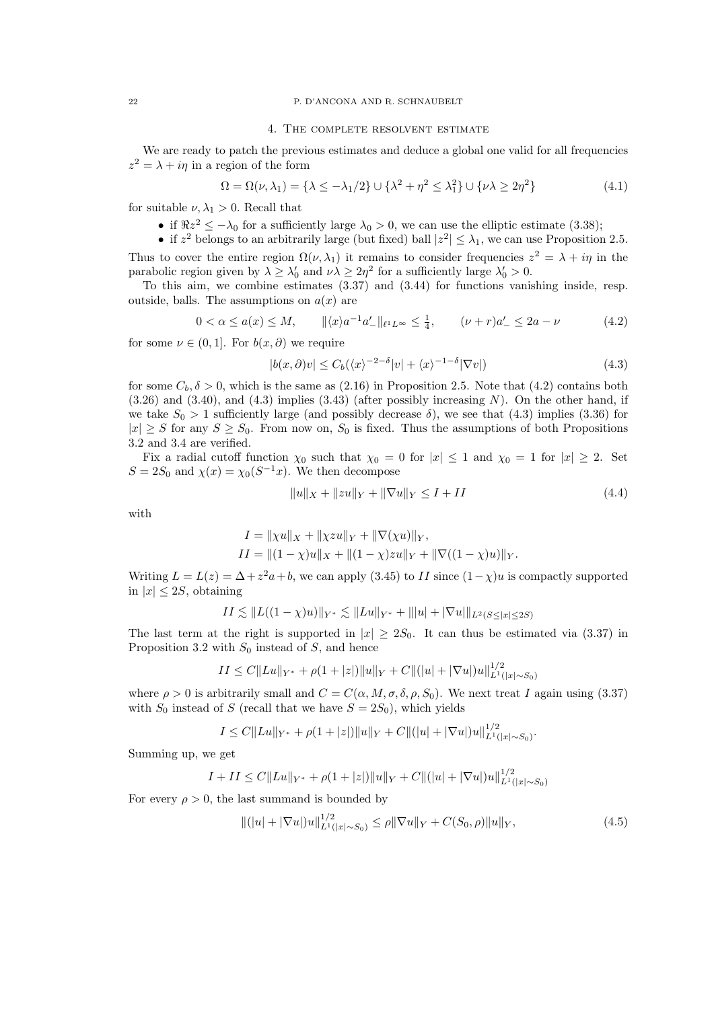### 22 P. D'ANCONA AND R. SCHNAUBELT

## 4. The complete resolvent estimate

We are ready to patch the previous estimates and deduce a global one valid for all frequencies  $z^2 = \lambda + i\eta$  in a region of the form

$$
\Omega = \Omega(\nu, \lambda_1) = \{\lambda \le -\lambda_1/2\} \cup \{\lambda^2 + \eta^2 \le \lambda_1^2\} \cup \{\nu\lambda \ge 2\eta^2\}
$$
\n(4.1)

for suitable  $\nu, \lambda_1 > 0$ . Recall that

- if  $\Re z^2 \leq -\lambda_0$  for a sufficiently large  $\lambda_0 > 0$ , we can use the elliptic estimate (3.38);
- if  $z^2$  belongs to an arbitrarily large (but fixed) ball  $|z^2| \leq \lambda_1$ , we can use Proposition 2.5.

Thus to cover the entire region  $\Omega(\nu, \lambda_1)$  it remains to consider frequencies  $z^2 = \lambda + i\eta$  in the parabolic region given by  $\lambda \geq \lambda'_0$  and  $\nu \lambda \geq 2\eta^2$  for a sufficiently large  $\lambda'_0 > 0$ .

To this aim, we combine estimates (3.37) and (3.44) for functions vanishing inside, resp. outside, balls. The assumptions on  $a(x)$  are

$$
0 < \alpha \le a(x) \le M, \qquad \|\langle x \rangle a^{-1} a'_{-} \|_{\ell^{1} L^{\infty}} \le \frac{1}{4}, \qquad (\nu + r) a'_{-} \le 2a - \nu \tag{4.2}
$$

for some  $\nu \in (0,1]$ . For  $b(x, \partial)$  we require

$$
|b(x,\partial)v| \le C_b(\langle x \rangle^{-2-\delta}|v| + \langle x \rangle^{-1-\delta}|\nabla v|)
$$
\n(4.3)

for some  $C_b$ ,  $\delta > 0$ , which is the same as (2.16) in Proposition 2.5. Note that (4.2) contains both  $(3.26)$  and  $(3.40)$ , and  $(4.3)$  implies  $(3.43)$  (after possibly increasing N). On the other hand, if we take  $S_0 > 1$  sufficiently large (and possibly decrease  $\delta$ ), we see that (4.3) implies (3.36) for  $|x| \ge S$  for any  $S \ge S_0$ . From now on,  $S_0$  is fixed. Thus the assumptions of both Propositions 3.2 and 3.4 are verified.

Fix a radial cutoff function  $\chi_0$  such that  $\chi_0 = 0$  for  $|x| \leq 1$  and  $\chi_0 = 1$  for  $|x| \geq 2$ . Set  $S = 2S_0$  and  $\chi(x) = \chi_0(S^{-1}x)$ . We then decompose

$$
||u||_X + ||zu||_Y + ||\nabla u||_Y \le I + II \tag{4.4}
$$

with

$$
I = ||\chi u||_X + ||\chi zu||_Y + ||\nabla(\chi u)||_Y,
$$
  
\n
$$
II = ||(1 - \chi)u||_X + ||(1 - \chi)zu||_Y + ||\nabla((1 - \chi)u)||_Y.
$$

Writing  $L = L(z) = \Delta + z^2 a + b$ , we can apply (3.45) to *II* since  $(1 - \chi)u$  is compactly supported in  $|x| \leq 2S$ , obtaining

$$
II \lesssim ||L((1-\chi)u)||_{Y^*} \lesssim ||Lu||_{Y^*} + |||u| + |\nabla u||_{L^2(S \leq |x| \leq 2S)}
$$

The last term at the right is supported in  $|x| \geq 2S_0$ . It can thus be estimated via (3.37) in Proposition 3.2 with  $S_0$  instead of S, and hence

$$
II \leq C \| Lu \|_{Y^*} + \rho (1+|z|) \| u \|_Y + C \| (|u| + |\nabla u|) u \|_{L^1(|x| \sim S_0)}^{1/2}
$$

where  $\rho > 0$  is arbitrarily small and  $C = C(\alpha, M, \sigma, \delta, \rho, S_0)$ . We next treat I again using (3.37) with  $S_0$  instead of S (recall that we have  $S = 2S_0$ ), which yields

$$
I \leq C||Lu||_{Y^*} + \rho(1+|z|)||u||_Y + C||(|u| + |\nabla u|)u||_{L^1(|x| \sim S_0)}^{1/2}.
$$

Summing up, we get

$$
I + II \le C ||Lu||_{Y^*} + \rho(1+|z|) ||u||_Y + C ||(|u| + |\nabla u|)u||_{L^1(|x| \sim S_0)}^{1/2}
$$

For every  $\rho > 0$ , the last summand is bounded by

$$
\|(|u| + |\nabla u|)u\|_{L^{1}(|x| \sim S_0)}^{1/2} \le \rho \|\nabla u\|_{Y} + C(S_0, \rho) \|u\|_{Y},
$$
\n(4.5)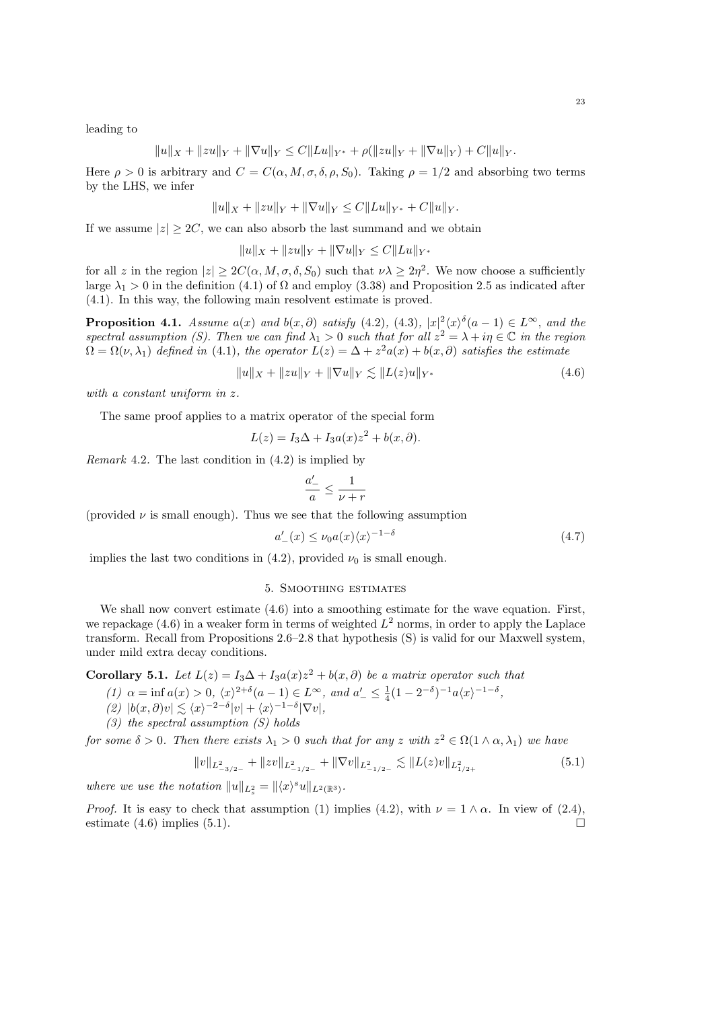leading to

$$
||u||_X + ||zu||_Y + ||\nabla u||_Y \leq C||Lu||_{Y^*} + \rho(||zu||_Y + ||\nabla u||_Y) + C||u||_Y.
$$

Here  $\rho > 0$  is arbitrary and  $C = C(\alpha, M, \sigma, \delta, \rho, S_0)$ . Taking  $\rho = 1/2$  and absorbing two terms by the LHS, we infer

$$
||u||_X + ||zu||_Y + ||\nabla u||_Y \leq C||Lu||_{Y^*} + C||u||_Y.
$$

If we assume  $|z| \geq 2C$ , we can also absorb the last summand and we obtain

$$
||u||_X + ||zu||_Y + ||\nabla u||_Y \le C||Lu||_{Y^*}
$$

for all z in the region  $|z| \ge 2C(\alpha, M, \sigma, \delta, S_0)$  such that  $\nu\lambda \ge 2\eta^2$ . We now choose a sufficiently large  $\lambda_1 > 0$  in the definition (4.1) of  $\Omega$  and employ (3.38) and Proposition 2.5 as indicated after (4.1). In this way, the following main resolvent estimate is proved.

**Proposition 4.1.** Assume  $a(x)$  and  $b(x, \partial)$  satisfy (4.2), (4.3),  $|x|^2 \langle x \rangle^{\delta}(a-1) \in L^{\infty}$ , and the spectral assumption (S). Then we can find  $\lambda_1 > 0$  such that for all  $z^2 = \lambda + i\eta \in \mathbb{C}$  in the region  $\Omega = \Omega(\nu, \lambda_1)$  defined in (4.1), the operator  $L(z) = \Delta + z^2 a(x) + b(x, \partial)$  satisfies the estimate

$$
||u||_X + ||zu||_Y + ||\nabla u||_Y \lesssim ||L(z)u||_{Y^*}
$$
\n(4.6)

with a constant uniform in z.

The same proof applies to a matrix operator of the special form

$$
L(z) = I_3 \Delta + I_3 a(x) z^2 + b(x, \partial).
$$

*Remark* 4.2. The last condition in  $(4.2)$  is implied by

$$
\frac{a'_-}{a} \le \frac{1}{\nu + r}
$$

(provided  $\nu$  is small enough). Thus we see that the following assumption

$$
a'_{-}(x) \le \nu_0 a(x) \langle x \rangle^{-1-\delta} \tag{4.7}
$$

implies the last two conditions in (4.2), provided  $\nu_0$  is small enough.

## 5. Smoothing estimates

We shall now convert estimate  $(4.6)$  into a smoothing estimate for the wave equation. First, we repackage  $(4.6)$  in a weaker form in terms of weighted  $L^2$  norms, in order to apply the Laplace transform. Recall from Propositions 2.6–2.8 that hypothesis (S) is valid for our Maxwell system, under mild extra decay conditions.

**Corollary 5.1.** Let  $L(z) = I_3 \Delta + I_3 a(x) z^2 + b(x, \partial)$  be a matrix operator such that

(1) 
$$
\alpha = \inf a(x) > 0, \ \langle x \rangle^{2+\delta} (a-1) \in L^{\infty}, \ \text{and} \ a'_{-} \leq \frac{1}{4} (1 - 2^{-\delta})^{-1} a \langle x \rangle^{-1-\delta},
$$

- $(2) |b(x,\partial)v| \lesssim \langle x \rangle^{-2-\delta} |v| + \langle x \rangle^{-1-\delta} |\nabla v|,$
- $(3)$  the spectral assumption  $(S)$  holds

for some  $\delta > 0$ . Then there exists  $\lambda_1 > 0$  such that for any z with  $z^2 \in \Omega(1 \wedge \alpha, \lambda_1)$  we have

$$
||v||_{L_{-3/2-}^{2}} + ||zv||_{L_{-1/2-}^{2}} + ||\nabla v||_{L_{-1/2-}^{2}} \lesssim ||L(z)v||_{L_{1/2+}^{2}}
$$
\n(5.1)

where we use the notation  $||u||_{L_s^2} = ||\langle x \rangle^s u||_{L^2(\mathbb{R}^3)}$ .

*Proof.* It is easy to check that assumption (1) implies (4.2), with  $\nu = 1 \wedge \alpha$ . In view of (2.4), estimate (4.6) implies (5.1).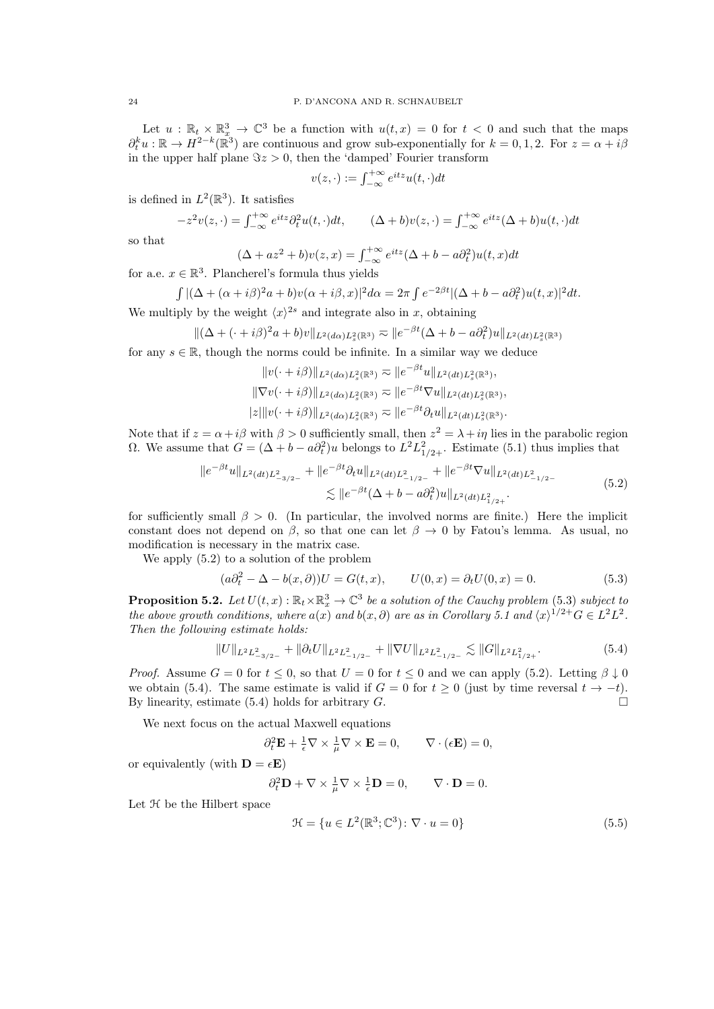Let  $u : \mathbb{R}_t \times \mathbb{R}_x^3 \to \mathbb{C}^3$  be a function with  $u(t,x) = 0$  for  $t < 0$  and such that the maps  $\partial_t^k u : \mathbb{R} \to H^{2-k}(\mathbb{R}^3)$  are continuous and grow sub-exponentially for  $k = 0, 1, 2$ . For  $z = \alpha + i\beta$ in the upper half plane  $\Im z > 0$ , then the 'damped' Fourier transform

$$
v(z, \cdot) := \int_{-\infty}^{+\infty} e^{itz} u(t, \cdot) dt
$$

is defined in  $L^2(\mathbb{R}^3)$ . It satisfies

$$
-z^2v(z,\cdot) = \int_{-\infty}^{+\infty} e^{itz} \partial_t^2 u(t,\cdot) dt, \qquad (\Delta + b)v(z,\cdot) = \int_{-\infty}^{+\infty} e^{itz} (\Delta + b)u(t,\cdot) dt
$$

so that

$$
(\Delta + az^2 + b)v(z, x) = \int_{-\infty}^{+\infty} e^{itz} (\Delta + b - a\partial_t^2) u(t, x) dt
$$

for a.e.  $x \in \mathbb{R}^3$ . Plancherel's formula thus yields

$$
\int |(\Delta + (\alpha + i\beta)^2 a + b)v(\alpha + i\beta, x)|^2 d\alpha = 2\pi \int e^{-2\beta t} |(\Delta + b - a\partial_t^2)u(t, x)|^2 dt.
$$
  
We multiply by the weight  $\langle x \rangle^{2s}$  and integrate also in x, obtaining

$$
\| (\Delta + (\cdot + i\beta)^2 a + b) v \|_{L^2(d\alpha)L_s^2(\mathbb{R}^3)} \approx \| e^{-\beta t} (\Delta + b - a\partial_t^2) u \|_{L^2(dt)L_s^2(\mathbb{R}^3)}
$$

for any  $s \in \mathbb{R}$ , though the norms could be infinite. In a similar way we deduce

$$
||v(\cdot + i\beta)||_{L^2(d\alpha)L_s^2(\mathbb{R}^3)} \approx ||e^{-\beta t}u||_{L^2(dt)L_s^2(\mathbb{R}^3)},
$$
  
\n
$$
||\nabla v(\cdot + i\beta)||_{L^2(d\alpha)L_s^2(\mathbb{R}^3)} \approx ||e^{-\beta t}\nabla u||_{L^2(dt)L_s^2(\mathbb{R}^3)},
$$
  
\n
$$
|z|||v(\cdot + i\beta)||_{L^2(d\alpha)L_s^2(\mathbb{R}^3)} \approx ||e^{-\beta t}\partial_t u||_{L^2(dt)L_s^2(\mathbb{R}^3)}.
$$

Note that if  $z = \alpha + i\beta$  with  $\beta > 0$  sufficiently small, then  $z^2 = \lambda + i\eta$  lies in the parabolic region Ω. We assume that  $G = (\Delta + b - a\partial_t^2)u$  belongs to  $L^2 L^2_{1/2+}$ . Estimate (5.1) thus implies that

$$
||e^{-\beta t}u||_{L^{2}(dt)L_{-3/2-}^{2}} + ||e^{-\beta t}\partial_{t}u||_{L^{2}(dt)L_{-1/2-}^{2}} + ||e^{-\beta t}\nabla u||_{L^{2}(dt)L_{-1/2-}^{2}}\n\lesssim ||e^{-\beta t}(\Delta + b - a\partial_{t}^{2})u||_{L^{2}(dt)L_{1/2+}^{2}}.
$$
\n(5.2)

for sufficiently small  $\beta > 0$ . (In particular, the involved norms are finite.) Here the implicit constant does not depend on  $\beta$ , so that one can let  $\beta \to 0$  by Fatou's lemma. As usual, no modification is necessary in the matrix case.

We apply (5.2) to a solution of the problem

$$
(a\partial_t^2 - \Delta - b(x,\partial))U = G(t,x), \qquad U(0,x) = \partial_t U(0,x) = 0.
$$
\n
$$
(5.3)
$$

**Proposition 5.2.** Let  $U(t, x): \mathbb{R}_t \times \mathbb{R}_x^3 \to \mathbb{C}^3$  be a solution of the Cauchy problem (5.3) subject to the above growth conditions, where  $a(x)$  and  $b(x, \partial)$  are as in Corollary 5.1 and  $\langle x \rangle^{1/2+}G \in L^2L^2$ . Then the following estimate holds:

$$
||U||_{L^{2}L_{-3/2-}^{2}} + ||\partial_{t}U||_{L^{2}L_{-1/2-}^{2}} + ||\nabla U||_{L^{2}L_{-1/2-}^{2}} \lesssim ||G||_{L^{2}L_{1/2+}^{2}}.
$$
\n(5.4)

*Proof.* Assume  $G = 0$  for  $t \leq 0$ , so that  $U = 0$  for  $t \leq 0$  and we can apply (5.2). Letting  $\beta \downarrow 0$ we obtain (5.4). The same estimate is valid if  $G = 0$  for  $t \ge 0$  (just by time reversal  $t \to -t$ ). By linearity, estimate (5.4) holds for arbitrary  $G$ .

We next focus on the actual Maxwell equations

$$
\partial_t^2 \mathbf{E} + \frac{1}{\epsilon} \nabla \times \frac{1}{\mu} \nabla \times \mathbf{E} = 0, \qquad \nabla \cdot (\epsilon \mathbf{E}) = 0,
$$

or equivalently (with  $\mathbf{D} = \epsilon \mathbf{E}$ )

$$
\partial_t^2 \mathbf{D} + \nabla \times \tfrac{1}{\mu} \nabla \times \tfrac{1}{\epsilon} \mathbf{D} = 0, \qquad \nabla \cdot \mathbf{D} = 0.
$$

Let  $H$  be the Hilbert space

$$
\mathcal{H} = \{ u \in L^2(\mathbb{R}^3; \mathbb{C}^3) \colon \nabla \cdot u = 0 \}
$$
\n
$$
(5.5)
$$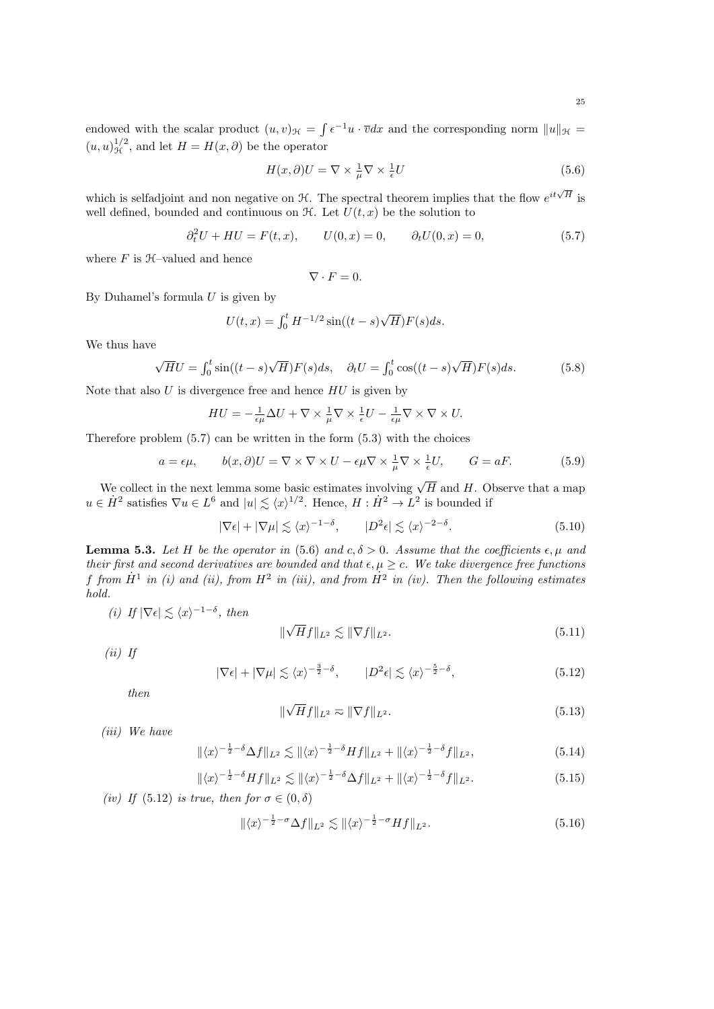endowed with the scalar product  $(u, v)_{\mathcal{H}} = \int e^{-1}u \cdot \overline{v}dx$  and the corresponding norm  $||u||_{\mathcal{H}} =$  $(u, u)_{\mathcal{H}}^{1/2}$ , and let  $H = H(x, \partial)$  be the operator

$$
H(x,\partial)U = \nabla \times \frac{1}{\mu} \nabla \times \frac{1}{\epsilon} U
$$
\n(5.6)

which is selfadjoint and non negative on  $\mathcal{H}$ . The spectral theorem implies that the flow  $e^{it\sqrt{H}}$  is well defined, bounded and continuous on  $\mathcal{H}$ . Let  $U(t, x)$  be the solution to

$$
\partial_t^2 U + H U = F(t, x), \qquad U(0, x) = 0, \qquad \partial_t U(0, x) = 0,
$$
\n(5.7)

where  $F$  is  $H$ –valued and hence

$$
\nabla \cdot F=0.
$$

By Duhamel's formula  $U$  is given by

$$
U(t, x) = \int_0^t H^{-1/2} \sin((t - s)\sqrt{H}) F(s) ds.
$$

We thus have

$$
\sqrt{H}U = \int_0^t \sin((t-s)\sqrt{H})F(s)ds, \quad \partial_t U = \int_0^t \cos((t-s)\sqrt{H})F(s)ds.
$$
 (5.8)

Note that also  $U$  is divergence free and hence  $HU$  is given by

$$
HU = -\frac{1}{\epsilon\mu}\Delta U + \nabla \times \frac{1}{\mu}\nabla \times \frac{1}{\epsilon}U - \frac{1}{\epsilon\mu}\nabla \times \nabla \times U.
$$

Therefore problem  $(5.7)$  can be written in the form  $(5.3)$  with the choices

$$
a = \epsilon \mu, \qquad b(x, \partial)U = \nabla \times \nabla \times U - \epsilon \mu \nabla \times \frac{1}{\mu} \nabla \times \frac{1}{\epsilon} U, \qquad G = aF. \tag{5.9}
$$

We collect in the next lemma some basic estimates involving  $\sqrt{H}$  and H. Observe that a map  $u \in \dot{H}^2$  satisfies  $\nabla u \in L^6$  and  $|u| \lesssim \langle x \rangle^{1/2}$ . Hence,  $H : \dot{H}^2 \to L^2$  is bounded if

$$
|\nabla \epsilon| + |\nabla \mu| \lesssim \langle x \rangle^{-1-\delta}, \qquad |D^2 \epsilon| \lesssim \langle x \rangle^{-2-\delta}.
$$
 (5.10)

**Lemma 5.3.** Let H be the operator in (5.6) and  $c, \delta > 0$ . Assume that the coefficients  $\epsilon, \mu$  and their first and second derivatives are bounded and that  $\epsilon, \mu \geq c$ . We take divergence free functions f from  $\dot{H}^1$  in (i) and (ii), from  $H^2$  in (iii), and from  $\dot{H}^2$  in (iv). Then the following estimates hold.

(i) If 
$$
|\nabla \epsilon| \leq \langle x \rangle^{-1-\delta}
$$
, then

$$
\|\sqrt{H}f\|_{L^2} \lesssim \|\nabla f\|_{L^2}.\tag{5.11}
$$

 $(ii)$  If

$$
|\nabla \epsilon| + |\nabla \mu| \lesssim \langle x \rangle^{-\frac{3}{2} - \delta}, \qquad |D^2 \epsilon| \lesssim \langle x \rangle^{-\frac{5}{2} - \delta}, \tag{5.12}
$$

then

$$
\|\sqrt{H}f\|_{L^2} \approx \|\nabla f\|_{L^2}.\tag{5.13}
$$

(iii) We have

$$
\|\langle x\rangle^{-\frac{1}{2}-\delta}\Delta f\|_{L^2} \lesssim \|\langle x\rangle^{-\frac{1}{2}-\delta} Hf\|_{L^2} + \|\langle x\rangle^{-\frac{1}{2}-\delta} f\|_{L^2},\tag{5.14}
$$

$$
\|\langle x\rangle^{-\frac{1}{2}-\delta} Hf\|_{L^2} \lesssim \|\langle x\rangle^{-\frac{1}{2}-\delta} \Delta f\|_{L^2} + \|\langle x\rangle^{-\frac{1}{2}-\delta} f\|_{L^2}.
$$
 (5.15)

(iv) If (5.12) is true, then for  $\sigma \in (0, \delta)$ 

$$
\|\langle x\rangle^{-\frac{1}{2}-\sigma}\Delta f\|_{L^2} \lesssim \|\langle x\rangle^{-\frac{1}{2}-\sigma}Hf\|_{L^2}.
$$
\n(5.16)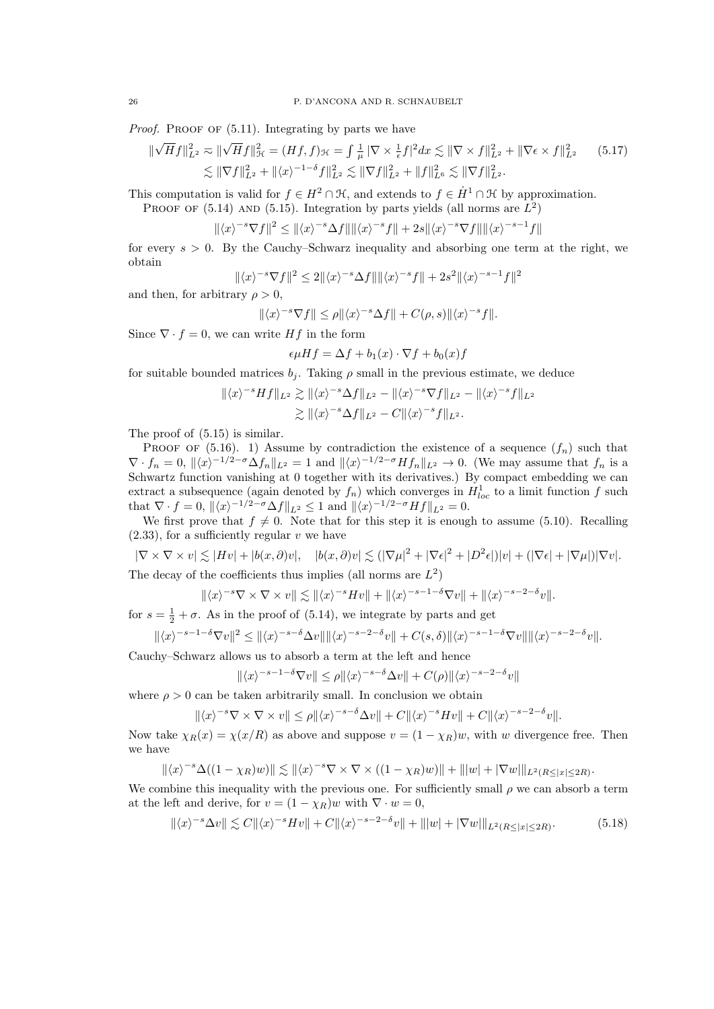*Proof.* PROOF OF  $(5.11)$ . Integrating by parts we have

$$
\|\sqrt{H}f\|_{L^{2}}^{2} \approx \|\sqrt{H}f\|_{\mathcal{H}}^{2} = (Hf, f)_{\mathcal{H}} = \int \frac{1}{\mu} \|\nabla \times \frac{1}{\epsilon}f\|_{L^{2}}^{2} dx \lesssim \|\nabla \times f\|_{L^{2}}^{2} + \|\nabla \epsilon \times f\|_{L^{2}}^{2}
$$
(5.17)  

$$
\lesssim \|\nabla f\|_{L^{2}}^{2} + \|\langle x \rangle^{-1-\delta}f\|_{L^{2}}^{2} \lesssim \|\nabla f\|_{L^{2}}^{2} + \|f\|_{L^{6}}^{2} \lesssim \|\nabla f\|_{L^{2}}^{2}.
$$

This computation is valid for  $f \in H^2 \cap \mathcal{H}$ , and extends to  $f \in \dot{H}^1 \cap \mathcal{H}$  by approximation.

PROOF OF (5.14) AND (5.15). Integration by parts yields (all norms are 
$$
L^2
$$
)  

$$
\|\langle x \rangle^{-s} \nabla f\|^2 \le \|\langle x \rangle^{-s} \Delta f\| \|\langle x \rangle^{-s} f\| + 2s \|\langle x \rangle^{-s} \nabla f\| \|\langle x \rangle^{-s-1} f\|
$$

for every  $s > 0$ . By the Cauchy–Schwarz inequality and absorbing one term at the right, we obtain

$$
\|\langle x\rangle^{-s}\nabla f\|^2 \le 2\|\langle x\rangle^{-s}\Delta f\|\|\langle x\rangle^{-s}f\| + 2s^2\|\langle x\rangle^{-s-1}f\|^2
$$

and then, for arbitrary  $\rho > 0$ ,

$$
\|\langle x\rangle^{-s}\nabla f\|\leq \rho \|\langle x\rangle^{-s}\Delta f\| + C(\rho,s)\|\langle x\rangle^{-s}f\|.
$$

Since  $\nabla \cdot f = 0$ , we can write  $Hf$  in the form

$$
\epsilon \mu H f = \Delta f + b_1(x) \cdot \nabla f + b_0(x)f
$$

for suitable bounded matrices  $b_i$ . Taking  $\rho$  small in the previous estimate, we deduce

$$
\begin{aligned} \|\langle x\rangle^{-s} Hf\|_{L^2} &\gtrsim \|\langle x\rangle^{-s} \Delta f\|_{L^2} - \|\langle x\rangle^{-s} \nabla f\|_{L^2} - \|\langle x\rangle^{-s} f\|_{L^2} \\ &\gtrsim \|\langle x\rangle^{-s} \Delta f\|_{L^2} - C \|\langle x\rangle^{-s} f\|_{L^2} .\end{aligned}
$$

The proof of (5.15) is similar.

PROOF OF (5.16). 1) Assume by contradiction the existence of a sequence  $(f_n)$  such that  $\nabla \cdot f_n = 0$ ,  $\|\langle x \rangle^{-1/2-\sigma} \Delta f_n\|_{L^2} = 1$  and  $\|\langle x \rangle^{-1/2-\sigma} Hf_n\|_{L^2} \to 0$ . (We may assume that  $f_n$  is a Schwartz function vanishing at 0 together with its derivatives.) By compact embedding we can extract a subsequence (again denoted by  $f_n$ ) which converges in  $H_{loc}^1$  to a limit function f such that  $\nabla \cdot f = 0$ ,  $\|\langle x \rangle^{-1/2-\sigma} \Delta f\|_{L^2} \le 1$  and  $\|\langle x \rangle^{-1/2-\sigma} Hf\|_{L^2} = 0$ .

We first prove that  $f \neq 0$ . Note that for this step it is enough to assume (5.10). Recalling  $(2.33)$ , for a sufficiently regular v we have

$$
|\nabla \times \nabla \times v| \lesssim |Hv| + |b(x,\partial)v|, \quad |b(x,\partial)v| \lesssim (|\nabla \mu|^2 + |\nabla \epsilon|^2 + |D^2 \epsilon|)|v| + (|\nabla \epsilon| + |\nabla \mu|)|\nabla v|.
$$
  
The decay of the coefficients thus implies (all norms are  $L^2$ )

$$
\|\langle x\rangle^{-s}\nabla\times\nabla\times v\|\lesssim \|\langle x\rangle^{-s}Hv\|+\|\langle x\rangle^{-s-1-\delta}\nabla v\|+\|\langle x\rangle^{-s-2-\delta}v\|.
$$

for  $s = \frac{1}{2} + \sigma$ . As in the proof of (5.14), we integrate by parts and get

$$
\|\langle x\rangle^{-s-1-\delta}\nabla v\|^2 \le \|\langle x\rangle^{-s-\delta}\Delta v\|\|\langle x\rangle^{-s-2-\delta}v\| + C(s,\delta)\|\langle x\rangle^{-s-1-\delta}\nabla v\|\|\langle x\rangle^{-s-2-\delta}v\|.
$$

Cauchy–Schwarz allows us to absorb a term at the left and hence

$$
\|\langle x\rangle^{-s-1-\delta}\nabla v\|\leq \rho \|\langle x\rangle^{-s-\delta}\Delta v\| + C(\rho) \|\langle x\rangle^{-s-2-\delta}v\|
$$

where  $\rho > 0$  can be taken arbitrarily small. In conclusion we obtain

$$
\|\langle x\rangle^{-s}\nabla\times\nabla\times v\|\leq\rho\|\langle x\rangle^{-s-\delta}\Delta v\|+C\|\langle x\rangle^{-s}Hv\|+C\|\langle x\rangle^{-s-2-\delta}v\|.
$$

Now take  $\chi_R(x) = \chi(x/R)$  as above and suppose  $v = (1 - \chi_R)w$ , with w divergence free. Then we have

$$
\|\langle x\rangle^{-s}\Delta((1-\chi_R)w)\|\lesssim \|\langle x\rangle^{-s}\nabla\times\nabla\times((1-\chi_R)w)\|+\| |w|+|\nabla w|\|_{L^2(R\leq|x|\leq 2R)}.
$$

We combine this inequality with the previous one. For sufficiently small  $\rho$  we can absorb a term at the left and derive, for  $v = (1 - \chi_R)w$  with  $\nabla \cdot w = 0$ ,

$$
\|\langle x\rangle^{-s}\Delta v\|\lesssim C\|\langle x\rangle^{-s}Hv\|+C\|\langle x\rangle^{-s-2-\delta}v\|+\||w|+|\nabla w|\|_{L^2(R\leq|x|\leq 2R)}.\tag{5.18}
$$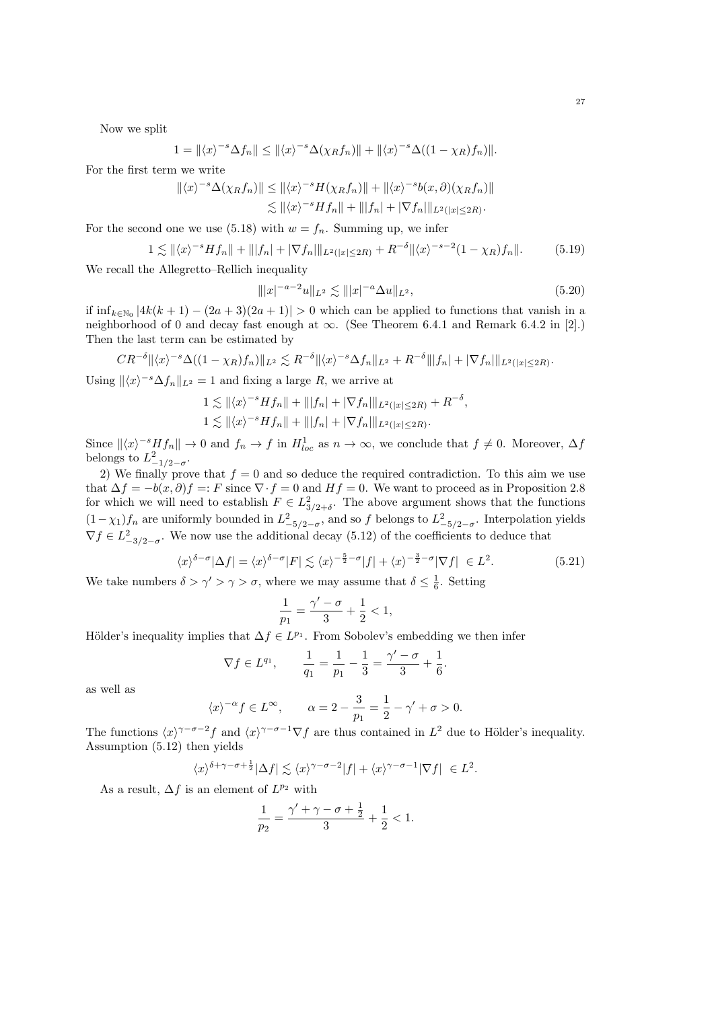Now we split

$$
1 = \left\| \langle x \rangle^{-s} \Delta f_n \right\| \le \left\| \langle x \rangle^{-s} \Delta (\chi_R f_n) \right\| + \left\| \langle x \rangle^{-s} \Delta ((1 - \chi_R) f_n) \right\|.
$$

For the first term we write

$$
\begin{aligned} ||\langle x \rangle^{-s} \Delta(\chi_R f_n) || &\le ||\langle x \rangle^{-s} H(\chi_R f_n) || + ||\langle x \rangle^{-s} b(x, \partial)(\chi_R f_n) || \\ &\lesssim ||\langle x \rangle^{-s} H f_n || + |||f_n| + |\nabla f_n||_{L^2(|x| \le 2R)}. \end{aligned}
$$

For the second one we use (5.18) with  $w = f_n$ . Summing up, we infer

$$
1 \lesssim ||\langle x \rangle^{-s} Hf_n|| + |||f_n| + |\nabla f_n||_{L^2(|x| \le 2R)} + R^{-\delta} ||\langle x \rangle^{-s-2} (1 - \chi_R) f_n||. \tag{5.19}
$$

We recall the Allegretto–Rellich inequality

$$
\| |x|^{-a-2} u \|_{L^2} \lesssim \| |x|^{-a} \Delta u \|_{L^2}, \tag{5.20}
$$

if  $\inf_{k \in \mathbb{N}_0} |4k(k+1) - (2a+3)(2a+1)| > 0$  which can be applied to functions that vanish in a neighborhood of 0 and decay fast enough at  $\infty$ . (See Theorem 6.4.1 and Remark 6.4.2 in [2].) Then the last term can be estimated by

$$
CR^{-\delta} \|\langle x \rangle^{-s} \Delta((1-\chi_R)f_n)\|_{L^2} \lesssim R^{-\delta} \|\langle x \rangle^{-s} \Delta f_n\|_{L^2} + R^{-\delta} \| |f_n| + |\nabla f_n| \|_{L^2(|x| \leq 2R)}.
$$

Using  $\|\langle x \rangle^{-s} \Delta f_n\|_{L^2} = 1$  and fixing a large R, we arrive at

$$
1 \lesssim ||\langle x \rangle^{-s} Hf_n|| + |||f_n| + |\nabla f_n||_{L^2(|x| \le 2R)} + R^{-\delta},
$$
  

$$
1 \lesssim ||\langle x \rangle^{-s} Hf_n|| + |||f_n| + |\nabla f_n||_{L^2(|x| \le 2R)}.
$$

Since  $\|\langle x\rangle^{-s}Hf_n\|\to 0$  and  $f_n\to f$  in  $H^1_{loc}$  as  $n\to\infty$ , we conclude that  $f\neq 0$ . Moreover,  $\Delta f$ belongs to  $L_{-1/2-\sigma}^2$ .

2) We finally prove that  $f = 0$  and so deduce the required contradiction. To this aim we use that  $\Delta f = -b(x, \partial) f =: F$  since  $\nabla \cdot f = 0$  and  $Hf = 0$ . We want to proceed as in Proposition 2.8 for which we will need to establish  $F \in L^2_{3/2+\delta}$ . The above argument shows that the functions  $(1-\chi_1)f_n$  are uniformly bounded in  $L^2_{-5/2-\sigma}$ , and so f belongs to  $L^2_{-5/2-\sigma}$ . Interpolation yields  $\nabla f \in L^2_{-3/2-\sigma}$ . We now use the additional decay (5.12) of the coefficients to deduce that

$$
\langle x \rangle^{\delta-\sigma} |\Delta f| = \langle x \rangle^{\delta-\sigma} |F| \lesssim \langle x \rangle^{-\frac{5}{2}-\sigma} |f| + \langle x \rangle^{-\frac{3}{2}-\sigma} |\nabla f| \in L^2.
$$
 (5.21)

We take numbers  $\delta > \gamma' > \gamma > \sigma$ , where we may assume that  $\delta \leq \frac{1}{6}$ . Setting

$$
\frac{1}{p_1} = \frac{\gamma' - \sigma}{3} + \frac{1}{2} < 1,
$$

Hölder's inequality implies that  $\Delta f \in L^{p_1}$ . From Sobolev's embedding we then infer

$$
\nabla f \in L^{q_1}
$$
,  $\frac{1}{q_1} = \frac{1}{p_1} - \frac{1}{3} = \frac{\gamma' - \sigma}{3} + \frac{1}{6}$ .

as well as

$$
x\rangle^{-\alpha} f \in L^{\infty}
$$
,  $\alpha = 2 - \frac{3}{p_1} = \frac{1}{2} - \gamma' + \sigma > 0$ .

The functions  $\langle x \rangle^{\gamma-\sigma-2} f$  and  $\langle x \rangle^{\gamma-\sigma-1} \nabla f$  are thus contained in  $L^2$  due to Hölder's inequality. Assumption (5.12) then yields

$$
\langle x \rangle^{\delta + \gamma - \sigma + \frac{1}{2}} |\Delta f| \lesssim \langle x \rangle^{\gamma - \sigma - 2} |f| + \langle x \rangle^{\gamma - \sigma - 1} |\nabla f| \in L^2.
$$

As a result,  $\Delta f$  is an element of  $L^{p_2}$  with

 $\langle$ 

$$
\frac{1}{p_2}=\frac{\gamma'+\gamma-\sigma+\frac{1}{2}}{3}+\frac{1}{2}<1.
$$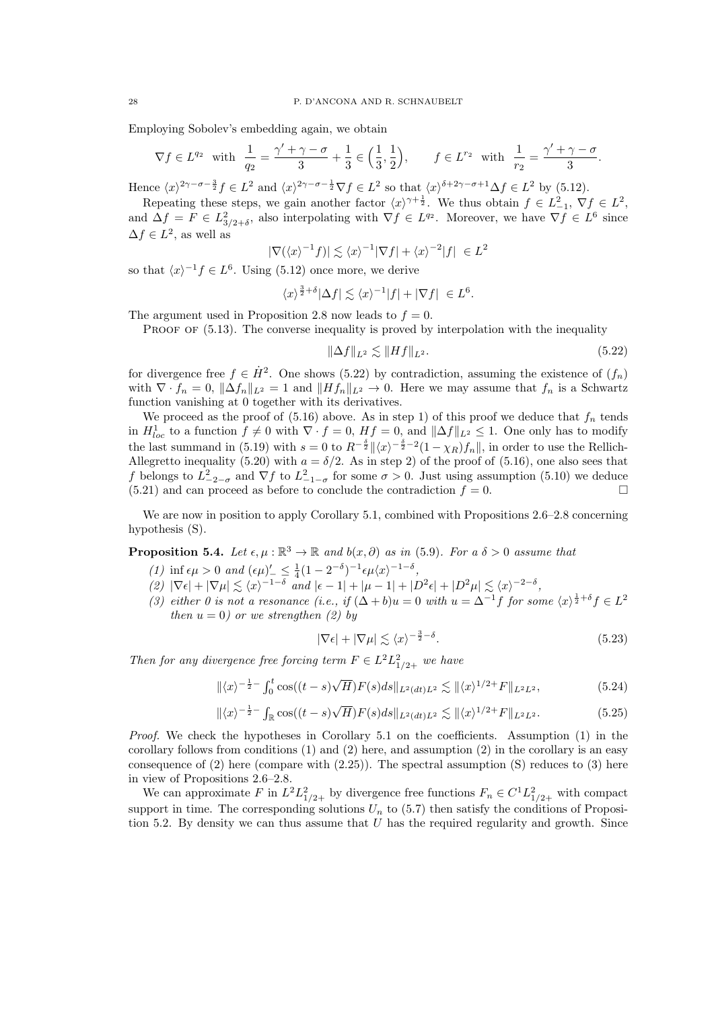Employing Sobolev's embedding again, we obtain

$$
\nabla f \in L^{q_2} \quad \text{with} \quad \frac{1}{q_2} = \frac{\gamma' + \gamma - \sigma}{3} + \frac{1}{3} \in \left(\frac{1}{3}, \frac{1}{2}\right), \qquad f \in L^{r_2} \quad \text{with} \quad \frac{1}{r_2} = \frac{\gamma' + \gamma - \sigma}{3}.
$$

Hence  $\langle x \rangle^{2\gamma - \sigma - \frac{3}{2}} f \in L^2$  and  $\langle x \rangle^{2\gamma - \sigma - \frac{1}{2}} \nabla f \in L^2$  so that  $\langle x \rangle^{\delta + 2\gamma - \sigma + 1} \Delta f \in L^2$  by (5.12).

Repeating these steps, we gain another factor  $\langle x \rangle^{\gamma+\frac{1}{2}}$ . We thus obtain  $f \in L^2_{-1}$ ,  $\nabla f \in L^2$ , and  $\Delta f = F \in L^2_{3/2+\delta}$ , also interpolating with  $\nabla f \in L^{q_2}$ . Moreover, we have  $\nabla f \in L^6$  since  $\Delta f \in L^2$ , as well as

$$
|\nabla (\langle x \rangle^{-1} f)| \lesssim \langle x \rangle^{-1} |\nabla f| + \langle x \rangle^{-2} |f| \ \in L^2
$$

so that  $\langle x \rangle^{-1} f \in L^6$ . Using (5.12) once more, we derive

$$
\langle x \rangle^{\frac{3}{2}+\delta} |\Delta f| \lesssim \langle x \rangle^{-1} |f| + |\nabla f| \ \in L
$$

The argument used in Proposition 2.8 now leads to  $f = 0$ .

PROOF OF  $(5.13)$ . The converse inequality is proved by interpolation with the inequality

$$
\|\Delta f\|_{L^2} \lesssim \|Hf\|_{L^2}.\tag{5.22}
$$

6 .

for divergence free  $f \in \dot{H}^2$ . One shows (5.22) by contradiction, assuming the existence of  $(f_n)$ with  $\nabla \cdot f_n = 0$ ,  $\|\Delta f_n\|_{L^2} = 1$  and  $\|Hf_n\|_{L^2} \to 0$ . Here we may assume that  $f_n$  is a Schwartz function vanishing at 0 together with its derivatives.

We proceed as the proof of  $(5.16)$  above. As in step 1) of this proof we deduce that  $f_n$  tends in  $H_{loc}^1$  to a function  $f \neq 0$  with  $\nabla \cdot f = 0$ ,  $Hf = 0$ , and  $\|\Delta f\|_{L^2} \leq 1$ . One only has to modify the last summand in (5.19) with  $s = 0$  to  $R^{-\frac{\delta}{2}} \|\langle x \rangle^{-\frac{\delta}{2}-2} (1 - \chi_R) f_n \|$ , in order to use the Rellich-Allegretto inequality (5.20) with  $a = \delta/2$ . As in step 2) of the proof of (5.16), one also sees that f belongs to  $L_{-2-\sigma}^2$  and  $\nabla f$  to  $L_{-1-\sigma}^2$  for some  $\sigma > 0$ . Just using assumption (5.10) we deduce  $(5.21)$  and can proceed as before to conclude the contradiction  $f = 0$ .

We are now in position to apply Corollary 5.1, combined with Propositions 2.6–2.8 concerning hypothesis (S).

**Proposition 5.4.** Let  $\epsilon, \mu : \mathbb{R}^3 \to \mathbb{R}$  and  $b(x, \partial)$  as in (5.9). For a  $\delta > 0$  assume that

- (1) inf  $\epsilon \mu > 0$  and  $(\epsilon \mu)'_{-} \leq \frac{1}{4} (1 2^{-\delta})^{-1} \epsilon \mu \langle x \rangle^{-1-\delta}$ ,
- $(2) |\nabla \epsilon| + |\nabla \mu| \lesssim \langle x \rangle^{-1-\delta} \text{ and } |\epsilon 1| + |\mu 1| + |D^2 \epsilon| + |D^2 \mu| \lesssim \langle x \rangle^{-2-\delta},$
- (3) either 0 is not a resonance (i.e., if  $(\Delta + b)u = 0$  with  $u = \Delta^{-1}f$  for some  $\langle x \rangle^{\frac{1}{2} + \delta} f \in L^2$ then  $u = 0$ ) or we strengthen (2) by

$$
|\nabla \epsilon| + |\nabla \mu| \lesssim \langle x \rangle^{-\frac{3}{2} - \delta}.\tag{5.23}
$$

Then for any divergence free forcing term  $F \in L^2 L^2_{1/2+}$  we have

$$
\|\langle x\rangle^{-\frac{1}{2}-} \int_0^t \cos((t-s)\sqrt{H}) F(s) ds \|_{L^2(dt)L^2} \lesssim \|\langle x\rangle^{1/2+} F\|_{L^2L^2},
$$
\n(5.24)

$$
\|\langle x\rangle^{-\frac{1}{2}-}\int_{\mathbb{R}}\cos((t-s)\sqrt{H})F(s)ds\|_{L^{2}(dt)L^{2}} \lesssim \|\langle x\rangle^{1/2+}F\|_{L^{2}L^{2}}.
$$
 (5.25)

Proof. We check the hypotheses in Corollary 5.1 on the coefficients. Assumption (1) in the corollary follows from conditions  $(1)$  and  $(2)$  here, and assumption  $(2)$  in the corollary is an easy consequence of  $(2)$  here (compare with  $(2.25)$ ). The spectral assumption  $(S)$  reduces to  $(3)$  here in view of Propositions 2.6–2.8.

We can approximate F in  $L^2 L_{1/2+}^2$  by divergence free functions  $F_n \in C^1 L_{1/2+}^2$  with compact support in time. The corresponding solutions  $U_n$  to (5.7) then satisfy the conditions of Proposition 5.2. By density we can thus assume that  $U$  has the required regularity and growth. Since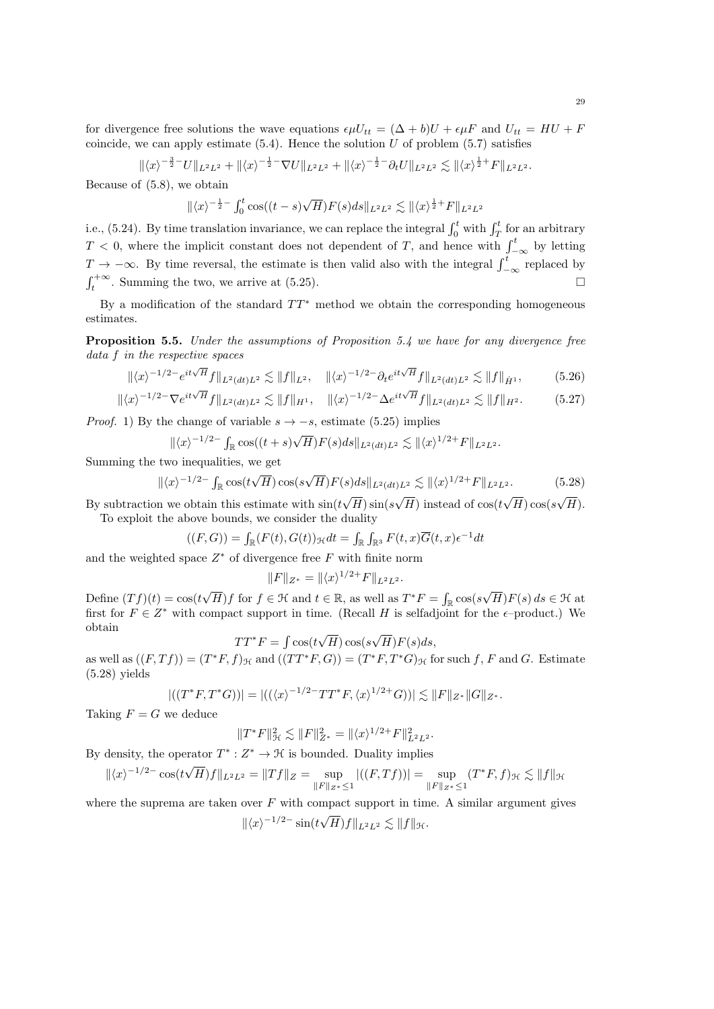for divergence free solutions the wave equations  $\epsilon \mu U_{tt} = (\Delta + b)U + \epsilon \mu F$  and  $U_{tt} = HU + F$ coincide, we can apply estimate  $(5.4)$ . Hence the solution U of problem  $(5.7)$  satisfies

$$
\|\langle x\rangle^{-\frac{3}{2}-}U\|_{L^2L^2}+\|\langle x\rangle^{-\frac{1}{2}-}\nabla U\|_{L^2L^2}+\|\langle x\rangle^{-\frac{1}{2}-}\partial_t U\|_{L^2L^2}\lesssim \|\langle x\rangle^{\frac{1}{2}+}F\|_{L^2L^2}.
$$

Because of (5.8), we obtain

$$
\|\langle x\rangle^{-\frac{1}{2}-} \int_0^t \cos((t-s)\sqrt{H}) F(s) ds \|_{L^2 L^2} \lesssim \|\langle x\rangle^{\frac{1}{2}+} F \|_{L^2 L^2}
$$

i.e., (5.24). By time translation invariance, we can replace the integral  $\int_0^t$  with  $\int_T^t$  for an arbitrary  $T < 0$ , where the implicit constant does not dependent of T, and hence with  $\int_{-\infty}^{t}$  by letting  $T \to -\infty$ . By time reversal, the estimate is then valid also with the integral  $\int_{-\infty}^{t}$  replaced by  $\int_{t}^{+\infty}$ . Summing the two, we arrive at (5.25).

By a modification of the standard  $TT^*$  method we obtain the corresponding homogeneous estimates.

Proposition 5.5. Under the assumptions of Proposition 5.4 we have for any divergence free data f in the respective spaces

$$
\| \langle x \rangle^{-1/2-} e^{it\sqrt{H}} f \|_{L^2(dt)L^2} \lesssim \| f \|_{L^2}, \quad \| \langle x \rangle^{-1/2-} \partial_t e^{it\sqrt{H}} f \|_{L^2(dt)L^2} \lesssim \| f \|_{\dot{H}^1}, \tag{5.26}
$$

$$
\|\langle x\rangle^{-1/2-} \nabla e^{it\sqrt{H}} f\|_{L^2(dt)L^2} \lesssim \|f\|_{H^1}, \quad \|\langle x\rangle^{-1/2-} \Delta e^{it\sqrt{H}} f\|_{L^2(dt)L^2} \lesssim \|f\|_{H^2}.
$$
 (5.27)

*Proof.* 1) By the change of variable  $s \rightarrow -s$ , estimate (5.25) implies

$$
\|\langle x\rangle^{-1/2-} \int_{\mathbb{R}} \cos((t+s)\sqrt{H}) F(s) ds \|_{L^2(dt)L^2} \lesssim \|\langle x\rangle^{1/2+} F\|_{L^2L^2}.
$$

Summing the two inequalities, we get

 $\parallel$ 

$$
\langle x \rangle^{-1/2-} \int_{\mathbb{R}} \cos(t\sqrt{H}) \cos(s\sqrt{H}) F(s) ds \|_{L^2(dt)L^2} \lesssim \| \langle x \rangle^{1/2+} F \|_{L^2L^2}.
$$
 (5.28)

By subtraction we obtain this estimate with  $sin(t)$  $H)\sin(s$  $(H)$  instead of  $\cos(t)$  $(H)$   $\cos(s)$  $(H).$ To exploit the above bounds, we consider the duality

$$
((F,G)) = \int_{\mathbb{R}} (F(t), G(t))_{\mathcal{H}} dt = \int_{\mathbb{R}} \int_{\mathbb{R}^3} F(t, x) \overline{G}(t, x) \epsilon^{-1} dt
$$

and the weighted space  $Z^*$  of divergence free  $F$  with finite norm

$$
||F||_{Z^*} = ||\langle x \rangle^{1/2+} F||_{L^2L^2}.
$$

Define  $(Tf)(t) = \cos(t)$  $\sqrt{H}$ )f for  $f \in \mathcal{H}$  and  $t \in \mathbb{R}$ , as well as  $T^*F = \int_{\mathbb{R}} \cos(s)$ √  $(H)F(s) ds \in \mathcal{H}$  at first for  $F \in Z^*$  with compact support in time. (Recall H is selfadjoint for the  $\epsilon$ -product.) We obtain √ √

$$
TT^*F = \int \cos(t\sqrt{H})\cos(s\sqrt{H})F(s)ds,
$$

as well as  $((F, Tf)) = (T^*F, f)_{\mathcal{H}}$  and  $((TT^*F, G)) = (T^*F, T^*G)_{\mathcal{H}}$  for such f, F and G. Estimate (5.28) yields

$$
|((T^*F, T^*G))| = |(((x)^{-1/2}TT^*F, \langle x \rangle^{1/2+}G))| \lesssim ||F||_{Z^*} ||G||_{Z^*}.
$$

Taking  $F = G$  we deduce

$$
||T^*F||^2_{\mathcal{H}} \lesssim ||F||^2_{Z^*} = ||\langle x \rangle^{1/2+} F||^2_{L^2L^2}.
$$

By density, the operator  $T^* : Z^* \to \mathcal{H}$  is bounded. Duality implies

$$
\|\langle x\rangle^{-1/2-}\cos(t\sqrt{H})f\|_{L^2L^2} = \|Tf\|_Z = \sup_{\|F\|_{Z^*}\le 1} |((F,Tf))| = \sup_{\|F\|_{Z^*}\le 1} (T^*F,f)_{\mathcal{H}} \lesssim \|f\|_{\mathcal{H}}
$$

where the suprema are taken over  $F$  with compact support in time. A similar argument gives

$$
\|\langle x\rangle^{-1/2-}\sin(t\sqrt{H})f\|_{L^2L^2}\lesssim \|f\|_{\mathcal{H}}.
$$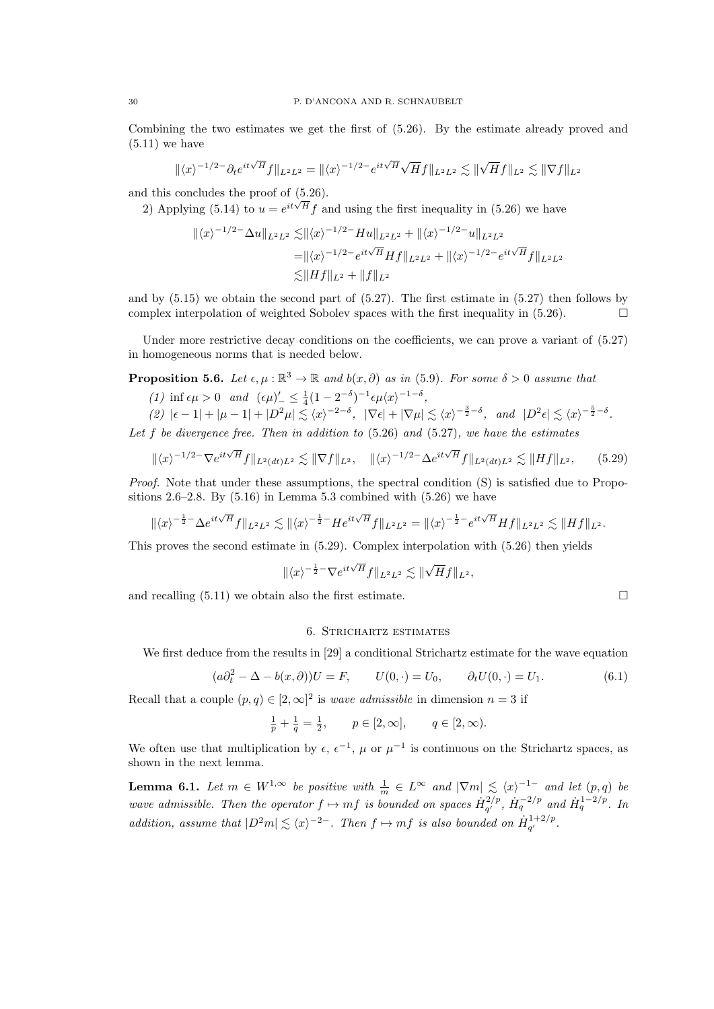Combining the two estimates we get the first of (5.26). By the estimate already proved and  $(5.11)$  we have

$$
\|\langle x\rangle^{-1/2-}\partial_t e^{it\sqrt{H}}f\|_{L^2L^2}=\|\langle x\rangle^{-1/2-}e^{it\sqrt{H}}\sqrt{H}f\|_{L^2L^2}\lesssim \|\sqrt{H}f\|_{L^2}\lesssim \|\nabla f\|_{L^2}
$$

and this concludes the proof of (5.26).

2) Applying (5.14) to  $u = e^{it\sqrt{H}} f$  and using the first inequality in (5.26) we have

$$
\| \langle x \rangle^{-1/2-} \Delta u \|_{L^2 L^2} \lesssim \| \langle x \rangle^{-1/2-} H u \|_{L^2 L^2} + \| \langle x \rangle^{-1/2-} u \|_{L^2 L^2}
$$
  
=  $\| \langle x \rangle^{-1/2-} e^{it\sqrt{H}} H f \|_{L^2 L^2} + \| \langle x \rangle^{-1/2-} e^{it\sqrt{H}} f \|_{L^2 L^2}$   
 $\lesssim \| H f \|_{L^2} + \| f \|_{L^2}$ 

and by  $(5.15)$  we obtain the second part of  $(5.27)$ . The first estimate in  $(5.27)$  then follows by complex interpolation of weighted Sobolev spaces with the first inequality in  $(5.26)$ .

Under more restrictive decay conditions on the coefficients, we can prove a variant of  $(5.27)$ in homogeneous norms that is needed below.

**Proposition 5.6.** Let  $\epsilon, \mu : \mathbb{R}^3 \to \mathbb{R}$  and  $b(x, \partial)$  as in (5.9). For some  $\delta > 0$  assume that

(1) inf  $\epsilon \mu > 0$  and  $(\epsilon \mu)'_{-} \leq \frac{1}{4} (1 - 2^{-\delta})^{-1} \epsilon \mu \langle x \rangle^{-1-\delta}$ ,

$$
(2) \ |\epsilon - 1| + |\mu - 1| + |D^2\mu| \leq \langle x \rangle^{-2-\delta}, \ |\nabla \epsilon| + |\nabla \mu| \leq \langle x \rangle^{-\frac{3}{2}-\delta}, \ \text{and} \ |D^2\epsilon| \leq \langle x \rangle^{-\frac{5}{2}-\delta}.
$$

Let  $f$  be divergence free. Then in addition to  $(5.26)$  and  $(5.27)$ , we have the estimates

$$
\|\langle x\rangle^{-1/2-} \nabla e^{it\sqrt{H}} f\|_{L^2(dt)L^2} \lesssim \|\nabla f\|_{L^2}, \quad \|\langle x\rangle^{-1/2-} \Delta e^{it\sqrt{H}} f\|_{L^2(dt)L^2} \lesssim \|Hf\|_{L^2}, \qquad (5.29)
$$

Proof. Note that under these assumptions, the spectral condition (S) is satisfied due to Propositions  $2.6-2.8$ . By  $(5.16)$  in Lemma 5.3 combined with  $(5.26)$  we have

$$
\|\langle x\rangle^{-\frac{1}{2}-}\Delta e^{it\sqrt{H}}f\|_{L^2L^2}\lesssim \|\langle x\rangle^{-\frac{1}{2}-}He^{it\sqrt{H}}f\|_{L^2L^2}=\|\langle x\rangle^{-\frac{1}{2}-}e^{it\sqrt{H}}Hf\|_{L^2L^2}\lesssim \|Hf\|_{L^2}.
$$

This proves the second estimate in (5.29). Complex interpolation with (5.26) then yields

$$
\|\langle x\rangle^{-\frac{1}{2}-}\nabla e^{it\sqrt{H}}f\|_{L^2L^2}\lesssim \|\sqrt{H}f\|_{L^2},
$$

and recalling  $(5.11)$  we obtain also the first estimate.

#### 6. Strichartz estimates

We first deduce from the results in [29] a conditional Strichartz estimate for the wave equation

$$
(a\partial_t^2 - \Delta - b(x,\partial))U = F, \qquad U(0,\cdot) = U_0, \qquad \partial_t U(0,\cdot) = U_1.
$$
 (6.1)

Recall that a couple  $(p, q) \in [2, \infty]^2$  is *wave admissible* in dimension  $n = 3$  if

 $\frac{1}{p} + \frac{1}{q} = \frac{1}{2}, \qquad p \in [2, \infty], \qquad q \in [2, \infty).$ 

We often use that multiplication by  $\epsilon$ ,  $\epsilon^{-1}$ ,  $\mu$  or  $\mu^{-1}$  is continuous on the Strichartz spaces, as shown in the next lemma.

**Lemma 6.1.** Let  $m \in W^{1,\infty}$  be positive with  $\frac{1}{m} \in L^{\infty}$  and  $|\nabla m| \leq \langle x \rangle^{-1}$  and let  $(p,q)$  be wave admissible. Then the operator  $f \mapsto mf$  is bounded on spaces  $\dot{H}^{2/p}_{\alpha'}$  $\dot{H}_q^{-2/p}$ ,  $\dot{H}_q^{-2/p}$  and  $\dot{H}_q^{1-2/p}$ . In addition, assume that  $|D^2m| \leq \langle x \rangle^{-2-}$ . Then  $f \mapsto mf$  is also bounded on  $\dot{H}^{1+2/p}_{\sigma'}$  $q^{(1+2/p)}$ .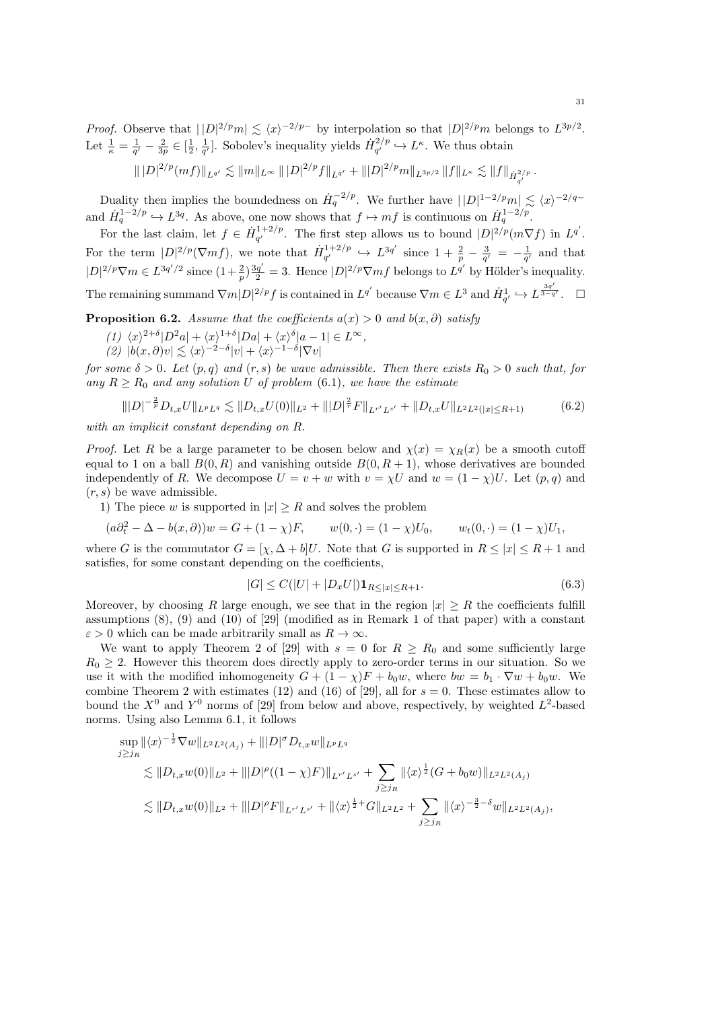*Proof.* Observe that  $||D|^{2/p}m| \le \langle x \rangle^{-2/p-}$  by interpolation so that  $|D|^{2/p}m$  belongs to  $L^{3p/2}$ . Let  $\frac{1}{\kappa} = \frac{1}{q'} - \frac{2}{3p} \in [\frac{1}{2}, \frac{1}{q'}]$ . Sobolev's inequality yields  $\dot{H}_{q'}^{2/p}$  $I_{q'}^{2/p} \hookrightarrow L^{\kappa}$ . We thus obtain

$$
\| |D|^{2/p} (mf)\|_{L^{q'}} \lesssim \|m\|_{L^\infty} \, \| |D|^{2/p} f\|_{L^{q'}} + \| |D|^{2/p} m\|_{L^{3p/2}} \, \|f\|_{L^\kappa} \lesssim \|f\|_{\dot H^{2/p}_{q'}} \, .
$$

Duality then implies the boundedness on  $\dot{H}_q^{-2/p}$ . We further have  $||D|^{1-2/p}m| \lesssim \langle x \rangle^{-2/q-1}$ and  $\dot{H}_q^{1-2/p} \hookrightarrow L^{3q}$ . As above, one now shows that  $f \mapsto mf$  is continuous on  $\dot{H}_q^{1-2/p}$ .

For the last claim, let  $f \in \dot{H}_{q'}^{1+2/p}$  $q'$ . The first step allows us to bound  $|D|^{2/p} (m\nabla f)$  in  $L^{q'}$ . For the term  $|D|^{2/p}(\nabla m f)$ , we note that  $\dot{H}^{1+2/p}_{a'}$  $q'_{q'} \rightarrow L^{3q'}$  since  $1 + \frac{2}{p} - \frac{3}{q'} = -\frac{1}{q'}$  and that  $|D|^{2/p}\nabla m \in L^{3q'/2}$  since  $(1+\frac{2}{p})\frac{3q'}{2}=3$ . Hence  $|D|^{2/p}\nabla mf$  belongs to  $L^{q'}$  by Hölder's inequality. The remaining summand  $\nabla m |D|^{2/p} f$  is contained in  $L^{q'}$  because  $\nabla m \in L^3$  and  $\dot{H}_{q'}^1 \hookrightarrow L^{\frac{3q'}{3-q'}}$ .

**Proposition 6.2.** Assume that the coefficients  $a(x) > 0$  and  $b(x, \partial)$  satisfy

- $(1)$   $\langle x \rangle^{2+\delta} |D^2a| + \langle x \rangle^{1+\delta} |Da| + \langle x \rangle^{\delta} |a-1| \in L^{\infty}$ ,
- $|(2) |b(x,\partial)v| \lesssim \langle x \rangle^{-2-\delta} |v| + \langle x \rangle^{-1-\delta} |\nabla v|$

for some  $\delta > 0$ . Let  $(p, q)$  and  $(r, s)$  be wave admissible. Then there exists  $R_0 > 0$  such that, for any  $R \ge R_0$  and any solution U of problem (6.1), we have the estimate

$$
\| |D|^{-\frac{2}{p}} D_{t,x} U \|_{L^p L^q} \lesssim \| D_{t,x} U(0) \|_{L^2} + \| |D|^{\frac{2}{r}} F \|_{L^{r'} L^{s'}} + \| D_{t,x} U \|_{L^2 L^2(|x| \le R+1)} \tag{6.2}
$$

with an implicit constant depending on R.

*Proof.* Let R be a large parameter to be chosen below and  $\chi(x) = \chi_R(x)$  be a smooth cutoff equal to 1 on a ball  $B(0, R)$  and vanishing outside  $B(0, R + 1)$ , whose derivatives are bounded independently of R. We decompose  $U = v + w$  with  $v = \chi U$  and  $w = (1 - \chi)U$ . Let  $(p, q)$  and  $(r, s)$  be wave admissible.

1) The piece w is supported in  $|x| \ge R$  and solves the problem

$$
(a\partial_t^2 - \Delta - b(x, \partial))w = G + (1 - \chi)F, \qquad w(0, \cdot) = (1 - \chi)U_0, \qquad w_t(0, \cdot) = (1 - \chi)U_1,
$$

where G is the commutator  $G = [\chi, \Delta + b]U$ . Note that G is supported in  $R \leq |x| \leq R + 1$  and satisfies, for some constant depending on the coefficients,

$$
|G| \le C(|U| + |D_x U|) \mathbf{1}_{R \le |x| \le R+1}.\tag{6.3}
$$

Moreover, by choosing R large enough, we see that in the region  $|x| \geq R$  the coefficients fulfill assumptions  $(8)$ ,  $(9)$  and  $(10)$  of  $[29]$  (modified as in Remark 1 of that paper) with a constant  $\varepsilon > 0$  which can be made arbitrarily small as  $R \to \infty$ .

We want to apply Theorem 2 of [29] with  $s = 0$  for  $R \ge R_0$  and some sufficiently large  $R_0 \geq 2$ . However this theorem does directly apply to zero-order terms in our situation. So we use it with the modified inhomogeneity  $G + (1 - \chi)F + b_0w$ , where  $bw = b_1 \cdot \nabla w + b_0w$ . We combine Theorem 2 with estimates (12) and (16) of [29], all for  $s = 0$ . These estimates allow to bound the  $X^0$  and  $Y^0$  norms of [29] from below and above, respectively, by weighted  $L^2$ -based norms. Using also Lemma 6.1, it follows

$$
\sup_{j\geq j_R} \|\langle x\rangle^{-\frac{1}{2}} \nabla w\|_{L^2 L^2(A_j)} + \| |D|^\sigma D_{t,x} w\|_{L^p L^q} \n\lesssim \|D_{t,x} w(0)\|_{L^2} + \| |D|^\rho ((1-\chi)F)\|_{L^{r'} L^{s'}} + \sum_{j\geq j_R} \|\langle x\rangle^{\frac{1}{2}} (G + b_0 w)\|_{L^2 L^2(A_j)} \n\lesssim \|D_{t,x} w(0)\|_{L^2} + \| |D|^\rho F\|_{L^{r'} L^{s'}} + \|\langle x\rangle^{\frac{1}{2}+} G\|_{L^2 L^2} + \sum_{j\geq j_R} \|\langle x\rangle^{-\frac{3}{2}-\delta} w\|_{L^2 L^2(A_j)},
$$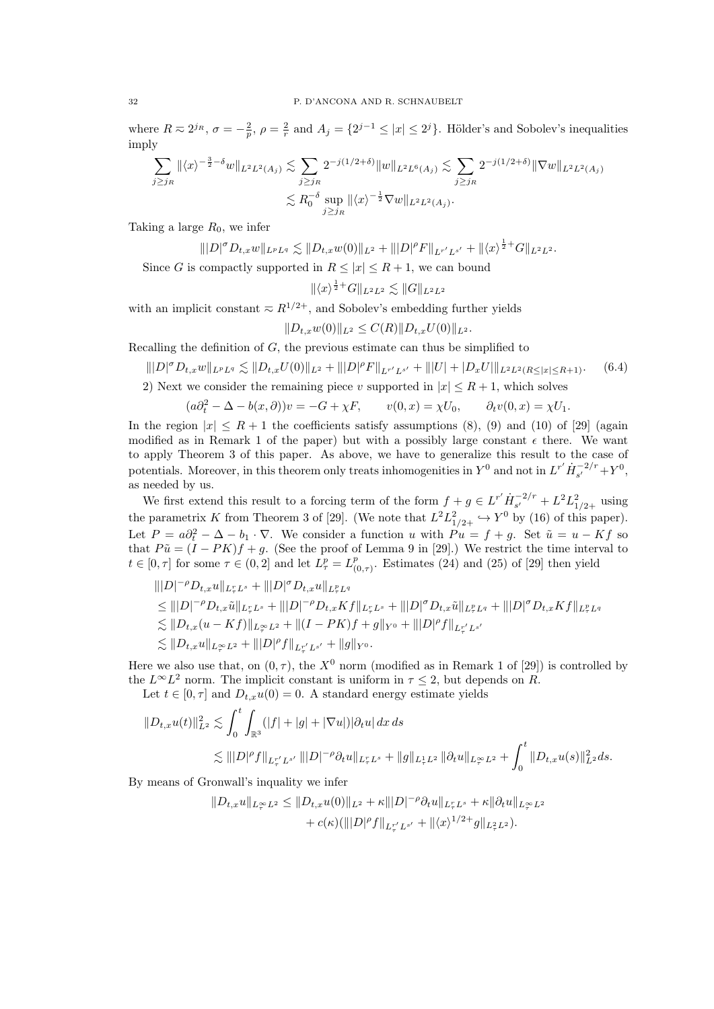where  $R \approx 2^{j_R}$ ,  $\sigma = -\frac{2}{p}$ ,  $\rho = \frac{2}{r}$  and  $A_j = \{2^{j-1} \le |x| \le 2^j\}$ . Hölder's and Sobolev's inequalities imply

$$
\sum_{j\geq j_R} \|\langle x\rangle^{-\frac{3}{2}-\delta} w\|_{L^2 L^2(A_j)} \lesssim \sum_{j\geq j_R} 2^{-j(1/2+\delta)} \|w\|_{L^2 L^6(A_j)} \lesssim \sum_{j\geq j_R} 2^{-j(1/2+\delta)} \|\nabla w\|_{L^2 L^2(A_j)}
$$
  

$$
\lesssim R_0^{-\delta} \sup_{j\geq j_R} \|\langle x\rangle^{-\frac{1}{2}} \nabla w\|_{L^2 L^2(A_j)}.
$$

Taking a large  $R_0$ , we infer

$$
\||D|^{\sigma} D_{t,x} w\|_{L^p L^q} \lesssim \|D_{t,x} w(0)\|_{L^2} + \||D|^{\rho} F\|_{L^{r'} L^{s'}} + \|\langle x \rangle^{\frac{1}{2}+} G\|_{L^2 L^2}.
$$

Since G is compactly supported in  $R \leq |x| \leq R+1$ , we can bound

$$
\|\langle x \rangle^{\frac{1}{2}+}G\|_{L^2L^2} \lesssim \|G\|_{L^2L^2}
$$

with an implicit constant  $\approx R^{1/2+}$ , and Sobolev's embedding further yields

$$
||D_{t,x}w(0)||_{L^2}\leq C(R)||D_{t,x}U(0)||_{L^2}.
$$

Recalling the definition of  $G$ , the previous estimate can thus be simplified to

$$
\| |D|^{\sigma} D_{t,x} w \|_{L^p L^q} \lesssim \| D_{t,x} U(0) \|_{L^2} + \| |D|^{\rho} F \|_{L^{r'} L^{s'}} + \| |U| + |D_x U| \|_{L^2 L^2(R \le |x| \le R+1)}.
$$
 (6.4)

2) Next we consider the remaining piece v supported in  $|x| \le R+1$ , which solves

$$
(a\partial_t^2 - \Delta - b(x,\partial))v = -G + \chi F, \qquad v(0,x) = \chi U_0, \qquad \partial_t v(0,x) = \chi U_1.
$$

In the region  $|x| \leq R+1$  the coefficients satisfy assumptions (8), (9) and (10) of [29] (again modified as in Remark 1 of the paper) but with a possibly large constant  $\epsilon$  there. We want to apply Theorem 3 of this paper. As above, we have to generalize this result to the case of potentials. Moreover, in this theorem only treats inhomogenities in  $Y^0$  and not in  $L^{r'} \dot{H}_{s'}^{-2/r} + Y^0$ , as needed by us.

We first extend this result to a forcing term of the form  $f + g \in L^{r'} \dot{H}_{s'}^{-2/r} + L^2 L_{1/2+}^2$  using the parametrix K from Theorem 3 of [29]. (We note that  $L^2 L^2_{1/2+} \hookrightarrow Y^0$  by (16) of this paper). Let  $P = a\partial_t^2 - \Delta - b_1 \cdot \nabla$ . We consider a function u with  $Pu = f + g$ . Set  $\tilde{u} = u - Kf$  so that  $P\tilde{u} = (I - PK)f + g$ . (See the proof of Lemma 9 in [29].) We restrict the time interval to  $t \in [0, \tau]$  for some  $\tau \in (0, 2]$  and let  $L^p_\tau = L^p_{(0)}$  $_{(0,\tau)}^p$ . Estimates (24) and (25) of [29] then yield

$$
\| |D|^{-\rho} D_{t,x} u \|_{L^r_\tau L^s} + \| |D|^\sigma D_{t,x} u \|_{L^p_\tau L^q}
$$
  
\n
$$
\leq \| |D|^{-\rho} D_{t,x} \tilde{u} \|_{L^r_\tau L^s} + \| |D|^{-\rho} D_{t,x} K f \|_{L^r_\tau L^s} + \| |D|^\sigma D_{t,x} \tilde{u} \|_{L^p_\tau L^q} + \| |D|^\sigma D_{t,x} K f \|_{L^p_\tau L^q}
$$
  
\n
$$
\lesssim \| D_{t,x} (u - Kf) \|_{L^\infty_\tau L^2} + \| (I - PK)f + g \|_{Y^0} + \| |D|^\rho f \|_{L^r_\tau L^{s'}}
$$
  
\n
$$
\lesssim \| D_{t,x} u \|_{L^\infty_\tau L^2} + \| |D|^\rho f \|_{L^r_\tau L^{s'}} + \| g \|_{Y^0}.
$$

Here we also use that, on  $(0, \tau)$ , the  $X^0$  norm (modified as in Remark 1 of [29]) is controlled by the  $L^{\infty}L^2$  norm. The implicit constant is uniform in  $\tau \leq 2$ , but depends on R.

Let  $t \in [0, \tau]$  and  $D_{t,x}u(0) = 0$ . A standard energy estimate yields

$$
\|D_{t,x}u(t)\|_{L^{2}}^{2} \lesssim \int_{0}^{t} \int_{\mathbb{R}^{3}} (|f| + |g| + |\nabla u|) |\partial_{t}u| \, dx \, ds
$$
  

$$
\lesssim \| |D|^{\rho} f \|_{L_{r}^{r'} L^{s'}} \| |D|^{-\rho} \partial_{t}u \|_{L_{r}^{r} L^{s}} + \|g\|_{L_{r}^{1} L^{2}} \| \partial_{t}u \|_{L_{r}^{\infty} L^{2}} + \int_{0}^{t} \|D_{t,x}u(s)\|_{L^{2}}^{2} ds.
$$

By means of Gronwall's inquality we infer

$$
||D_{t,x}u||_{L^{\infty}_{\tau}L^{2}} \leq ||D_{t,x}u(0)||_{L^{2}} + \kappa |||D|^{-\rho}\partial_{t}u||_{L^{\infty}_{\tau}L^{s}} + \kappa ||\partial_{t}u||_{L^{\infty}_{\tau}L^{2}} + c(\kappa)(|||D|^{\rho}f||_{L^{\tau'}_{\tau}L^{s'}} + ||\langle x \rangle^{1/2+}g||_{L^{2}_{\tau}L^{2}}).
$$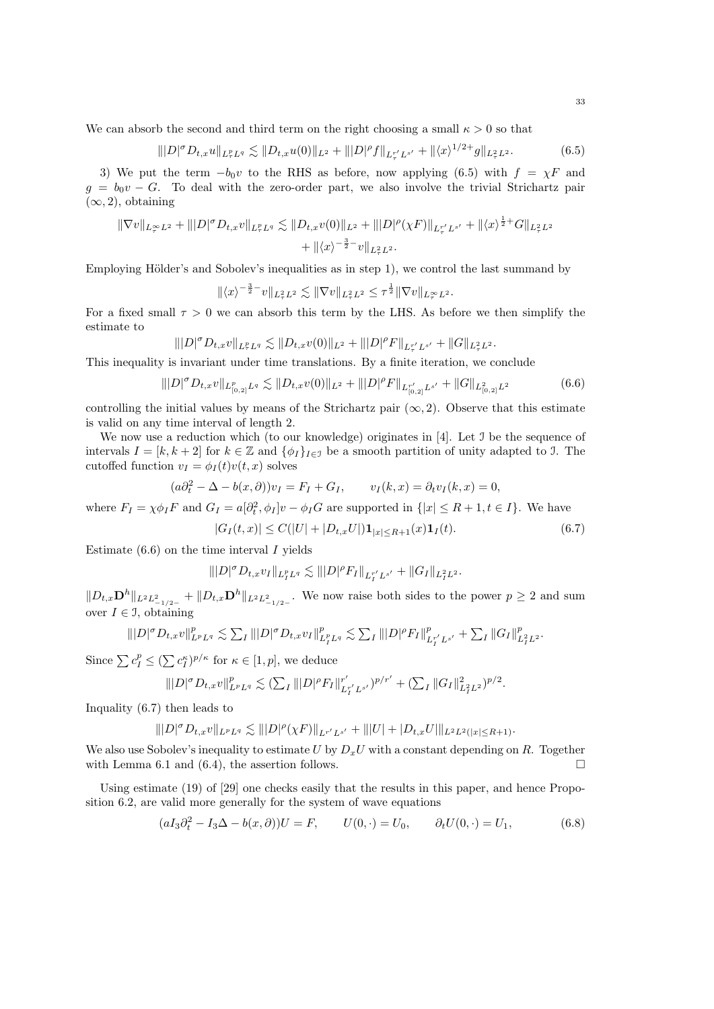We can absorb the second and third term on the right choosing a small  $\kappa > 0$  so that

$$
\| |D|^{\sigma} D_{t,x} u \|_{L^p_\tau L^q} \lesssim \| D_{t,x} u(0) \|_{L^2} + \| |D|^{\rho} f \|_{L^{r'}_\tau L^{s'}} + \| \langle x \rangle^{1/2+} g \|_{L^2_\tau L^2}.
$$
 (6.5)

3) We put the term  $-b_0v$  to the RHS as before, now applying (6.5) with  $f = \chi F$  and  $g = b_0v - G$ . To deal with the zero-order part, we also involve the trivial Strichartz pair  $(\infty, 2)$ , obtaining

$$
\|\nabla v\|_{L^\infty_T L^2} + \| |D|^\sigma D_{t,x} v\|_{L^p_\tau L^q} \lesssim \|D_{t,x} v(0)\|_{L^2} + \| |D|^\rho (\chi F)\|_{L^{r'}_\tau L^{s'}} + \| \langle x \rangle^{\frac{1}{2}+} G \|_{L^2_\tau L^2} + \| \langle x \rangle^{-\frac{3}{2}-} v \|_{L^2_\tau L^2}.
$$

Employing Hölder's and Sobolev's inequalities as in step 1), we control the last summand by

$$
\|\langle x\rangle^{-\frac{3}{2}-}v\|_{L^2_{\tau}L^2}\lesssim \|\nabla v\|_{L^2_{\tau}L^2}\leq \tau^{\frac{1}{2}}\|\nabla v\|_{L^\infty_{\tau}L^2}.
$$

For a fixed small  $\tau > 0$  we can absorb this term by the LHS. As before we then simplify the estimate to

 $\||D|^{\sigma} D_{t,x} v\|_{L_{\tau}^p L^q} \lesssim \|D_{t,x} v(0)\|_{L^2} + \||D|^{\rho} F\|_{L_{\tau}^{r'} L^{s'}} + \|G\|_{L_{\tau}^2 L^2}.$ 

This inequality is invariant under time translations. By a finite iteration, we conclude

$$
\| |D|^\sigma D_{t,x} v \|_{L^p_{[0,2]} L^q} \lesssim \| D_{t,x} v(0) \|_{L^2} + \| |D|^\rho F \|_{L^{r'}_{[0,2]} L^{s'}} + \| G \|_{L^2_{[0,2]} L^2}
$$
(6.6)

controlling the initial values by means of the Strichartz pair  $(\infty, 2)$ . Observe that this estimate is valid on any time interval of length 2.

We now use a reduction which (to our knowledge) originates in [4]. Let J be the sequence of intervals  $I = [k, k + 2]$  for  $k \in \mathbb{Z}$  and  $\{\phi_I\}_{I \in \mathcal{I}}$  be a smooth partition of unity adapted to J. The cutoffed function  $v_I = \phi_I(t)v(t, x)$  solves

$$
(a\partial_t^2 - \Delta - b(x,\partial))v_I = F_I + G_I, \qquad v_I(k,x) = \partial_t v_I(k,x) = 0,
$$

where  $F_I = \chi \phi_I F$  and  $G_I = a[\partial_t^2, \phi_I]v - \phi_I G$  are supported in  $\{|x| \le R + 1, t \in I\}$ . We have

$$
|G_I(t,x)| \le C(|U| + |D_{t,x}U|) \mathbf{1}_{|x| \le R+1}(x) \mathbf{1}_I(t). \tag{6.7}
$$

Estimate  $(6.6)$  on the time interval I yields

$$
\||D|^{\sigma} D_{t,x} v_I\|_{L_I^p L^q} \lesssim \||D|^{\rho} F_I\|_{L_I^{r'} L^{s'}} + \|G_I\|_{L_I^2 L^2}.
$$

 $||D_{t,x}\mathbf{D}^{h}||_{L^2L^2_{-1/2-}} + ||D_{t,x}\mathbf{D}^{h}||_{L^2L^2_{-1/2-}}$ . We now raise both sides to the power  $p \geq 2$  and sum over  $I \in \mathcal{I}$ , obtaining

$$
\||D|^{\sigma} D_{t,x} v\|_{L^p L^q}^p \lesssim \sum_{I} \||D|^{\sigma} D_{t,x} v_I\|_{L^p_I L^q}^p \lesssim \sum_{I} \||D|^{\rho} F_I\|_{L^{r'}_I L^{s'}}^p + \sum_{I} \|G_I\|_{L^2_I L^2}^p.
$$

Since  $\sum c_I^p \leq (\sum c_I^{\kappa})^{p/\kappa}$  for  $\kappa \in [1, p]$ , we deduce

$$
\||D|^{\sigma}D_{t,x}v\|_{L^pL^q}^p\lesssim (\sum_I\||D|^{\rho}F_I\|_{L_I^{r'}L^{s'}}^{r'})^{p/r'}+(\sum_I\|G_I\|_{L_I^2L^2}^2)^{p/2}.
$$

Inquality (6.7) then leads to

$$
\||D|^{\sigma} D_{t,x} v\|_{L^p L^q} \lesssim \||D|^{\rho} (\chi F)\|_{L^{r'}L^{s'}} + \||U| + |D_{t,x} U|\|_{L^2L^2(|x| \leq R+1)}.
$$

We also use Sobolev's inequality to estimate U by  $D_xU$  with a constant depending on R. Together with Lemma 6.1 and (6.4), the assertion follows.  $\Box$ 

Using estimate (19) of [29] one checks easily that the results in this paper, and hence Proposition 6.2, are valid more generally for the system of wave equations

$$
(aI_3\partial_t^2 - I_3\Delta - b(x,\partial))U = F, \qquad U(0,\cdot) = U_0, \qquad \partial_t U(0,\cdot) = U_1,\tag{6.8}
$$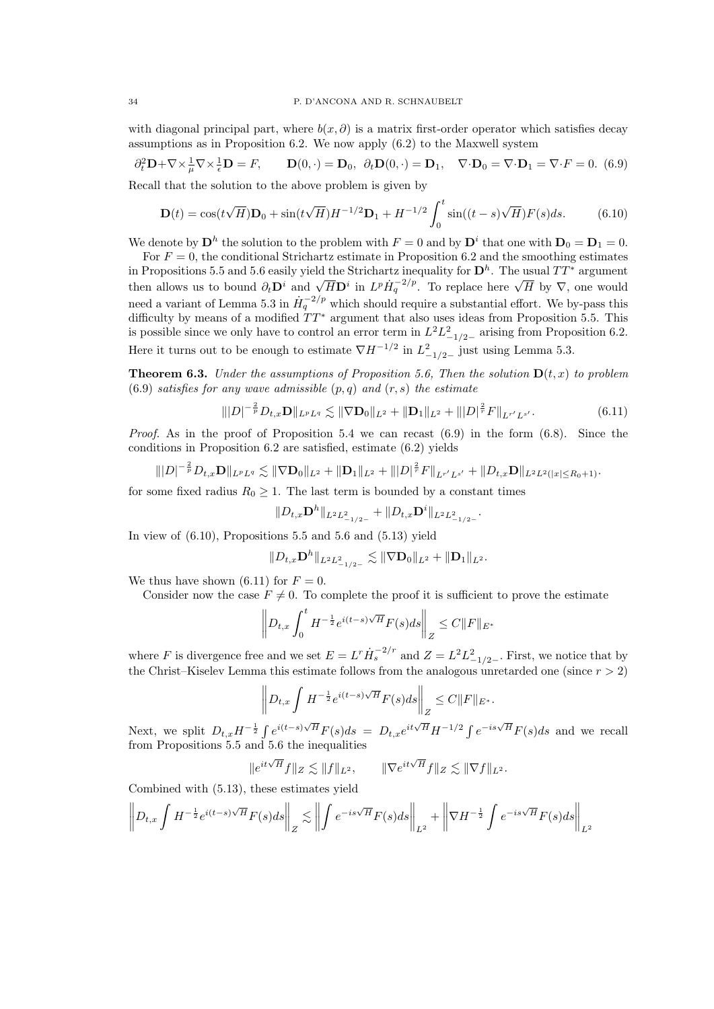with diagonal principal part, where  $b(x, \partial)$  is a matrix first-order operator which satisfies decay assumptions as in Proposition 6.2. We now apply (6.2) to the Maxwell system

$$
\partial_t^2 \mathbf{D} + \nabla \times \frac{1}{\mu} \nabla \times \frac{1}{\epsilon} \mathbf{D} = F, \qquad \mathbf{D}(0, \cdot) = \mathbf{D}_0, \ \partial_t \mathbf{D}(0, \cdot) = \mathbf{D}_1, \quad \nabla \cdot \mathbf{D}_0 = \nabla \cdot \mathbf{D}_1 = \nabla \cdot F = 0. \tag{6.9}
$$

Recall that the solution to the above problem is given by

$$
\mathbf{D}(t) = \cos(t\sqrt{H})\mathbf{D}_0 + \sin(t\sqrt{H})H^{-1/2}\mathbf{D}_1 + H^{-1/2}\int_0^t \sin((t-s)\sqrt{H})F(s)ds.
$$
 (6.10)

We denote by  $\mathbf{D}^h$  the solution to the problem with  $F = 0$  and by  $\mathbf{D}^i$  that one with  $\mathbf{D}_0 = \mathbf{D}_1 = 0$ .

For  $F = 0$ , the conditional Strichartz estimate in Proposition 6.2 and the smoothing estimates in Propositions 5.5 and 5.6 easily yield the Strichartz inequality for  $\mathbf{D}^h$ . The usual  $TT^*$  argument then allows us to bound  $\partial_t \mathbf{D}^i$  and  $\sqrt{H} \mathbf{D}^i$  in  $L^p \dot{H}^{-2/p}_{q}$ . To replace here  $\sqrt{H}$  by  $\nabla$ , one would need a variant of Lemma 5.3 in  $\dot{H}_q^{-2/p}$  which should require a substantial effort. We by-pass this difficulty by means of a modified  $TT^*$  argument that also uses ideas from Proposition 5.5. This is possible since we only have to control an error term in  $L^2 L^2_{-1/2-}$  arising from Proposition 6.2. Here it turns out to be enough to estimate  $\nabla H^{-1/2}$  in  $L^2_{-1/2-}$  just using Lemma 5.3.

**Theorem 6.3.** Under the assumptions of Proposition 5.6, Then the solution  $D(t, x)$  to problem  $(6.9)$  satisfies for any wave admissible  $(p,q)$  and  $(r,s)$  the estimate

$$
\| |D|^{-\frac{2}{p}} D_{t,x} \mathbf{D} \|_{L^p L^q} \lesssim \| \nabla \mathbf{D}_0 \|_{L^2} + \| \mathbf{D}_1 \|_{L^2} + \| |D|^{\frac{2}{r}} F \|_{L^{r'} L^{s'}}.
$$
\n(6.11)

*Proof.* As in the proof of Proposition 5.4 we can recast  $(6.9)$  in the form  $(6.8)$ . Since the conditions in Proposition 6.2 are satisfied, estimate (6.2) yields

$$
\||D|^{-\frac{2}{p}} D_{t,x} \mathbf{D}\|_{L^p L^q} \lesssim \|\nabla \mathbf{D}_0\|_{L^2} + \|\mathbf{D}_1\|_{L^2} + \||D|^{\frac{2}{r}} F\|_{L^{r'} L^{s'}} + \|D_{t,x} \mathbf{D}\|_{L^2 L^2(|x| \le R_0+1)}.
$$

for some fixed radius  $R_0 \geq 1$ . The last term is bounded by a constant times

$$
||D_{t,x}\mathbf{D}^{h}||_{L^{2}L_{-1/2-}^{2}}+||D_{t,x}\mathbf{D}^{i}||_{L^{2}L_{-1/2-}^{2}}.
$$

In view of  $(6.10)$ , Propositions 5.5 and 5.6 and  $(5.13)$  yield

$$
||D_{t,x}\mathbf{D}^{h}||_{L^2L_{-1/2-}^2}\lesssim ||\nabla \mathbf{D}_0||_{L^2}+||\mathbf{D}_1||_{L^2}.
$$

We thus have shown (6.11) for  $F = 0$ .

Consider now the case  $F \neq 0$ . To complete the proof it is sufficient to prove the estimate

$$
\left\| D_{t,x} \int_0^t H^{-\frac{1}{2}} e^{i(t-s)\sqrt{H}} F(s) ds \right\|_Z \le C \|F\|_{E^*}
$$

where F is divergence free and we set  $E = L^r \dot{H}_s^{-2/r}$  and  $Z = L^2 L^2_{-1/2}$ . First, we notice that by the Christ–Kiselev Lemma this estimate follows from the analogous unretarded one (since  $r > 2$ )

$$
\left\| D_{t,x} \int H^{-\frac{1}{2}} e^{i(t-s)\sqrt{H}} F(s) ds \right\|_{Z} \leq C \|F\|_{E^*}.
$$

Next, we split  $D_{t,x}H^{-\frac{1}{2}}\int e^{i(t-s)\sqrt{H}}F(s)ds = D_{t,x}e^{it\sqrt{H}}H^{-1/2}\int e^{-is\sqrt{H}}F(s)ds$  and we recall from Propositions 5.5 and 5.6 the inequalities

$$
\|e^{it\sqrt{H}}f\|_{Z}\lesssim\|f\|_{L^{2}},\qquad\|\nabla e^{it\sqrt{H}}f\|_{Z}\lesssim\|\nabla f\|_{L^{2}}.
$$

Combined with (5.13), these estimates yield

$$
\left\| D_{t,x} \int H^{-\frac{1}{2}} e^{i(t-s)\sqrt{H}} F(s) ds \right\|_{Z} \lesssim \left\| \int e^{-is\sqrt{H}} F(s) ds \right\|_{L^{2}} + \left\| \nabla H^{-\frac{1}{2}} \int e^{-is\sqrt{H}} F(s) ds \right\|_{L^{2}}
$$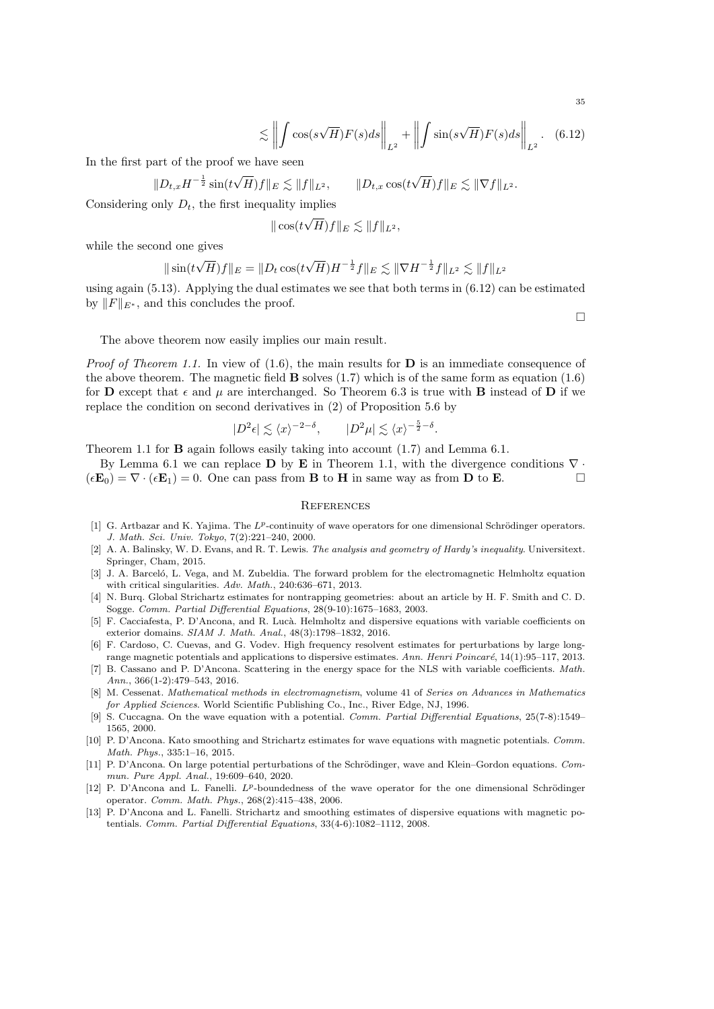$$
\lesssim \left\| \int \cos(s\sqrt{H}) F(s) ds \right\|_{L^2} + \left\| \int \sin(s\sqrt{H}) F(s) ds \right\|_{L^2}.
$$
 (6.12)

In the first part of the proof we have seen

$$
\|D_{t,x}H^{-\frac{1}{2}}\sin(t\sqrt{H})f\|_{E}\lesssim \|f\|_{L^{2}},\qquad \|D_{t,x}\cos(t\sqrt{H})f\|_{E}\lesssim \|\nabla f\|_{L^{2}}.
$$

Considering only  $D_t$ , the first inequality implies √

$$
\|\cos(t\sqrt{H})f\|_E \lesssim \|f\|_{L^2},
$$

while the second one gives

$$
\|\sin(t\sqrt{H})f\|_{E} = \|D_t \cos(t\sqrt{H})H^{-\frac{1}{2}}f\|_{E} \lesssim \|\nabla H^{-\frac{1}{2}}f\|_{L^2} \lesssim \|f\|_{L^2}
$$

using again  $(5.13)$ . Applying the dual estimates we see that both terms in  $(6.12)$  can be estimated by  $||F||_{E^*}$ , and this concludes the proof.

 $\Box$ 

The above theorem now easily implies our main result.

*Proof of Theorem 1.1.* In view of  $(1.6)$ , the main results for **D** is an immediate consequence of the above theorem. The magnetic field  $\bf{B}$  solves (1.7) which is of the same form as equation (1.6) for **D** except that  $\epsilon$  and  $\mu$  are interchanged. So Theorem 6.3 is true with **B** instead of **D** if we replace the condition on second derivatives in (2) of Proposition 5.6 by

$$
|D^2\epsilon| \lesssim \langle x \rangle^{-2-\delta}, \qquad |D^2\mu| \lesssim \langle x \rangle^{-\frac{5}{2}-\delta}.
$$

Theorem 1.1 for B again follows easily taking into account (1.7) and Lemma 6.1.

By Lemma 6.1 we can replace D by E in Theorem 1.1, with the divergence conditions  $\nabla \cdot$  $(\epsilon \mathbf{E}_0) = \nabla \cdot (\epsilon \mathbf{E}_1) = 0$ . One can pass from **B** to **H** in same way as from **D** to **E**.

# **REFERENCES**

- [1] G. Artbazar and K. Yajima. The  $L^p$ -continuity of wave operators for one dimensional Schrödinger operators. J. Math. Sci. Univ. Tokyo, 7(2):221–240, 2000.
- [2] A. A. Balinsky, W. D. Evans, and R. T. Lewis. The analysis and geometry of Hardy's inequality. Universitext. Springer, Cham, 2015.
- [3] J. A. Barceló, L. Vega, and M. Zubeldia. The forward problem for the electromagnetic Helmholtz equation with critical singularities. Adv. Math., 240:636–671, 2013.
- [4] N. Burq. Global Strichartz estimates for nontrapping geometries: about an article by H. F. Smith and C. D. Sogge. Comm. Partial Differential Equations, 28(9-10):1675–1683, 2003.
- [5] F. Cacciafesta, P. D'Ancona, and R. Lucà. Helmholtz and dispersive equations with variable coefficients on exterior domains. SIAM J. Math. Anal., 48(3):1798–1832, 2016.
- [6] F. Cardoso, C. Cuevas, and G. Vodev. High frequency resolvent estimates for perturbations by large longrange magnetic potentials and applications to dispersive estimates. Ann. Henri Poincaré,  $14(1):95-117$ , 2013.
- [7] B. Cassano and P. D'Ancona. Scattering in the energy space for the NLS with variable coefficients. Math. Ann., 366(1-2):479–543, 2016.
- [8] M. Cessenat. Mathematical methods in electromagnetism, volume 41 of Series on Advances in Mathematics for Applied Sciences. World Scientific Publishing Co., Inc., River Edge, NJ, 1996.
- [9] S. Cuccagna. On the wave equation with a potential. Comm. Partial Differential Equations, 25(7-8):1549– 1565, 2000.
- [10] P. D'Ancona. Kato smoothing and Strichartz estimates for wave equations with magnetic potentials. Comm. Math. Phys., 335:1–16, 2015.
- [11] P. D'Ancona. On large potential perturbations of the Schrödinger, wave and Klein–Gordon equations. Commun. Pure Appl. Anal., 19:609–640, 2020.
- [12] P. D'Ancona and L. Fanelli.  $L^p$ -boundedness of the wave operator for the one dimensional Schrödinger operator. Comm. Math. Phys., 268(2):415–438, 2006.
- [13] P. D'Ancona and L. Fanelli. Strichartz and smoothing estimates of dispersive equations with magnetic potentials. Comm. Partial Differential Equations, 33(4-6):1082–1112, 2008.

35